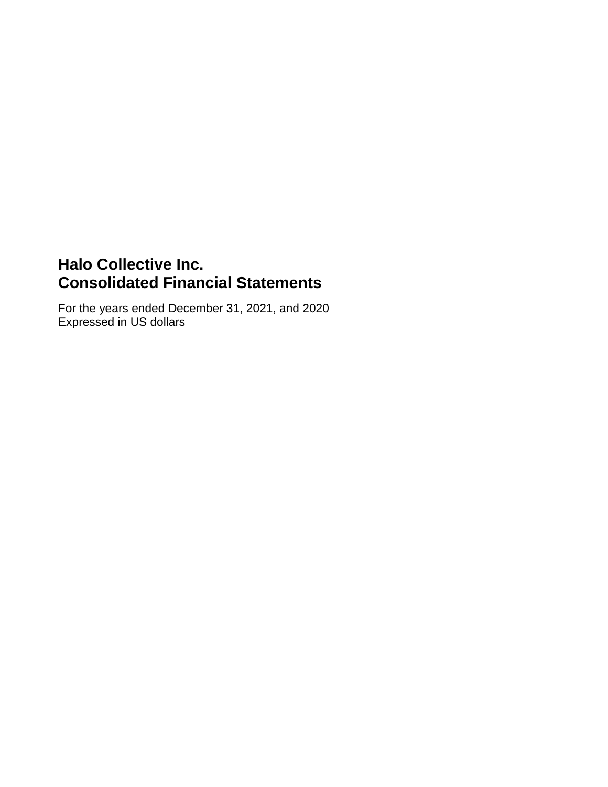# **Halo Collective Inc. Consolidated Financial Statements**

For the years ended December 31, 2021, and 2020 Expressed in US dollars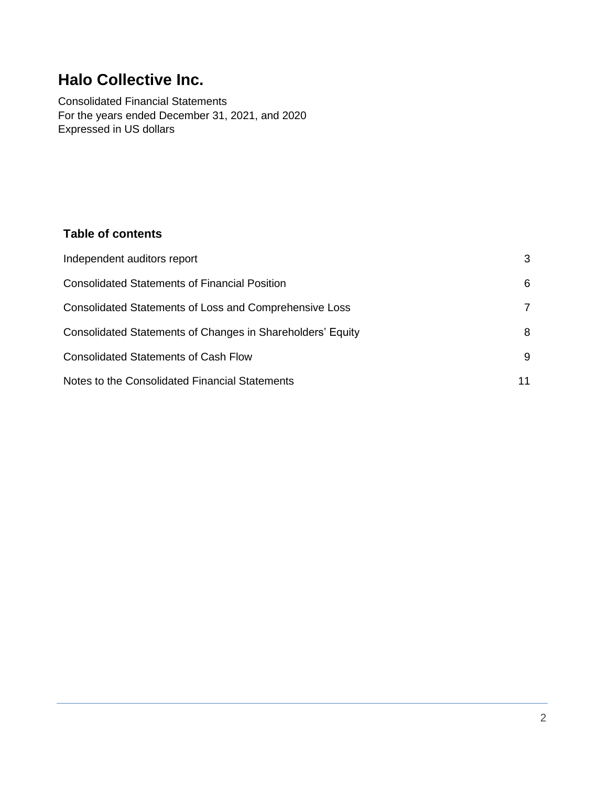# **Halo Collective Inc.**

Consolidated Financial Statements For the years ended December 31, 2021, and 2020 Expressed in US dollars

# **Table of contents**

| Independent auditors report                                | 3 |
|------------------------------------------------------------|---|
| <b>Consolidated Statements of Financial Position</b>       | 6 |
| Consolidated Statements of Loss and Comprehensive Loss     |   |
| Consolidated Statements of Changes in Shareholders' Equity | 8 |
| <b>Consolidated Statements of Cash Flow</b>                | 9 |
| Notes to the Consolidated Financial Statements             |   |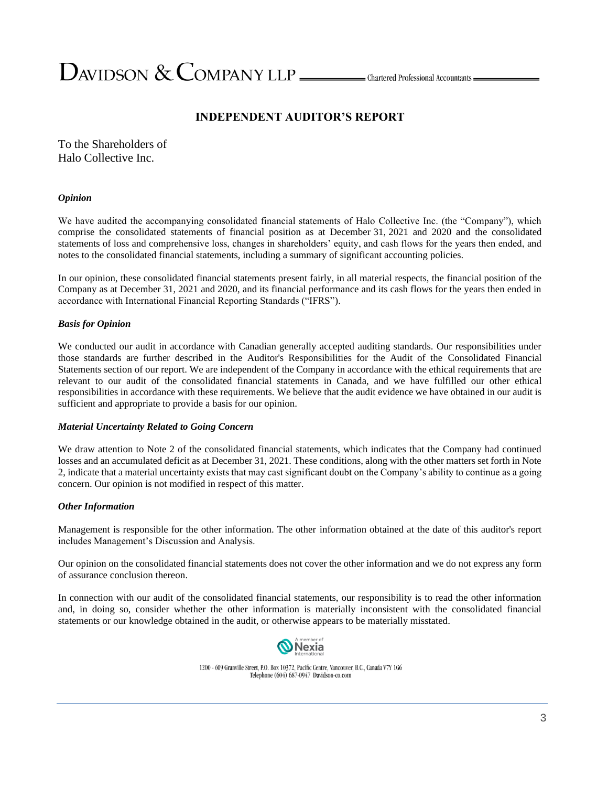$D$ AVIDSON  $\&$  COMPANY LLP  $\_\_\_\_\_\$ Chartered Professional Accountants =

# **INDEPENDENT AUDITOR'S REPORT**

To the Shareholders of Halo Collective Inc.

#### *Opinion*

We have audited the accompanying consolidated financial statements of Halo Collective Inc. (the "Company"), which comprise the consolidated statements of financial position as at December 31, 2021 and 2020 and the consolidated statements of loss and comprehensive loss, changes in shareholders' equity, and cash flows for the years then ended, and notes to the consolidated financial statements, including a summary of significant accounting policies.

In our opinion, these consolidated financial statements present fairly, in all material respects, the financial position of the Company as at December 31, 2021 and 2020, and its financial performance and its cash flows for the years then ended in accordance with International Financial Reporting Standards ("IFRS").

#### *Basis for Opinion*

We conducted our audit in accordance with Canadian generally accepted auditing standards. Our responsibilities under those standards are further described in the Auditor's Responsibilities for the Audit of the Consolidated Financial Statements section of our report. We are independent of the Company in accordance with the ethical requirements that are relevant to our audit of the consolidated financial statements in Canada, and we have fulfilled our other ethical responsibilities in accordance with these requirements. We believe that the audit evidence we have obtained in our audit is sufficient and appropriate to provide a basis for our opinion.

#### *Material Uncertainty Related to Going Concern*

We draw attention to Note 2 of the consolidated financial statements, which indicates that the Company had continued losses and an accumulated deficit as at December 31, 2021. These conditions, along with the other matters set forth in Note 2, indicate that a material uncertainty exists that may cast significant doubt on the Company's ability to continue as a going concern. Our opinion is not modified in respect of this matter.

#### *Other Information*

Management is responsible for the other information. The other information obtained at the date of this auditor's report includes Management's Discussion and Analysis.

Our opinion on the consolidated financial statements does not cover the other information and we do not express any form of assurance conclusion thereon.

In connection with our audit of the consolidated financial statements, our responsibility is to read the other information and, in doing so, consider whether the other information is materially inconsistent with the consolidated financial statements or our knowledge obtained in the audit, or otherwise appears to be materially misstated.



1200 - 609 Granville Street, P.O. Box 10372, Pacific Centre, Vancouver, B.C., Canada V7Y 1G6 Telephone (604) 687-0947 Davidson-co.com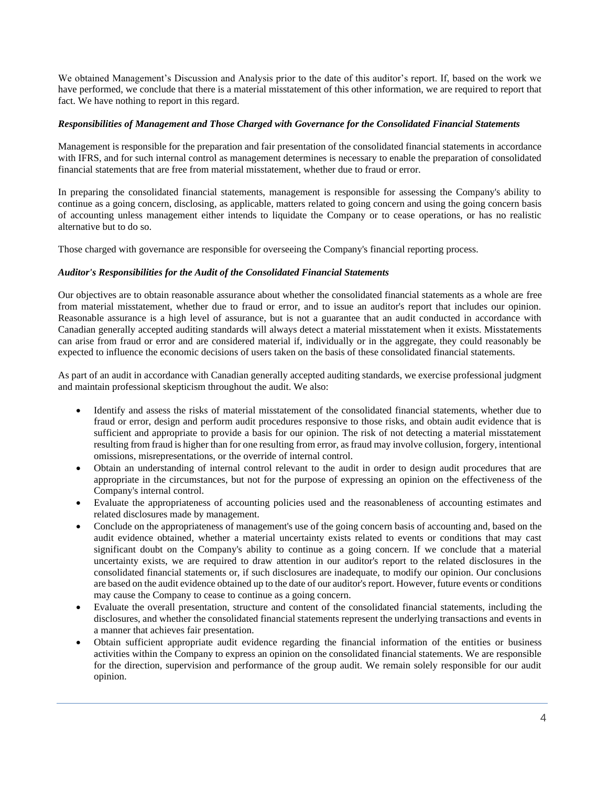We obtained Management's Discussion and Analysis prior to the date of this auditor's report. If, based on the work we have performed, we conclude that there is a material misstatement of this other information, we are required to report that fact. We have nothing to report in this regard.

#### *Responsibilities of Management and Those Charged with Governance for the Consolidated Financial Statements*

Management is responsible for the preparation and fair presentation of the consolidated financial statements in accordance with IFRS, and for such internal control as management determines is necessary to enable the preparation of consolidated financial statements that are free from material misstatement, whether due to fraud or error.

In preparing the consolidated financial statements, management is responsible for assessing the Company's ability to continue as a going concern, disclosing, as applicable, matters related to going concern and using the going concern basis of accounting unless management either intends to liquidate the Company or to cease operations, or has no realistic alternative but to do so.

Those charged with governance are responsible for overseeing the Company's financial reporting process.

#### *Auditor's Responsibilities for the Audit of the Consolidated Financial Statements*

Our objectives are to obtain reasonable assurance about whether the consolidated financial statements as a whole are free from material misstatement, whether due to fraud or error, and to issue an auditor's report that includes our opinion. Reasonable assurance is a high level of assurance, but is not a guarantee that an audit conducted in accordance with Canadian generally accepted auditing standards will always detect a material misstatement when it exists. Misstatements can arise from fraud or error and are considered material if, individually or in the aggregate, they could reasonably be expected to influence the economic decisions of users taken on the basis of these consolidated financial statements.

As part of an audit in accordance with Canadian generally accepted auditing standards, we exercise professional judgment and maintain professional skepticism throughout the audit. We also:

- Identify and assess the risks of material misstatement of the consolidated financial statements, whether due to fraud or error, design and perform audit procedures responsive to those risks, and obtain audit evidence that is sufficient and appropriate to provide a basis for our opinion. The risk of not detecting a material misstatement resulting from fraud is higher than for one resulting from error, as fraud may involve collusion, forgery, intentional omissions, misrepresentations, or the override of internal control.
- Obtain an understanding of internal control relevant to the audit in order to design audit procedures that are appropriate in the circumstances, but not for the purpose of expressing an opinion on the effectiveness of the Company's internal control.
- Evaluate the appropriateness of accounting policies used and the reasonableness of accounting estimates and related disclosures made by management.
- Conclude on the appropriateness of management's use of the going concern basis of accounting and, based on the audit evidence obtained, whether a material uncertainty exists related to events or conditions that may cast significant doubt on the Company's ability to continue as a going concern. If we conclude that a material uncertainty exists, we are required to draw attention in our auditor's report to the related disclosures in the consolidated financial statements or, if such disclosures are inadequate, to modify our opinion. Our conclusions are based on the audit evidence obtained up to the date of our auditor's report. However, future events or conditions may cause the Company to cease to continue as a going concern.
- Evaluate the overall presentation, structure and content of the consolidated financial statements, including the disclosures, and whether the consolidated financial statements represent the underlying transactions and events in a manner that achieves fair presentation.
- Obtain sufficient appropriate audit evidence regarding the financial information of the entities or business activities within the Company to express an opinion on the consolidated financial statements. We are responsible for the direction, supervision and performance of the group audit. We remain solely responsible for our audit opinion.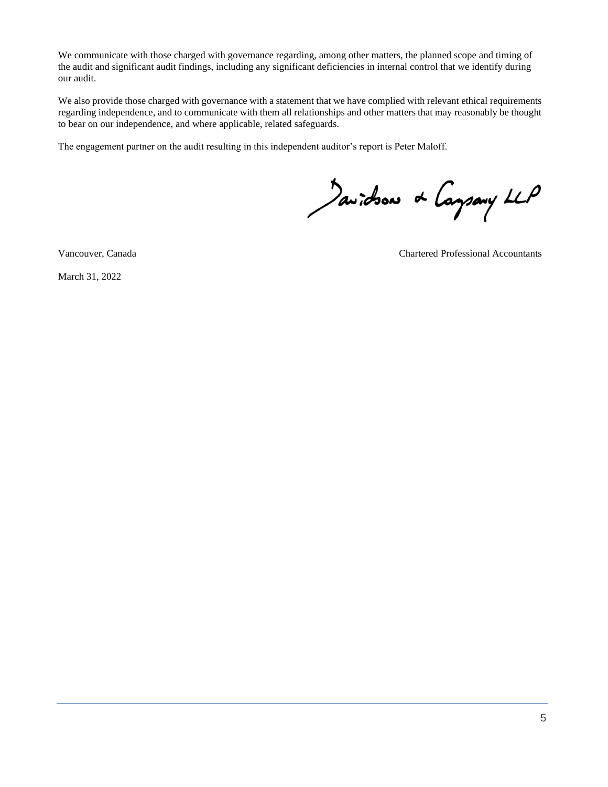We communicate with those charged with governance regarding, among other matters, the planned scope and timing of the audit and significant audit findings, including any significant deficiencies in internal control that we identify during our audit.

We also provide those charged with governance with a statement that we have complied with relevant ethical requirements regarding independence, and to communicate with them all relationships and other matters that may reasonably be thought to bear on our independence, and where applicable, related safeguards.

The engagement partner on the audit resulting in this independent auditor's report is Peter Maloff.

Javidson & Caysary LLP

March 31, 2022

Vancouver, Canada Chartered Professional Accountants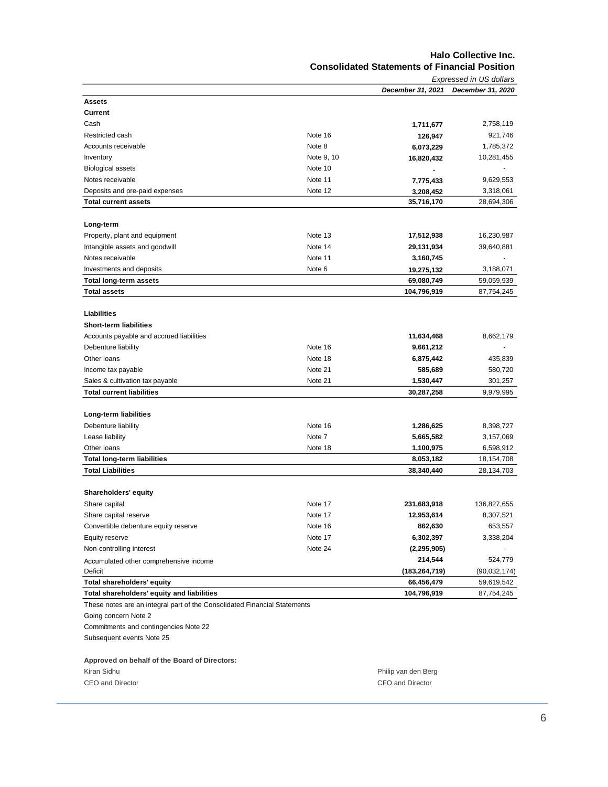#### **Halo Collective Inc. Consolidated Statements of Financial Position**

|                                                                           |            |                   | Expressed in US dollars |
|---------------------------------------------------------------------------|------------|-------------------|-------------------------|
|                                                                           |            | December 31, 2021 | December 31, 2020       |
| Assets                                                                    |            |                   |                         |
| <b>Current</b>                                                            |            |                   |                         |
| Cash                                                                      |            | 1,711,677         | 2,758,119               |
| Restricted cash                                                           | Note 16    | 126,947           | 921,746                 |
| Accounts receivable                                                       | Note 8     | 6,073,229         | 1,785,372               |
| Inventory                                                                 | Note 9, 10 | 16,820,432        | 10,281,455              |
| <b>Biological assets</b>                                                  | Note 10    |                   |                         |
| Notes receivable                                                          | Note 11    | 7,775,433         | 9,629,553               |
| Deposits and pre-paid expenses                                            | Note 12    | 3,208,452         | 3,318,061               |
| <b>Total current assets</b>                                               |            | 35,716,170        | 28,694,306              |
|                                                                           |            |                   |                         |
| Long-term                                                                 |            |                   |                         |
| Property, plant and equipment                                             | Note 13    | 17,512,938        | 16,230,987              |
| Intangible assets and goodwill                                            | Note 14    | 29,131,934        | 39,640,881              |
| Notes receivable                                                          | Note 11    | 3,160,745         |                         |
| Investments and deposits                                                  | Note 6     | 19,275,132        | 3,188,071               |
| <b>Total long-term assets</b>                                             |            | 69,080,749        | 59,059,939              |
| <b>Total assets</b>                                                       |            | 104,796,919       | 87,754,245              |
|                                                                           |            |                   |                         |
| Liabilities                                                               |            |                   |                         |
| <b>Short-term liabilities</b>                                             |            |                   |                         |
| Accounts payable and accrued liabilities                                  |            | 11,634,468        | 8,662,179               |
| Debenture liability                                                       | Note 16    | 9,661,212         |                         |
| Other loans                                                               | Note 18    | 6,875,442         | 435,839                 |
| Income tax payable                                                        | Note 21    | 585,689           | 580,720                 |
| Sales & cultivation tax payable                                           | Note 21    | 1,530,447         | 301,257                 |
| <b>Total current liabilities</b>                                          |            | 30,287,258        | 9,979,995               |
|                                                                           |            |                   |                         |
| Long-term liabilities                                                     |            |                   |                         |
| Debenture liability                                                       | Note 16    | 1,286,625         | 8,398,727               |
| Lease liability                                                           | Note 7     | 5,665,582         | 3,157,069               |
| Other loans                                                               | Note 18    | 1,100,975         | 6,598,912               |
| <b>Total long-term liabilities</b>                                        |            | 8,053,182         | 18,154,708              |
| <b>Total Liabilities</b>                                                  |            | 38,340,440        | 28,134,703              |
|                                                                           |            |                   |                         |
| <b>Shareholders' equity</b>                                               |            |                   |                         |
| Share capital                                                             | Note 17    | 231,683,918       | 136,827,655             |
| Share capital reserve                                                     | Note 17    | 12,953,614        | 8,307,521               |
| Convertible debenture equity reserve                                      | Note 16    | 862,630           | 653,557                 |
| Equity reserve                                                            | Note 17    | 6,302,397         | 3,338,204               |
| Non-controlling interest                                                  | Note 24    | (2, 295, 905)     |                         |
|                                                                           |            | 214,544           | 524,779                 |
| Accumulated other comprehensive income<br>Deficit                         |            | (183, 264, 719)   | (90,032,174)            |
| Total shareholders' equity                                                |            | 66,456,479        | 59,619,542              |
|                                                                           |            |                   |                         |
| Total shareholders' equity and liabilities                                |            | 104,796,919       | 87,754,245              |
| These notes are an integral part of the Consolidated Financial Statements |            |                   |                         |
| Going concern Note 2                                                      |            |                   |                         |
| Commitments and contingencies Note 22                                     |            |                   |                         |

Subsequent events Note 25

#### **Approved on behalf of the Board of Directors:**

| Kiran Sidhu      |  |
|------------------|--|
| CEO and Director |  |

Philip van den Berg CFO and Director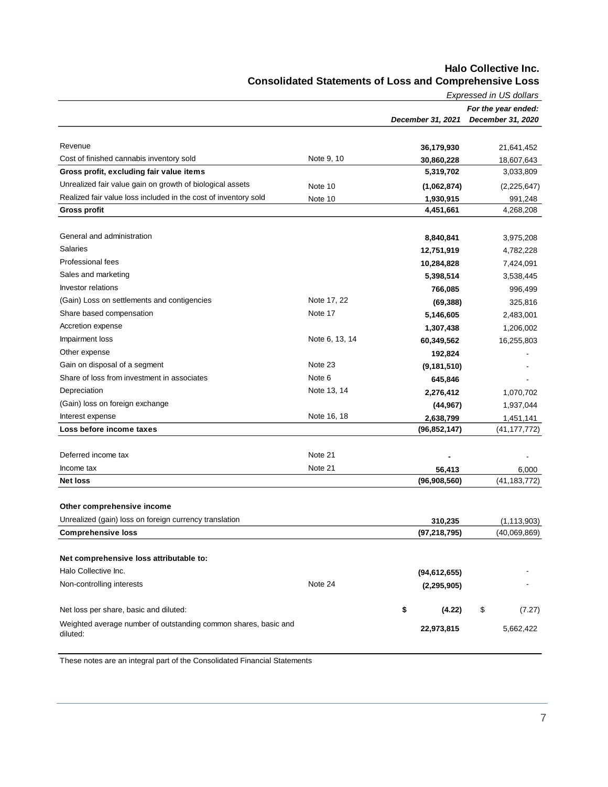|                                                                 |                   |                   | Expressed in US dollars |
|-----------------------------------------------------------------|-------------------|-------------------|-------------------------|
|                                                                 |                   |                   | For the year ended:     |
|                                                                 |                   | December 31, 2021 | December 31, 2020       |
|                                                                 |                   |                   |                         |
| Revenue                                                         |                   | 36,179,930        | 21,641,452              |
| Cost of finished cannabis inventory sold                        | Note 9, 10        | 30,860,228        | 18,607,643              |
| Gross profit, excluding fair value items                        |                   | 5,319,702         | 3,033,809               |
| Unrealized fair value gain on growth of biological assets       | Note 10           | (1,062,874)       | (2,225,647)             |
| Realized fair value loss included in the cost of inventory sold | Note 10           | 1,930,915         | 991,248                 |
| <b>Gross profit</b>                                             |                   | 4,451,661         | 4,268,208               |
|                                                                 |                   |                   |                         |
| General and administration                                      |                   | 8,840,841         | 3,975,208               |
| <b>Salaries</b>                                                 |                   | 12,751,919        | 4,782,228               |
| <b>Professional fees</b>                                        |                   | 10,284,828        | 7,424,091               |
| Sales and marketing                                             |                   | 5,398,514         | 3,538,445               |
| Investor relations                                              |                   | 766,085           | 996,499                 |
| (Gain) Loss on settlements and contigencies                     | Note 17, 22       | (69, 388)         | 325,816                 |
| Share based compensation                                        | Note 17           | 5,146,605         | 2,483,001               |
| Accretion expense                                               |                   | 1,307,438         | 1,206,002               |
| Impairment loss                                                 | Note 6, 13, 14    | 60,349,562        | 16,255,803              |
| Other expense                                                   |                   | 192,824           |                         |
| Gain on disposal of a segment                                   | Note 23           | (9, 181, 510)     |                         |
| Share of loss from investment in associates                     | Note <sub>6</sub> | 645,846           |                         |
| Depreciation                                                    | Note 13, 14       | 2,276,412         | 1,070,702               |
| (Gain) loss on foreign exchange                                 |                   | (44, 967)         | 1,937,044               |
| Interest expense                                                | Note 16, 18       | 2,638,799         | 1,451,141               |
| Loss before income taxes                                        |                   | (96, 852, 147)    | (41, 177, 772)          |
|                                                                 |                   |                   |                         |
| Deferred income tax                                             | Note 21           |                   |                         |
| Income tax                                                      | Note 21           | 56,413            | 6,000                   |
| <b>Net loss</b>                                                 |                   | (96,908,560)      | (41, 183, 772)          |
|                                                                 |                   |                   |                         |
| Other comprehensive income                                      |                   |                   |                         |
| Unrealized (gain) loss on foreign currency translation          |                   | 310,235           | (1, 113, 903)           |
| <b>Comprehensive loss</b>                                       |                   | (97, 218, 795)    | (40,069,869)            |
|                                                                 |                   |                   |                         |
| Net comprehensive loss attributable to:                         |                   |                   |                         |
| Halo Collective Inc.                                            |                   | (94, 612, 655)    |                         |
| Non-controlling interests                                       | Note 24           | (2, 295, 905)     |                         |
|                                                                 |                   |                   |                         |
| Net loss per share, basic and diluted:                          |                   | \$<br>(4.22)      | \$<br>(7.27)            |
| Weighted average number of outstanding common shares, basic and |                   | 22,973,815        | 5,662,422               |
| diluted:                                                        |                   |                   |                         |
|                                                                 |                   |                   |                         |

### **Halo Collective Inc. Consolidated Statements of Loss and Comprehensive Loss**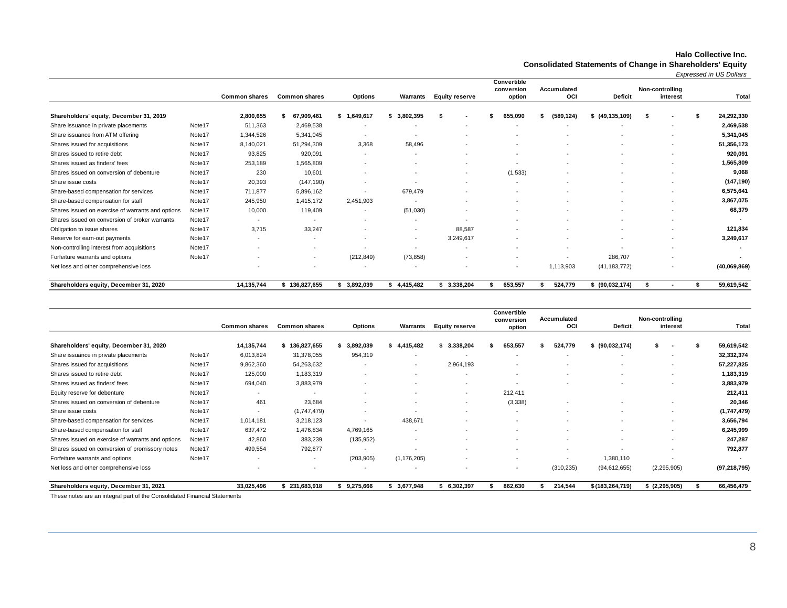#### **Halo Collective Inc.**

**Consolidated Statements of Change in Shareholders' Equity**

*Expressed in US Dollars*

|                                                   |        |                          |                          |                          |                |                          | Convertible<br>conversion | Accumulated              |                  | Non-controlling          |                          |
|---------------------------------------------------|--------|--------------------------|--------------------------|--------------------------|----------------|--------------------------|---------------------------|--------------------------|------------------|--------------------------|--------------------------|
|                                                   |        | <b>Common shares</b>     | <b>Common shares</b>     | <b>Options</b>           | Warrants       | <b>Equity reserve</b>    | option                    | <b>OCI</b>               | <b>Deficit</b>   | interest                 | Total                    |
| Shareholders' equity, December 31, 2019           |        | 2,800,655                | 67,909,461               | \$1,649,617              | 3,802,395      |                          | 655,090                   | (589,124)                | \$(49, 135, 109) | - 55                     | 24,292,330               |
| Share issuance in private placements              | Note17 | 511,363                  | 2,469,538                | $\overline{\phantom{a}}$ |                |                          |                           |                          |                  | ٠                        | 2,469,538                |
| Share issuance from ATM offering                  | Note17 | 1,344,526                | 5,341,045                | $\overline{\phantom{a}}$ |                |                          |                           |                          |                  | $\overline{\phantom{a}}$ | 5,341,045                |
| Shares issued for acquisitions                    | Note17 | 8,140,021                | 51,294,309               | 3,368                    | 58,496         |                          |                           |                          |                  | $\overline{\phantom{a}}$ | 51,356,173               |
| Shares issued to retire debt                      | Note17 | 93,825                   | 920,091                  | $\overline{\phantom{a}}$ | $\overline{a}$ | $\overline{\phantom{a}}$ |                           | $\overline{\phantom{a}}$ |                  | $\overline{\phantom{a}}$ | 920,091                  |
| Shares issued as finders' fees                    | Note17 | 253,189                  | 1,565,809                | $\overline{\phantom{a}}$ |                | $\overline{\phantom{a}}$ |                           |                          |                  | $\overline{\phantom{a}}$ | 1,565,809                |
| Shares issued on conversion of debenture          | Note17 | 230                      | 10,601                   |                          |                | $\overline{\phantom{a}}$ | (1,533)                   |                          |                  |                          | 9,068                    |
| Share issue costs                                 | Note17 | 20,393                   | (147, 190)               | ٠                        |                | $\overline{\phantom{a}}$ |                           |                          |                  | $\overline{\phantom{a}}$ | (147, 190)               |
| Share-based compensation for services             | Note17 | 711.877                  | 5,896,162                |                          | 679,479        | $\overline{\phantom{a}}$ |                           |                          |                  | $\overline{\phantom{a}}$ | 6,575,641                |
| Share-based compensation for staff                | Note17 | 245,950                  | 1,415,172                | 2,451,903                | $\overline{a}$ | $\overline{\phantom{a}}$ |                           |                          |                  | $\overline{\phantom{a}}$ | 3,867,075                |
| Shares issued on exercise of warrants and options | Note17 | 10,000                   | 119,409                  | $\overline{\phantom{a}}$ | (51,030)       | $\overline{\phantom{a}}$ |                           |                          |                  | $\overline{\phantom{a}}$ | 68,379                   |
| Shares issued on conversion of broker warrants    | Note17 | $\overline{a}$           | $\overline{\phantom{a}}$ | $\overline{\phantom{a}}$ |                |                          |                           |                          |                  | $\overline{\phantom{a}}$ |                          |
| Obligation to issue shares                        | Note17 | 3,715                    | 33,247                   |                          |                | 88,587                   |                           |                          |                  | $\overline{\phantom{a}}$ | 121,834                  |
| Reserve for earn-out payments                     | Note17 | $\overline{\phantom{a}}$ | $\overline{\phantom{a}}$ |                          | $\overline{a}$ | 3,249,617                |                           |                          |                  | $\overline{\phantom{a}}$ | 3,249,617                |
| Non-controlling interest from acquisitions        | Note17 |                          |                          |                          |                | $\overline{\phantom{a}}$ |                           |                          |                  | $\overline{\phantom{a}}$ |                          |
| Forfeiture warrants and options                   | Note17 | $\overline{\phantom{a}}$ | $\sim$                   | (212, 849)               | (73, 858)      | $\overline{\phantom{a}}$ |                           |                          | 286,707          | $\overline{\phantom{a}}$ | $\overline{\phantom{a}}$ |
| Net loss and other comprehensive loss             |        |                          |                          | $\overline{\phantom{a}}$ |                |                          |                           | 1,113,903                | (41, 183, 772)   |                          | (40,069,869)             |
| Shareholders equity, December 31, 2020            |        | 14,135,744               | \$136,827,655            | 3,892,039                | 4,415,482      | 3,338,204                | 653,557                   | 524,779                  | \$ (90,032,174)  |                          | 59,619,542               |

|                                                   |        |                      |                          |                          |                |                          | Convertible<br>conversion | Accumulated              |                   | Non-controlling          |                |
|---------------------------------------------------|--------|----------------------|--------------------------|--------------------------|----------------|--------------------------|---------------------------|--------------------------|-------------------|--------------------------|----------------|
|                                                   |        | <b>Common shares</b> | <b>Common shares</b>     | <b>Options</b>           | Warrants       | <b>Equity reserve</b>    | option                    | OCI                      | Deficit           | interest                 | Total          |
| Shareholders' equity, December 31, 2020           |        | 14,135,744           | 136,827,655              | 3,892,039                | 4,415,482      | \$3,338,204              | 653,557                   | 524,779                  | \$ (90,032,174)   |                          | 59,619,542     |
| Share issuance in private placements              | Note17 | 6,013,824            | 31,378,055               | 954,319                  |                |                          |                           | $\overline{\phantom{a}}$ |                   | ٠                        | 32,332,374     |
| Shares issued for acquisitions                    | Note17 | 9,862,360            | 54,263,632               | $\overline{\phantom{a}}$ | $\overline{a}$ | 2,964,193                |                           |                          |                   | $\overline{\phantom{0}}$ | 57,227,825     |
| Shares issued to retire debt                      | Note17 | 125,000              | 1,183,319                | ٠                        |                | $\overline{\phantom{a}}$ |                           |                          |                   | $\overline{a}$           | 1,183,319      |
| Shares issued as finders' fees                    | Note17 | 694,040              | 3,883,979                |                          |                | $\overline{\phantom{a}}$ |                           |                          |                   | ٠                        | 3,883,979      |
| Equity reserve for debenture                      | Note17 |                      | $\overline{\phantom{a}}$ |                          |                | $\overline{a}$           | 212,411                   |                          |                   |                          | 212,411        |
| Shares issued on conversion of debenture          | Note17 | 461                  | 23,684                   |                          |                | $\overline{\phantom{a}}$ | (3, 338)                  |                          |                   | $\overline{\phantom{a}}$ | 20,346         |
| Share issue costs                                 | Note17 |                      | (1,747,479)              |                          |                | $\overline{\phantom{0}}$ |                           |                          |                   | -                        | (1,747,479)    |
| Share-based compensation for services             | Note17 | 1,014,181            | 3,218,123                | $\overline{\phantom{a}}$ | 438,671        |                          |                           |                          |                   | -                        | 3,656,794      |
| Share-based compensation for staff                | Note17 | 637,472              | 1,476,834                | 4,769,165                |                |                          |                           |                          |                   | $\overline{\phantom{0}}$ | 6,245,999      |
| Shares issued on exercise of warrants and options | Note17 | 42,860               | 383,239                  | (135, 952)               | $\sim$         | $\overline{\phantom{0}}$ |                           | $\overline{\phantom{a}}$ |                   | ٠                        | 247,287        |
| Shares issued on conversion of promissory notes   | Note17 | 499,554              | 792,877                  |                          |                |                          |                           | $\overline{\phantom{a}}$ |                   | ٠                        | 792,877        |
| Forfeiture warrants and options                   | Note17 |                      | $\overline{\phantom{a}}$ | (203, 905)               | (1, 176, 205)  |                          |                           |                          | 1,380,110         | ٠                        |                |
| Net loss and other comprehensive loss             |        |                      |                          |                          |                |                          | $\overline{\phantom{0}}$  | (310, 235)               | (94, 612, 655)    | (2, 295, 905)            | (97, 218, 795) |
| Shareholders equity, December 31, 2021            |        | 33,025,496           | \$231,683,918            | 9,275,666                | 3,677,948      | 6,302,397                | 862,630                   | 214,544                  | \$(183, 264, 719) | $$$ (2,295,905)          | 66,456,479     |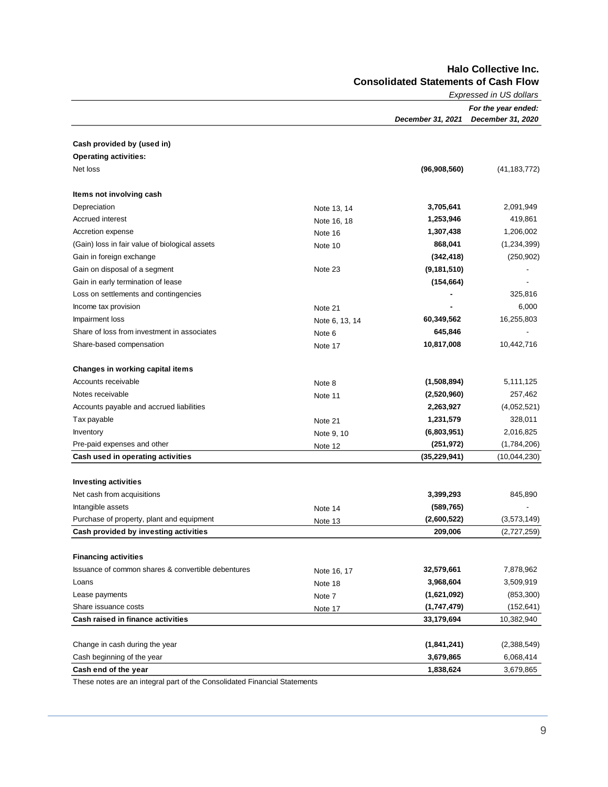**Halo Collective Inc. Consolidated Statements of Cash Flow**

|                                                    |                | Expressed in US dollars |                     |  |  |  |
|----------------------------------------------------|----------------|-------------------------|---------------------|--|--|--|
|                                                    |                |                         | For the year ended: |  |  |  |
|                                                    |                | December 31, 2021       | December 31, 2020   |  |  |  |
| Cash provided by (used in)                         |                |                         |                     |  |  |  |
| <b>Operating activities:</b>                       |                |                         |                     |  |  |  |
| Net loss                                           |                | (96,908,560)            | (41, 183, 772)      |  |  |  |
| Items not involving cash                           |                |                         |                     |  |  |  |
| Depreciation                                       | Note 13, 14    | 3,705,641               | 2,091,949           |  |  |  |
| <b>Accrued interest</b>                            | Note 16, 18    | 1,253,946               | 419,861             |  |  |  |
| Accretion expense                                  | Note 16        | 1,307,438               | 1,206,002           |  |  |  |
| (Gain) loss in fair value of biological assets     | Note 10        | 868,041                 | (1,234,399)         |  |  |  |
| Gain in foreign exchange                           |                | (342,418)               | (250, 902)          |  |  |  |
| Gain on disposal of a segment                      | Note 23        | (9, 181, 510)           |                     |  |  |  |
| Gain in early termination of lease                 |                | (154, 664)              |                     |  |  |  |
| Loss on settlements and contingencies              |                |                         | 325,816             |  |  |  |
| Income tax provision                               | Note 21        |                         | 6,000               |  |  |  |
| Impairment loss                                    | Note 6, 13, 14 | 60,349,562              | 16,255,803          |  |  |  |
| Share of loss from investment in associates        | Note 6         | 645,846                 |                     |  |  |  |
| Share-based compensation                           | Note 17        | 10,817,008              | 10,442,716          |  |  |  |
| Changes in working capital items                   |                |                         |                     |  |  |  |
| Accounts receivable                                | Note 8         | (1,508,894)             | 5,111,125           |  |  |  |
| Notes receivable                                   | Note 11        | (2,520,960)             | 257,462             |  |  |  |
| Accounts payable and accrued liabilities           |                | 2,263,927               | (4,052,521)         |  |  |  |
| Tax payable                                        | Note 21        | 1,231,579               | 328,011             |  |  |  |
| Inventory                                          | Note 9, 10     | (6,803,951)             | 2,016,825           |  |  |  |
| Pre-paid expenses and other                        | Note 12        | (251, 972)              | (1,784,206)         |  |  |  |
| Cash used in operating activities                  |                | (35, 229, 941)          | (10,044,230)        |  |  |  |
| <b>Investing activities</b>                        |                |                         |                     |  |  |  |
| Net cash from acquisitions                         |                | 3,399,293               | 845,890             |  |  |  |
| Intangible assets                                  | Note 14        | (589,765)               |                     |  |  |  |
| Purchase of property, plant and equipment          | Note 13        | (2,600,522)             | (3,573,149)         |  |  |  |
| Cash provided by investing activities              |                | 209,006                 | (2,727,259)         |  |  |  |
| <b>Financing activities</b>                        |                |                         |                     |  |  |  |
| Issuance of common shares & convertible debentures | Note 16, 17    | 32,579,661              | 7,878,962           |  |  |  |
| Loans                                              | Note 18        | 3,968,604               | 3,509,919           |  |  |  |
| Lease payments                                     | Note 7         | (1,621,092)             | (853, 300)          |  |  |  |
| Share issuance costs                               | Note 17        | (1,747,479)             | (152, 641)          |  |  |  |
| Cash raised in finance activities                  |                | 33,179,694              | 10,382,940          |  |  |  |
| Change in cash during the year                     |                | (1,841,241)             | (2,388,549)         |  |  |  |
| Cash beginning of the year                         |                | 3,679,865               | 6,068,414           |  |  |  |
| Cash end of the year                               |                | 1,838,624               | 3,679,865           |  |  |  |
|                                                    |                |                         |                     |  |  |  |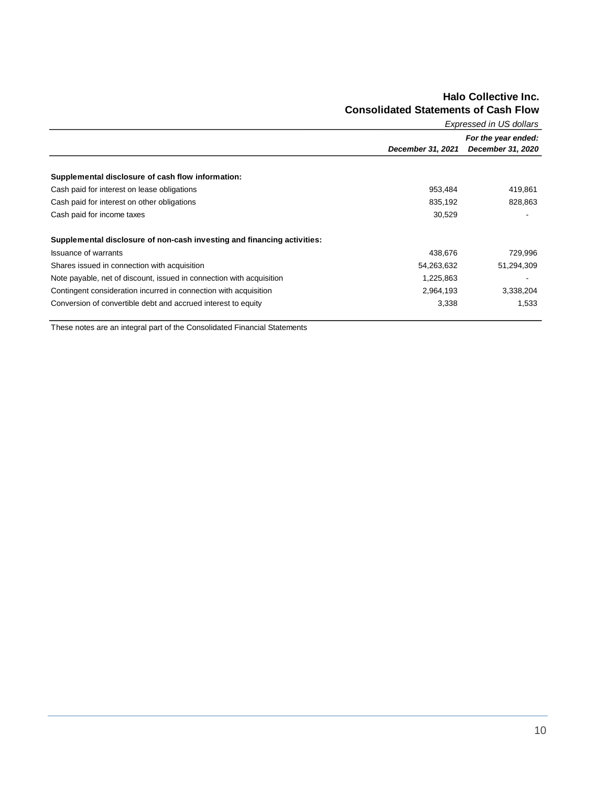### **Halo Collective Inc. Consolidated Statements of Cash Flow**

| Expressed in US dollars                                                 |                   |                     |  |  |  |
|-------------------------------------------------------------------------|-------------------|---------------------|--|--|--|
|                                                                         |                   | For the year ended: |  |  |  |
|                                                                         | December 31, 2021 | December 31, 2020   |  |  |  |
| Supplemental disclosure of cash flow information:                       |                   |                     |  |  |  |
| Cash paid for interest on lease obligations                             | 953,484           | 419,861             |  |  |  |
| Cash paid for interest on other obligations                             | 835,192           | 828,863             |  |  |  |
| Cash paid for income taxes                                              | 30,529            |                     |  |  |  |
| Supplemental disclosure of non-cash investing and financing activities: |                   |                     |  |  |  |
| <b>Issuance of warrants</b>                                             | 438,676           | 729,996             |  |  |  |
| Shares issued in connection with acquisition                            | 54,263,632        | 51,294,309          |  |  |  |
| Note payable, net of discount, issued in connection with acquisition    | 1,225,863         |                     |  |  |  |
| Contingent consideration incurred in connection with acquisition        | 2,964,193         | 3,338,204           |  |  |  |
| Conversion of convertible debt and accrued interest to equity           | 3,338             | 1,533               |  |  |  |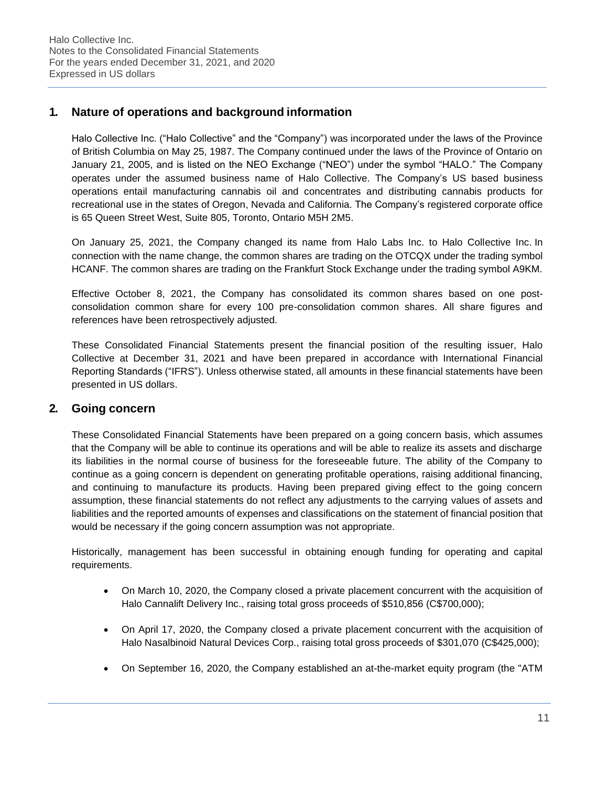# **1. Nature of operations and background information**

Halo Collective Inc. ("Halo Collective" and the "Company") was incorporated under the laws of the Province of British Columbia on May 25, 1987. The Company continued under the laws of the Province of Ontario on January 21, 2005, and is listed on the NEO Exchange ("NEO") under the symbol "HALO." The Company operates under the assumed business name of Halo Collective. The Company's US based business operations entail manufacturing cannabis oil and concentrates and distributing cannabis products for recreational use in the states of Oregon, Nevada and California. The Company's registered corporate office is 65 Queen Street West, Suite 805, Toronto, Ontario M5H 2M5.

On January 25, 2021, the Company changed its name from Halo Labs Inc. to Halo Collective Inc. In connection with the name change, the common shares are trading on the OTCQX under the trading symbol HCANF. The common shares are trading on the Frankfurt Stock Exchange under the trading symbol A9KM.

Effective October 8, 2021, the Company has consolidated its common shares based on one postconsolidation common share for every 100 pre-consolidation common shares. All share figures and references have been retrospectively adjusted.

These Consolidated Financial Statements present the financial position of the resulting issuer, Halo Collective at December 31, 2021 and have been prepared in accordance with International Financial Reporting Standards ("IFRS"). Unless otherwise stated, all amounts in these financial statements have been presented in US dollars.

# **2. Going concern**

These Consolidated Financial Statements have been prepared on a going concern basis, which assumes that the Company will be able to continue its operations and will be able to realize its assets and discharge its liabilities in the normal course of business for the foreseeable future. The ability of the Company to continue as a going concern is dependent on generating profitable operations, raising additional financing, and continuing to manufacture its products. Having been prepared giving effect to the going concern assumption, these financial statements do not reflect any adjustments to the carrying values of assets and liabilities and the reported amounts of expenses and classifications on the statement of financial position that would be necessary if the going concern assumption was not appropriate.

Historically, management has been successful in obtaining enough funding for operating and capital requirements.

- On March 10, 2020, the Company closed a private placement concurrent with the acquisition of Halo Cannalift Delivery Inc., raising total gross proceeds of \$510,856 (C\$700,000);
- On April 17, 2020, the Company closed a private placement concurrent with the acquisition of Halo Nasalbinoid Natural Devices Corp., raising total gross proceeds of \$301,070 (C\$425,000);
- On September 16, 2020, the Company established an at-the-market equity program (the "ATM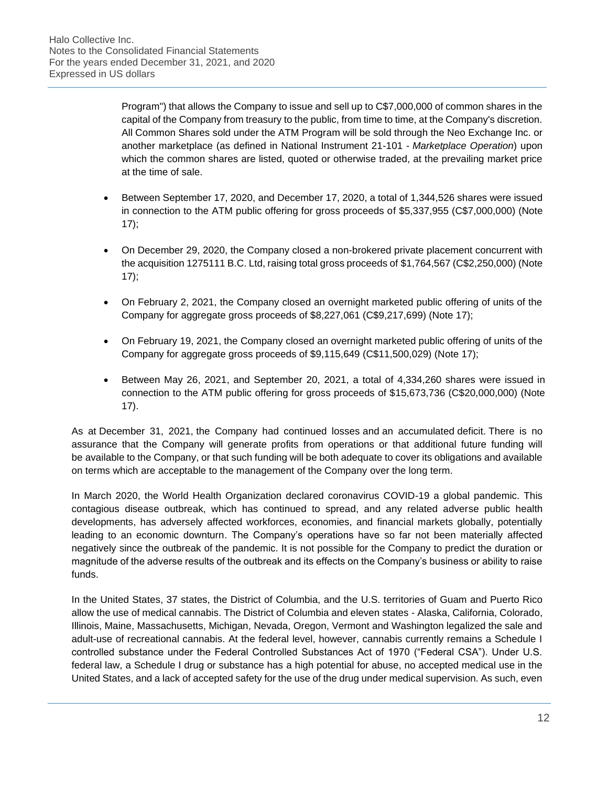Program") that allows the Company to issue and sell up to C\$7,000,000 of common shares in the capital of the Company from treasury to the public, from time to time, at the Company's discretion. All Common Shares sold under the ATM Program will be sold through the Neo Exchange Inc. or another marketplace (as defined in National Instrument 21-101 - *Marketplace Operation*) upon which the common shares are listed, quoted or otherwise traded, at the prevailing market price at the time of sale.

- Between September 17, 2020, and December 17, 2020, a total of 1,344,526 shares were issued in connection to the ATM public offering for gross proceeds of \$5,337,955 (C\$7,000,000) (Note 17);
- On December 29, 2020, the Company closed a non-brokered private placement concurrent with the acquisition 1275111 B.C. Ltd, raising total gross proceeds of \$1,764,567 (C\$2,250,000) (Note 17);
- On February 2, 2021, the Company closed an overnight marketed public offering of units of the Company for aggregate gross proceeds of \$8,227,061 (C\$9,217,699) (Note 17);
- On February 19, 2021, the Company closed an overnight marketed public offering of units of the Company for aggregate gross proceeds of \$9,115,649 (C\$11,500,029) (Note 17);
- Between May 26, 2021, and September 20, 2021, a total of 4,334,260 shares were issued in connection to the ATM public offering for gross proceeds of \$15,673,736 (C\$20,000,000) (Note 17).

As at December 31, 2021, the Company had continued losses and an accumulated deficit. There is no assurance that the Company will generate profits from operations or that additional future funding will be available to the Company, or that such funding will be both adequate to cover its obligations and available on terms which are acceptable to the management of the Company over the long term.

In March 2020, the World Health Organization declared coronavirus COVID-19 a global pandemic. This contagious disease outbreak, which has continued to spread, and any related adverse public health developments, has adversely affected workforces, economies, and financial markets globally, potentially leading to an economic downturn. The Company's operations have so far not been materially affected negatively since the outbreak of the pandemic. It is not possible for the Company to predict the duration or magnitude of the adverse results of the outbreak and its effects on the Company's business or ability to raise funds.

In the United States, 37 states, the District of Columbia, and the U.S. territories of Guam and Puerto Rico allow the use of medical cannabis. The District of Columbia and eleven states - Alaska, California, Colorado, Illinois, Maine, Massachusetts, Michigan, Nevada, Oregon, Vermont and Washington legalized the sale and adult-use of recreational cannabis. At the federal level, however, cannabis currently remains a Schedule I controlled substance under the Federal Controlled Substances Act of 1970 ("Federal CSA"). Under U.S. federal law, a Schedule I drug or substance has a high potential for abuse, no accepted medical use in the United States, and a lack of accepted safety for the use of the drug under medical supervision. As such, even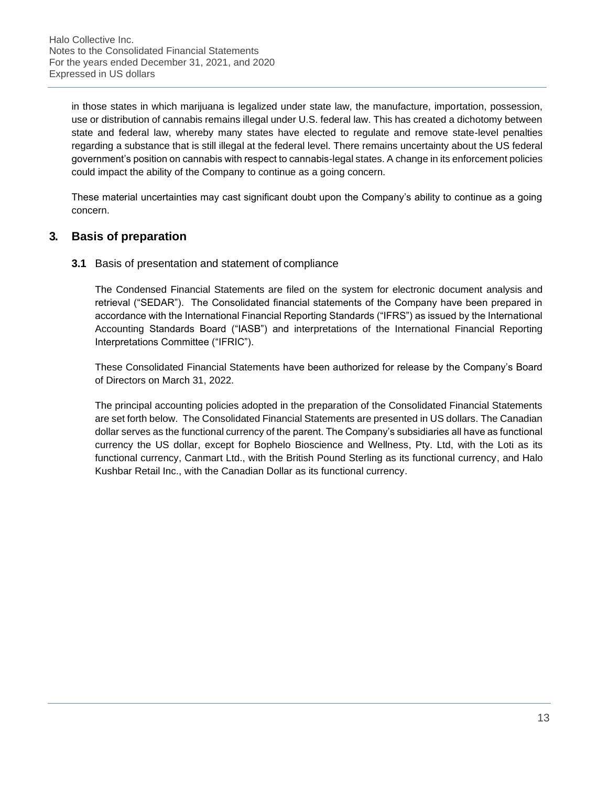in those states in which marijuana is legalized under state law, the manufacture, importation, possession, use or distribution of cannabis remains illegal under U.S. federal law. This has created a dichotomy between state and federal law, whereby many states have elected to regulate and remove state-level penalties regarding a substance that is still illegal at the federal level. There remains uncertainty about the US federal government's position on cannabis with respect to cannabis-legal states. A change in its enforcement policies could impact the ability of the Company to continue as a going concern.

These material uncertainties may cast significant doubt upon the Company's ability to continue as a going concern.

# **3. Basis of preparation**

# **3.1** Basis of presentation and statement of compliance

The Condensed Financial Statements are filed on the system for electronic document analysis and retrieval ("SEDAR"). The Consolidated financial statements of the Company have been prepared in accordance with the International Financial Reporting Standards ("IFRS") as issued by the International Accounting Standards Board ("IASB") and interpretations of the International Financial Reporting Interpretations Committee ("IFRIC").

These Consolidated Financial Statements have been authorized for release by the Company's Board of Directors on March 31, 2022.

The principal accounting policies adopted in the preparation of the Consolidated Financial Statements are set forth below. The Consolidated Financial Statements are presented in US dollars. The Canadian dollar serves as the functional currency of the parent. The Company's subsidiaries all have as functional currency the US dollar, except for Bophelo Bioscience and Wellness, Pty. Ltd, with the Loti as its functional currency, Canmart Ltd., with the British Pound Sterling as its functional currency, and Halo Kushbar Retail Inc., with the Canadian Dollar as its functional currency.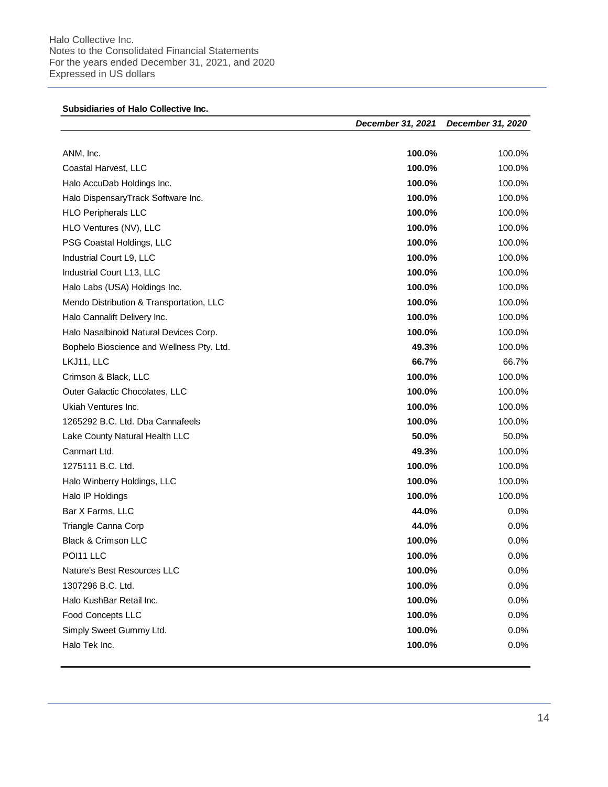Halo Collective Inc. Notes to the Consolidated Financial Statements For the years ended December 31, 2021, and 2020 Expressed in US dollars

|                                           | December 31, 2021 | December 31, 2020 |
|-------------------------------------------|-------------------|-------------------|
| ANM, Inc.                                 | 100.0%            | 100.0%            |
| Coastal Harvest, LLC                      | 100.0%            | 100.0%            |
| Halo AccuDab Holdings Inc.                | 100.0%            | 100.0%            |
| Halo DispensaryTrack Software Inc.        | 100.0%            | 100.0%            |
| <b>HLO Peripherals LLC</b>                | 100.0%            | 100.0%            |
| HLO Ventures (NV), LLC                    | 100.0%            | 100.0%            |
| PSG Coastal Holdings, LLC                 | 100.0%            | 100.0%            |
| Industrial Court L9, LLC                  | 100.0%            | 100.0%            |
| Industrial Court L13, LLC                 | 100.0%            | 100.0%            |
| Halo Labs (USA) Holdings Inc.             | 100.0%            | 100.0%            |
| Mendo Distribution & Transportation, LLC  | 100.0%            | 100.0%            |
| Halo Cannalift Delivery Inc.              | 100.0%            | 100.0%            |
| Halo Nasalbinoid Natural Devices Corp.    | 100.0%            | 100.0%            |
| Bophelo Bioscience and Wellness Pty. Ltd. | 49.3%             | 100.0%            |
| LKJ11, LLC                                | 66.7%             | 66.7%             |
| Crimson & Black, LLC                      | 100.0%            | 100.0%            |
| Outer Galactic Chocolates, LLC            | 100.0%            | 100.0%            |
| Ukiah Ventures Inc.                       | 100.0%            | 100.0%            |
| 1265292 B.C. Ltd. Dba Cannafeels          | 100.0%            | 100.0%            |
| Lake County Natural Health LLC            | 50.0%             | 50.0%             |
| Canmart Ltd.                              | 49.3%             | 100.0%            |
| 1275111 B.C. Ltd.                         | 100.0%            | 100.0%            |
| Halo Winberry Holdings, LLC               | 100.0%            | 100.0%            |
| Halo IP Holdings                          | 100.0%            | 100.0%            |
| Bar X Farms, LLC                          | 44.0%             | 0.0%              |
| Triangle Canna Corp                       | 44.0%             | 0.0%              |
| <b>Black &amp; Crimson LLC</b>            | 100.0%            | 0.0%              |
| POI11 LLC                                 | 100.0%            | 0.0%              |
| Nature's Best Resources LLC               | 100.0%            | 0.0%              |
| 1307296 B.C. Ltd.                         | 100.0%            | 0.0%              |
| Halo KushBar Retail Inc.                  | 100.0%            | 0.0%              |
| Food Concepts LLC                         | 100.0%            | 0.0%              |
|                                           | 100.0%            | 0.0%              |
| Simply Sweet Gummy Ltd.                   | 100.0%            | 0.0%              |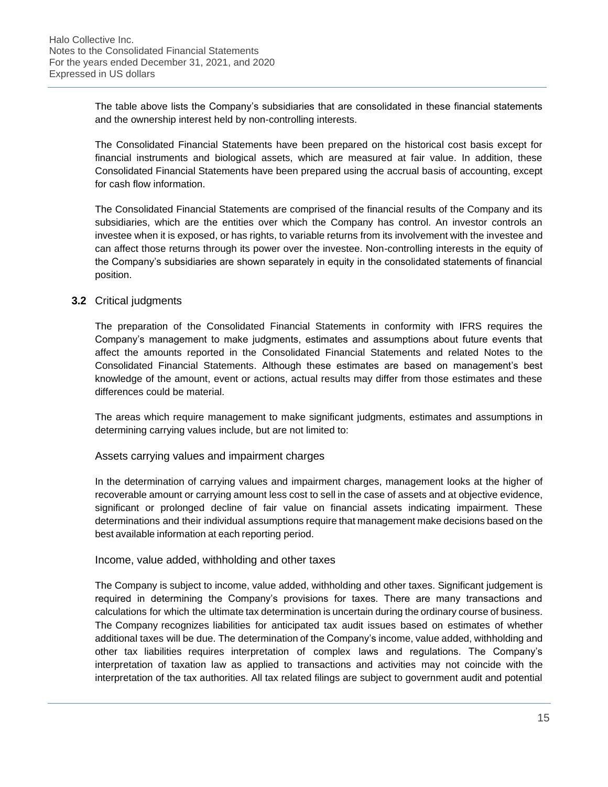The table above lists the Company's subsidiaries that are consolidated in these financial statements and the ownership interest held by non-controlling interests.

The Consolidated Financial Statements have been prepared on the historical cost basis except for financial instruments and biological assets, which are measured at fair value. In addition, these Consolidated Financial Statements have been prepared using the accrual basis of accounting, except for cash flow information.

The Consolidated Financial Statements are comprised of the financial results of the Company and its subsidiaries, which are the entities over which the Company has control. An investor controls an investee when it is exposed, or has rights, to variable returns from its involvement with the investee and can affect those returns through its power over the investee. Non-controlling interests in the equity of the Company's subsidiaries are shown separately in equity in the consolidated statements of financial position.

#### **3.2** Critical judgments

The preparation of the Consolidated Financial Statements in conformity with IFRS requires the Company's management to make judgments, estimates and assumptions about future events that affect the amounts reported in the Consolidated Financial Statements and related Notes to the Consolidated Financial Statements. Although these estimates are based on management's best knowledge of the amount, event or actions, actual results may differ from those estimates and these differences could be material.

The areas which require management to make significant judgments, estimates and assumptions in determining carrying values include, but are not limited to:

#### Assets carrying values and impairment charges

In the determination of carrying values and impairment charges, management looks at the higher of recoverable amount or carrying amount less cost to sell in the case of assets and at objective evidence, significant or prolonged decline of fair value on financial assets indicating impairment. These determinations and their individual assumptions require that management make decisions based on the best available information at each reporting period.

#### Income, value added, withholding and other taxes

The Company is subject to income, value added, withholding and other taxes. Significant judgement is required in determining the Company's provisions for taxes. There are many transactions and calculations for which the ultimate tax determination is uncertain during the ordinary course of business. The Company recognizes liabilities for anticipated tax audit issues based on estimates of whether additional taxes will be due. The determination of the Company's income, value added, withholding and other tax liabilities requires interpretation of complex laws and regulations. The Company's interpretation of taxation law as applied to transactions and activities may not coincide with the interpretation of the tax authorities. All tax related filings are subject to government audit and potential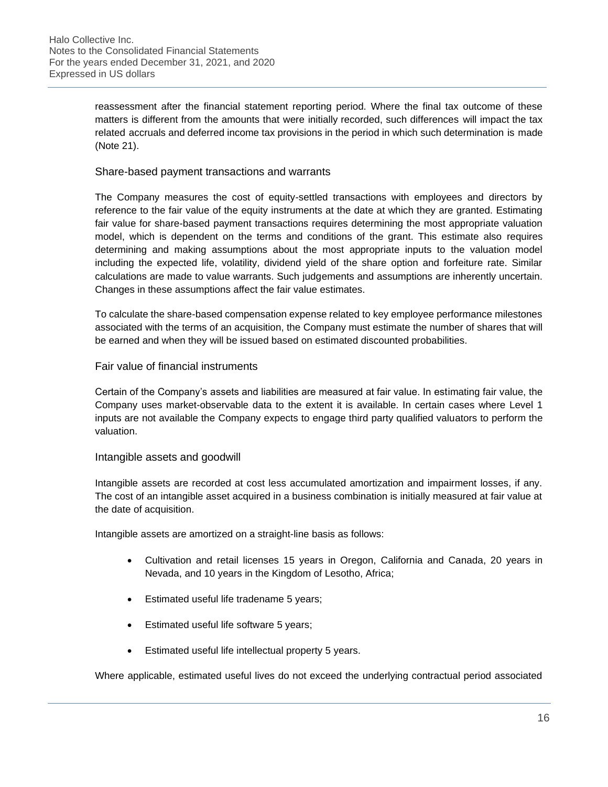reassessment after the financial statement reporting period. Where the final tax outcome of these matters is different from the amounts that were initially recorded, such differences will impact the tax related accruals and deferred income tax provisions in the period in which such determination is made (Note 21).

#### Share-based payment transactions and warrants

The Company measures the cost of equity-settled transactions with employees and directors by reference to the fair value of the equity instruments at the date at which they are granted. Estimating fair value for share-based payment transactions requires determining the most appropriate valuation model, which is dependent on the terms and conditions of the grant. This estimate also requires determining and making assumptions about the most appropriate inputs to the valuation model including the expected life, volatility, dividend yield of the share option and forfeiture rate. Similar calculations are made to value warrants. Such judgements and assumptions are inherently uncertain. Changes in these assumptions affect the fair value estimates.

To calculate the share-based compensation expense related to key employee performance milestones associated with the terms of an acquisition, the Company must estimate the number of shares that will be earned and when they will be issued based on estimated discounted probabilities.

#### Fair value of financial instruments

Certain of the Company's assets and liabilities are measured at fair value. In estimating fair value, the Company uses market-observable data to the extent it is available. In certain cases where Level 1 inputs are not available the Company expects to engage third party qualified valuators to perform the valuation.

#### Intangible assets and goodwill

Intangible assets are recorded at cost less accumulated amortization and impairment losses, if any. The cost of an intangible asset acquired in a business combination is initially measured at fair value at the date of acquisition.

Intangible assets are amortized on a straight-line basis as follows:

- Cultivation and retail licenses 15 years in Oregon, California and Canada, 20 years in Nevada, and 10 years in the Kingdom of Lesotho, Africa;
- Estimated useful life tradename 5 years;
- Estimated useful life software 5 years;
- Estimated useful life intellectual property 5 years.

Where applicable, estimated useful lives do not exceed the underlying contractual period associated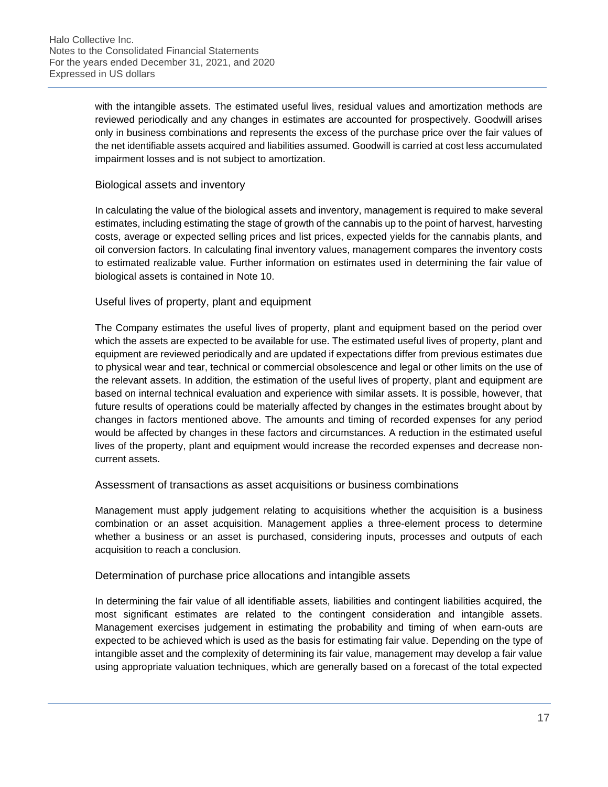with the intangible assets. The estimated useful lives, residual values and amortization methods are reviewed periodically and any changes in estimates are accounted for prospectively. Goodwill arises only in business combinations and represents the excess of the purchase price over the fair values of the net identifiable assets acquired and liabilities assumed. Goodwill is carried at cost less accumulated impairment losses and is not subject to amortization.

#### Biological assets and inventory

In calculating the value of the biological assets and inventory, management is required to make several estimates, including estimating the stage of growth of the cannabis up to the point of harvest, harvesting costs, average or expected selling prices and list prices, expected yields for the cannabis plants, and oil conversion factors. In calculating final inventory values, management compares the inventory costs to estimated realizable value. Further information on estimates used in determining the fair value of biological assets is contained in Note 10.

#### Useful lives of property, plant and equipment

The Company estimates the useful lives of property, plant and equipment based on the period over which the assets are expected to be available for use. The estimated useful lives of property, plant and equipment are reviewed periodically and are updated if expectations differ from previous estimates due to physical wear and tear, technical or commercial obsolescence and legal or other limits on the use of the relevant assets. In addition, the estimation of the useful lives of property, plant and equipment are based on internal technical evaluation and experience with similar assets. It is possible, however, that future results of operations could be materially affected by changes in the estimates brought about by changes in factors mentioned above. The amounts and timing of recorded expenses for any period would be affected by changes in these factors and circumstances. A reduction in the estimated useful lives of the property, plant and equipment would increase the recorded expenses and decrease noncurrent assets.

#### Assessment of transactions as asset acquisitions or business combinations

Management must apply judgement relating to acquisitions whether the acquisition is a business combination or an asset acquisition. Management applies a three-element process to determine whether a business or an asset is purchased, considering inputs, processes and outputs of each acquisition to reach a conclusion.

#### Determination of purchase price allocations and intangible assets

In determining the fair value of all identifiable assets, liabilities and contingent liabilities acquired, the most significant estimates are related to the contingent consideration and intangible assets. Management exercises judgement in estimating the probability and timing of when earn-outs are expected to be achieved which is used as the basis for estimating fair value. Depending on the type of intangible asset and the complexity of determining its fair value, management may develop a fair value using appropriate valuation techniques, which are generally based on a forecast of the total expected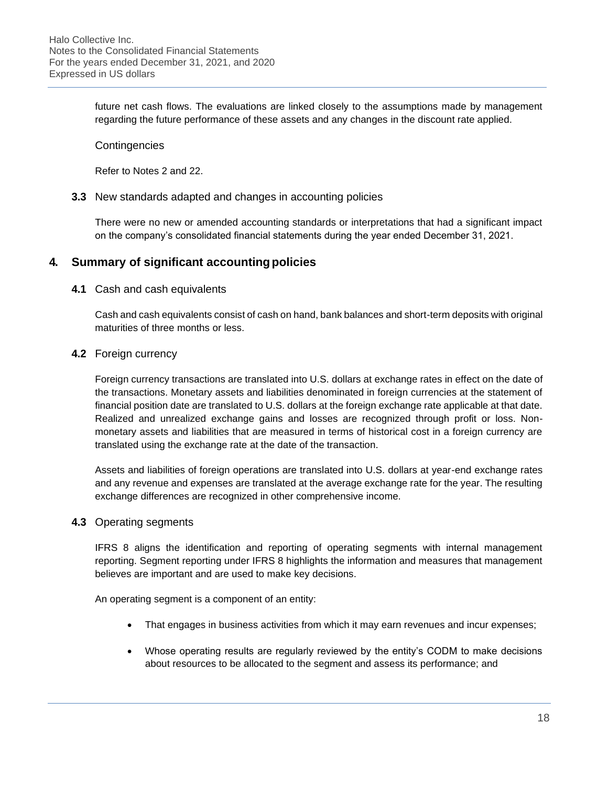future net cash flows. The evaluations are linked closely to the assumptions made by management regarding the future performance of these assets and any changes in the discount rate applied.

#### **Contingencies**

Refer to Notes 2 and 22.

#### **3.3** New standards adapted and changes in accounting policies

There were no new or amended accounting standards or interpretations that had a significant impact on the company's consolidated financial statements during the year ended December 31, 2021.

# **4. Summary of significant accountingpolicies**

#### **4.1** Cash and cash equivalents

Cash and cash equivalents consist of cash on hand, bank balances and short-term deposits with original maturities of three months or less.

#### **4.2** Foreign currency

Foreign currency transactions are translated into U.S. dollars at exchange rates in effect on the date of the transactions. Monetary assets and liabilities denominated in foreign currencies at the statement of financial position date are translated to U.S. dollars at the foreign exchange rate applicable at that date. Realized and unrealized exchange gains and losses are recognized through profit or loss. Nonmonetary assets and liabilities that are measured in terms of historical cost in a foreign currency are translated using the exchange rate at the date of the transaction.

Assets and liabilities of foreign operations are translated into U.S. dollars at year-end exchange rates and any revenue and expenses are translated at the average exchange rate for the year. The resulting exchange differences are recognized in other comprehensive income.

#### **4.3** Operating segments

IFRS 8 aligns the identification and reporting of operating segments with internal management reporting. Segment reporting under IFRS 8 highlights the information and measures that management believes are important and are used to make key decisions.

An operating segment is a component of an entity:

- That engages in business activities from which it may earn revenues and incur expenses;
- Whose operating results are regularly reviewed by the entity's CODM to make decisions about resources to be allocated to the segment and assess its performance; and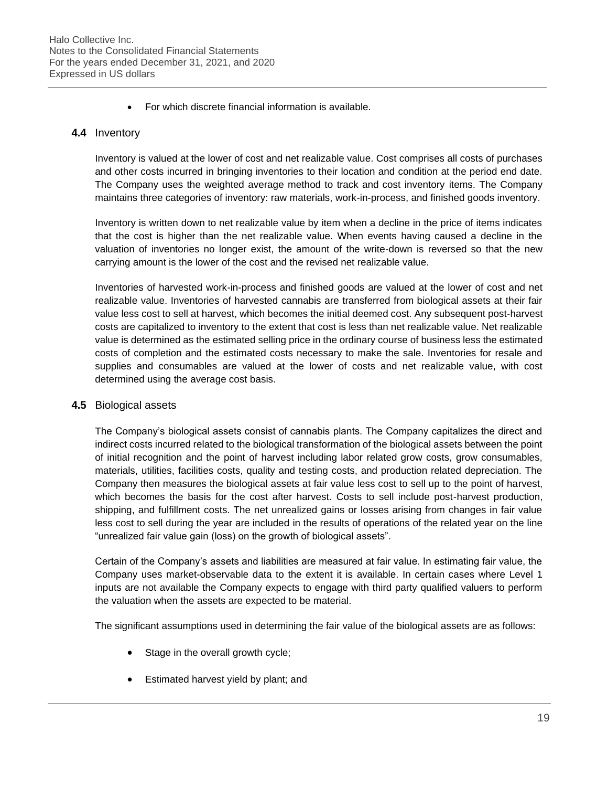• For which discrete financial information is available.

#### **4.4** Inventory

Inventory is valued at the lower of cost and net realizable value. Cost comprises all costs of purchases and other costs incurred in bringing inventories to their location and condition at the period end date. The Company uses the weighted average method to track and cost inventory items. The Company maintains three categories of inventory: raw materials, work-in-process, and finished goods inventory.

Inventory is written down to net realizable value by item when a decline in the price of items indicates that the cost is higher than the net realizable value. When events having caused a decline in the valuation of inventories no longer exist, the amount of the write-down is reversed so that the new carrying amount is the lower of the cost and the revised net realizable value.

Inventories of harvested work-in-process and finished goods are valued at the lower of cost and net realizable value. Inventories of harvested cannabis are transferred from biological assets at their fair value less cost to sell at harvest, which becomes the initial deemed cost. Any subsequent post-harvest costs are capitalized to inventory to the extent that cost is less than net realizable value. Net realizable value is determined as the estimated selling price in the ordinary course of business less the estimated costs of completion and the estimated costs necessary to make the sale. Inventories for resale and supplies and consumables are valued at the lower of costs and net realizable value, with cost determined using the average cost basis.

#### **4.5** Biological assets

The Company's biological assets consist of cannabis plants. The Company capitalizes the direct and indirect costs incurred related to the biological transformation of the biological assets between the point of initial recognition and the point of harvest including labor related grow costs, grow consumables, materials, utilities, facilities costs, quality and testing costs, and production related depreciation. The Company then measures the biological assets at fair value less cost to sell up to the point of harvest, which becomes the basis for the cost after harvest. Costs to sell include post-harvest production, shipping, and fulfillment costs. The net unrealized gains or losses arising from changes in fair value less cost to sell during the year are included in the results of operations of the related year on the line "unrealized fair value gain (loss) on the growth of biological assets".

Certain of the Company's assets and liabilities are measured at fair value. In estimating fair value, the Company uses market-observable data to the extent it is available. In certain cases where Level 1 inputs are not available the Company expects to engage with third party qualified valuers to perform the valuation when the assets are expected to be material.

The significant assumptions used in determining the fair value of the biological assets are as follows:

- Stage in the overall growth cycle;
- Estimated harvest yield by plant; and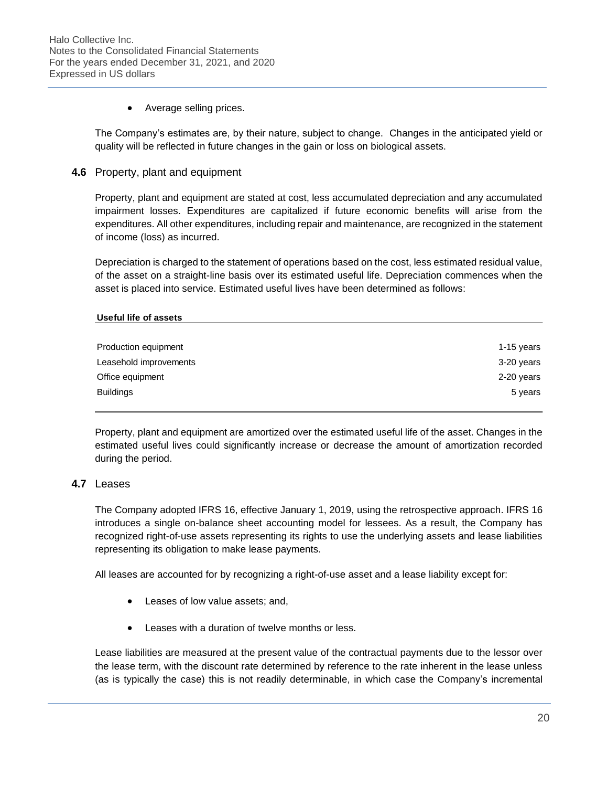• Average selling prices.

The Company's estimates are, by their nature, subject to change. Changes in the anticipated yield or quality will be reflected in future changes in the gain or loss on biological assets.

**4.6** Property, plant and equipment

Property, plant and equipment are stated at cost, less accumulated depreciation and any accumulated impairment losses. Expenditures are capitalized if future economic benefits will arise from the expenditures. All other expenditures, including repair and maintenance, are recognized in the statement of income (loss) as incurred.

Depreciation is charged to the statement of operations based on the cost, less estimated residual value, of the asset on a straight-line basis over its estimated useful life. Depreciation commences when the asset is placed into service. Estimated useful lives have been determined as follows:

#### **Useful life of assets**

| Production equipment   | 1-15 years |
|------------------------|------------|
| Leasehold improvements | 3-20 years |
| Office equipment       | 2-20 years |
| <b>Buildings</b>       | 5 years    |
|                        |            |

Property, plant and equipment are amortized over the estimated useful life of the asset. Changes in the estimated useful lives could significantly increase or decrease the amount of amortization recorded during the period.

# **4.7** Leases

The Company adopted IFRS 16, effective January 1, 2019, using the retrospective approach. IFRS 16 introduces a single on-balance sheet accounting model for lessees. As a result, the Company has recognized right-of-use assets representing its rights to use the underlying assets and lease liabilities representing its obligation to make lease payments.

All leases are accounted for by recognizing a right-of-use asset and a lease liability except for:

- Leases of low value assets; and,
- Leases with a duration of twelve months or less.

Lease liabilities are measured at the present value of the contractual payments due to the lessor over the lease term, with the discount rate determined by reference to the rate inherent in the lease unless (as is typically the case) this is not readily determinable, in which case the Company's incremental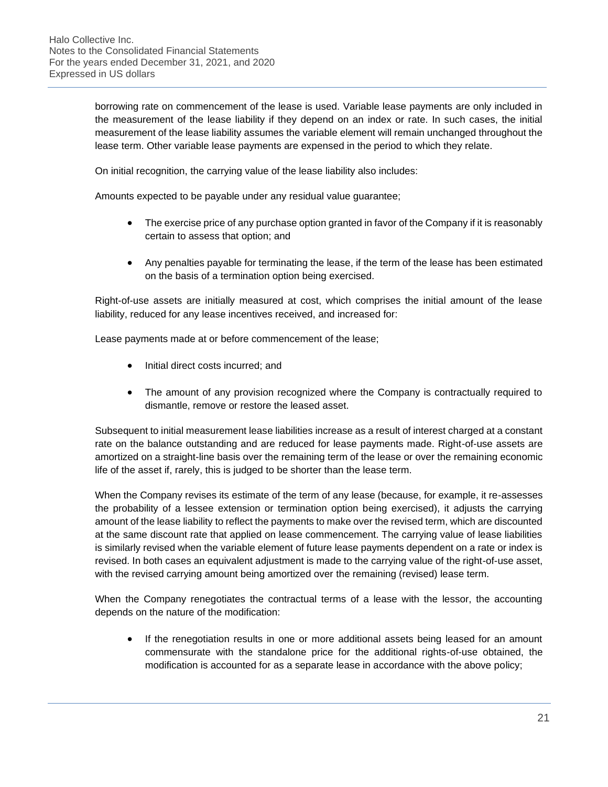borrowing rate on commencement of the lease is used. Variable lease payments are only included in the measurement of the lease liability if they depend on an index or rate. In such cases, the initial measurement of the lease liability assumes the variable element will remain unchanged throughout the lease term. Other variable lease payments are expensed in the period to which they relate.

On initial recognition, the carrying value of the lease liability also includes:

Amounts expected to be payable under any residual value guarantee;

- The exercise price of any purchase option granted in favor of the Company if it is reasonably certain to assess that option; and
- Any penalties payable for terminating the lease, if the term of the lease has been estimated on the basis of a termination option being exercised.

Right-of-use assets are initially measured at cost, which comprises the initial amount of the lease liability, reduced for any lease incentives received, and increased for:

Lease payments made at or before commencement of the lease;

- Initial direct costs incurred; and
- The amount of any provision recognized where the Company is contractually required to dismantle, remove or restore the leased asset.

Subsequent to initial measurement lease liabilities increase as a result of interest charged at a constant rate on the balance outstanding and are reduced for lease payments made. Right-of-use assets are amortized on a straight-line basis over the remaining term of the lease or over the remaining economic life of the asset if, rarely, this is judged to be shorter than the lease term.

When the Company revises its estimate of the term of any lease (because, for example, it re-assesses the probability of a lessee extension or termination option being exercised), it adjusts the carrying amount of the lease liability to reflect the payments to make over the revised term, which are discounted at the same discount rate that applied on lease commencement. The carrying value of lease liabilities is similarly revised when the variable element of future lease payments dependent on a rate or index is revised. In both cases an equivalent adjustment is made to the carrying value of the right-of-use asset, with the revised carrying amount being amortized over the remaining (revised) lease term.

When the Company renegotiates the contractual terms of a lease with the lessor, the accounting depends on the nature of the modification:

• If the renegotiation results in one or more additional assets being leased for an amount commensurate with the standalone price for the additional rights-of-use obtained, the modification is accounted for as a separate lease in accordance with the above policy;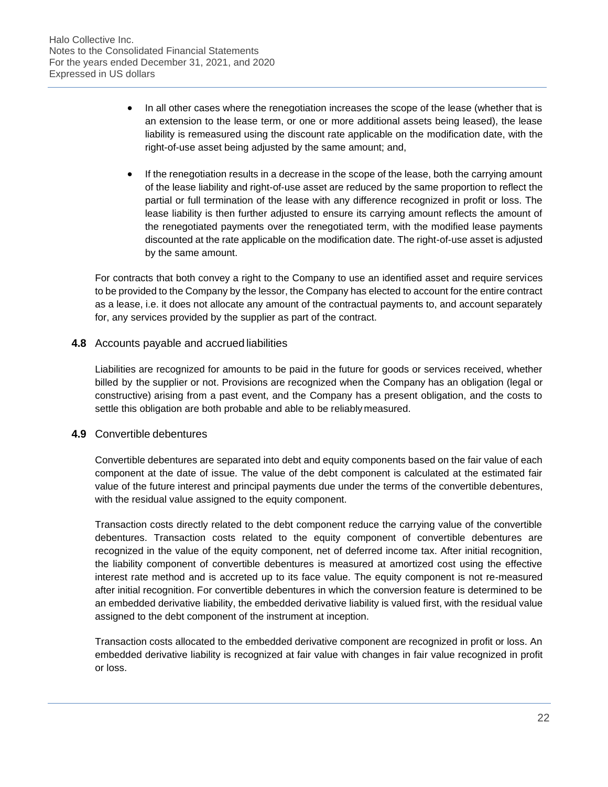- In all other cases where the renegotiation increases the scope of the lease (whether that is an extension to the lease term, or one or more additional assets being leased), the lease liability is remeasured using the discount rate applicable on the modification date, with the right-of-use asset being adjusted by the same amount; and,
- If the renegotiation results in a decrease in the scope of the lease, both the carrying amount of the lease liability and right-of-use asset are reduced by the same proportion to reflect the partial or full termination of the lease with any difference recognized in profit or loss. The lease liability is then further adjusted to ensure its carrying amount reflects the amount of the renegotiated payments over the renegotiated term, with the modified lease payments discounted at the rate applicable on the modification date. The right-of-use asset is adjusted by the same amount.

For contracts that both convey a right to the Company to use an identified asset and require services to be provided to the Company by the lessor, the Company has elected to account for the entire contract as a lease, i.e. it does not allocate any amount of the contractual payments to, and account separately for, any services provided by the supplier as part of the contract.

#### **4.8** Accounts payable and accrued liabilities

Liabilities are recognized for amounts to be paid in the future for goods or services received, whether billed by the supplier or not. Provisions are recognized when the Company has an obligation (legal or constructive) arising from a past event, and the Company has a present obligation, and the costs to settle this obligation are both probable and able to be reliably measured.

#### **4.9** Convertible debentures

Convertible debentures are separated into debt and equity components based on the fair value of each component at the date of issue. The value of the debt component is calculated at the estimated fair value of the future interest and principal payments due under the terms of the convertible debentures, with the residual value assigned to the equity component.

Transaction costs directly related to the debt component reduce the carrying value of the convertible debentures. Transaction costs related to the equity component of convertible debentures are recognized in the value of the equity component, net of deferred income tax. After initial recognition, the liability component of convertible debentures is measured at amortized cost using the effective interest rate method and is accreted up to its face value. The equity component is not re-measured after initial recognition. For convertible debentures in which the conversion feature is determined to be an embedded derivative liability, the embedded derivative liability is valued first, with the residual value assigned to the debt component of the instrument at inception.

Transaction costs allocated to the embedded derivative component are recognized in profit or loss. An embedded derivative liability is recognized at fair value with changes in fair value recognized in profit or loss.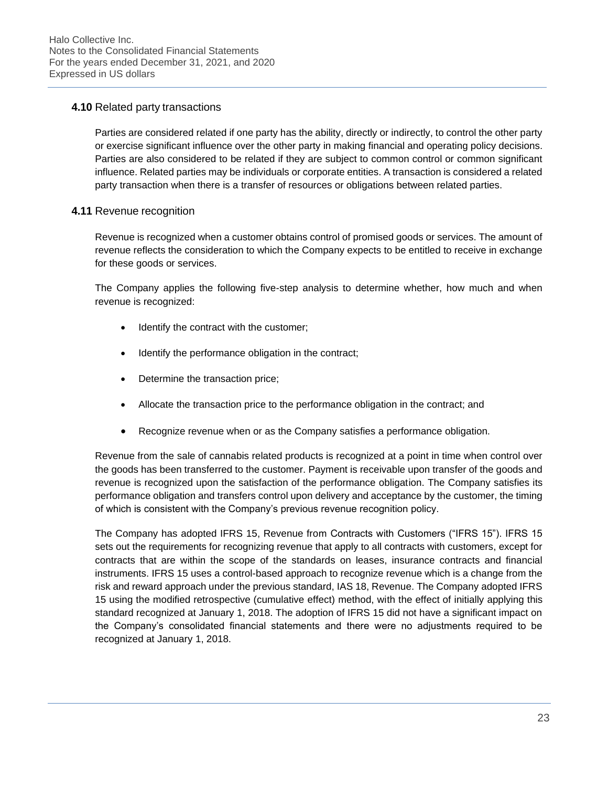#### **4.10** Related party transactions

Parties are considered related if one party has the ability, directly or indirectly, to control the other party or exercise significant influence over the other party in making financial and operating policy decisions. Parties are also considered to be related if they are subject to common control or common significant influence. Related parties may be individuals or corporate entities. A transaction is considered a related party transaction when there is a transfer of resources or obligations between related parties.

#### **4.11** Revenue recognition

Revenue is recognized when a customer obtains control of promised goods or services. The amount of revenue reflects the consideration to which the Company expects to be entitled to receive in exchange for these goods or services.

The Company applies the following five-step analysis to determine whether, how much and when revenue is recognized:

- Identify the contract with the customer;
- Identify the performance obligation in the contract;
- Determine the transaction price;
- Allocate the transaction price to the performance obligation in the contract; and
- Recognize revenue when or as the Company satisfies a performance obligation.

Revenue from the sale of cannabis related products is recognized at a point in time when control over the goods has been transferred to the customer. Payment is receivable upon transfer of the goods and revenue is recognized upon the satisfaction of the performance obligation. The Company satisfies its performance obligation and transfers control upon delivery and acceptance by the customer, the timing of which is consistent with the Company's previous revenue recognition policy.

The Company has adopted IFRS 15, Revenue from Contracts with Customers ("IFRS 15"). IFRS 15 sets out the requirements for recognizing revenue that apply to all contracts with customers, except for contracts that are within the scope of the standards on leases, insurance contracts and financial instruments. IFRS 15 uses a control-based approach to recognize revenue which is a change from the risk and reward approach under the previous standard, IAS 18, Revenue. The Company adopted IFRS 15 using the modified retrospective (cumulative effect) method, with the effect of initially applying this standard recognized at January 1, 2018. The adoption of IFRS 15 did not have a significant impact on the Company's consolidated financial statements and there were no adjustments required to be recognized at January 1, 2018.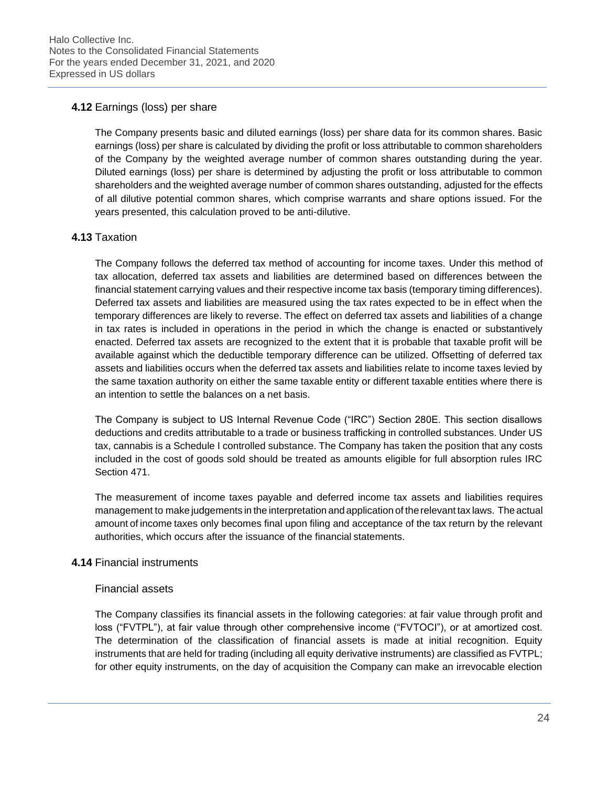### **4.12** Earnings (loss) per share

The Company presents basic and diluted earnings (loss) per share data for its common shares. Basic earnings (loss) per share is calculated by dividing the profit or loss attributable to common shareholders of the Company by the weighted average number of common shares outstanding during the year. Diluted earnings (loss) per share is determined by adjusting the profit or loss attributable to common shareholders and the weighted average number of common shares outstanding, adjusted for the effects of all dilutive potential common shares, which comprise warrants and share options issued. For the years presented, this calculation proved to be anti-dilutive.

#### **4.13** Taxation

The Company follows the deferred tax method of accounting for income taxes. Under this method of tax allocation, deferred tax assets and liabilities are determined based on differences between the financial statement carrying values and their respective income tax basis (temporary timing differences). Deferred tax assets and liabilities are measured using the tax rates expected to be in effect when the temporary differences are likely to reverse. The effect on deferred tax assets and liabilities of a change in tax rates is included in operations in the period in which the change is enacted or substantively enacted. Deferred tax assets are recognized to the extent that it is probable that taxable profit will be available against which the deductible temporary difference can be utilized. Offsetting of deferred tax assets and liabilities occurs when the deferred tax assets and liabilities relate to income taxes levied by the same taxation authority on either the same taxable entity or different taxable entities where there is an intention to settle the balances on a net basis.

The Company is subject to US Internal Revenue Code ("IRC") Section 280E. This section disallows deductions and credits attributable to a trade or business trafficking in controlled substances. Under US tax, cannabis is a Schedule I controlled substance. The Company has taken the position that any costs included in the cost of goods sold should be treated as amounts eligible for full absorption rules IRC Section 471.

The measurement of income taxes payable and deferred income tax assets and liabilities requires management to make judgements in the interpretation and application of the relevant tax laws. The actual amount of income taxes only becomes final upon filing and acceptance of the tax return by the relevant authorities, which occurs after the issuance of the financial statements.

#### **4.14** Financial instruments

#### Financial assets

The Company classifies its financial assets in the following categories: at fair value through profit and loss ("FVTPL"), at fair value through other comprehensive income ("FVTOCI"), or at amortized cost. The determination of the classification of financial assets is made at initial recognition. Equity instruments that are held for trading (including all equity derivative instruments) are classified as FVTPL; for other equity instruments, on the day of acquisition the Company can make an irrevocable election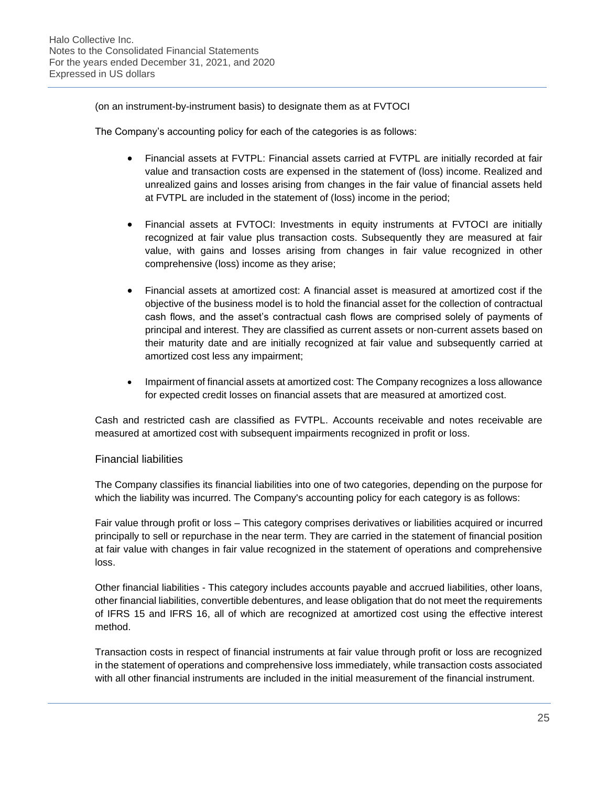(on an instrument-by-instrument basis) to designate them as at FVTOCI

The Company's accounting policy for each of the categories is as follows:

- Financial assets at FVTPL: Financial assets carried at FVTPL are initially recorded at fair value and transaction costs are expensed in the statement of (loss) income. Realized and unrealized gains and losses arising from changes in the fair value of financial assets held at FVTPL are included in the statement of (loss) income in the period;
- Financial assets at FVTOCI: Investments in equity instruments at FVTOCI are initially recognized at fair value plus transaction costs. Subsequently they are measured at fair value, with gains and losses arising from changes in fair value recognized in other comprehensive (loss) income as they arise;
- Financial assets at amortized cost: A financial asset is measured at amortized cost if the objective of the business model is to hold the financial asset for the collection of contractual cash flows, and the asset's contractual cash flows are comprised solely of payments of principal and interest. They are classified as current assets or non-current assets based on their maturity date and are initially recognized at fair value and subsequently carried at amortized cost less any impairment;
- Impairment of financial assets at amortized cost: The Company recognizes a loss allowance for expected credit losses on financial assets that are measured at amortized cost.

Cash and restricted cash are classified as FVTPL. Accounts receivable and notes receivable are measured at amortized cost with subsequent impairments recognized in profit or loss.

#### Financial liabilities

The Company classifies its financial liabilities into one of two categories, depending on the purpose for which the liability was incurred. The Company's accounting policy for each category is as follows:

Fair value through profit or loss – This category comprises derivatives or liabilities acquired or incurred principally to sell or repurchase in the near term. They are carried in the statement of financial position at fair value with changes in fair value recognized in the statement of operations and comprehensive loss.

Other financial liabilities - This category includes accounts payable and accrued liabilities, other loans, other financial liabilities, convertible debentures, and lease obligation that do not meet the requirements of IFRS 15 and IFRS 16, all of which are recognized at amortized cost using the effective interest method.

Transaction costs in respect of financial instruments at fair value through profit or loss are recognized in the statement of operations and comprehensive loss immediately, while transaction costs associated with all other financial instruments are included in the initial measurement of the financial instrument.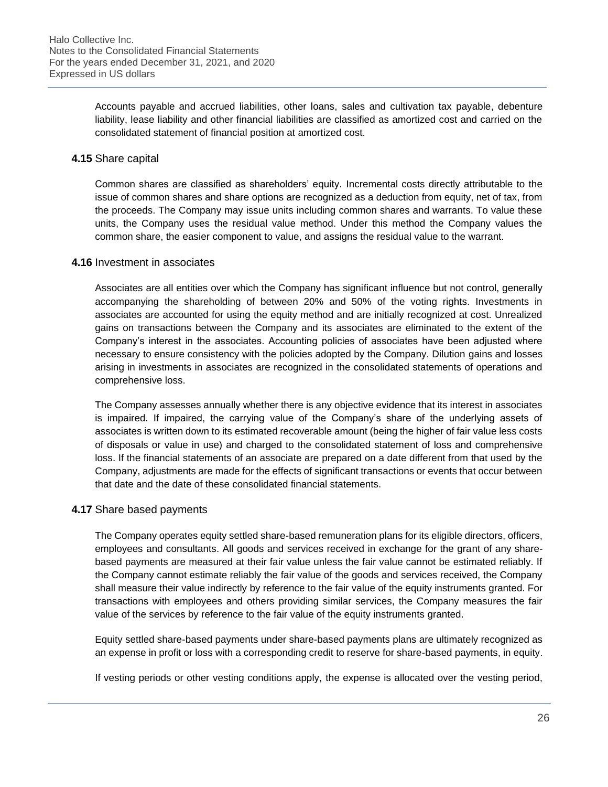Accounts payable and accrued liabilities, other loans, sales and cultivation tax payable, debenture liability, lease liability and other financial liabilities are classified as amortized cost and carried on the consolidated statement of financial position at amortized cost.

#### **4.15** Share capital

Common shares are classified as shareholders' equity. Incremental costs directly attributable to the issue of common shares and share options are recognized as a deduction from equity, net of tax, from the proceeds. The Company may issue units including common shares and warrants. To value these units, the Company uses the residual value method. Under this method the Company values the common share, the easier component to value, and assigns the residual value to the warrant.

#### **4.16** Investment in associates

Associates are all entities over which the Company has significant influence but not control, generally accompanying the shareholding of between 20% and 50% of the voting rights. Investments in associates are accounted for using the equity method and are initially recognized at cost. Unrealized gains on transactions between the Company and its associates are eliminated to the extent of the Company's interest in the associates. Accounting policies of associates have been adjusted where necessary to ensure consistency with the policies adopted by the Company. Dilution gains and losses arising in investments in associates are recognized in the consolidated statements of operations and comprehensive loss.

The Company assesses annually whether there is any objective evidence that its interest in associates is impaired. If impaired, the carrying value of the Company's share of the underlying assets of associates is written down to its estimated recoverable amount (being the higher of fair value less costs of disposals or value in use) and charged to the consolidated statement of loss and comprehensive loss. If the financial statements of an associate are prepared on a date different from that used by the Company, adjustments are made for the effects of significant transactions or events that occur between that date and the date of these consolidated financial statements.

#### **4.17** Share based payments

The Company operates equity settled share-based remuneration plans for its eligible directors, officers, employees and consultants. All goods and services received in exchange for the grant of any sharebased payments are measured at their fair value unless the fair value cannot be estimated reliably. If the Company cannot estimate reliably the fair value of the goods and services received, the Company shall measure their value indirectly by reference to the fair value of the equity instruments granted. For transactions with employees and others providing similar services, the Company measures the fair value of the services by reference to the fair value of the equity instruments granted.

Equity settled share-based payments under share-based payments plans are ultimately recognized as an expense in profit or loss with a corresponding credit to reserve for share-based payments, in equity.

If vesting periods or other vesting conditions apply, the expense is allocated over the vesting period,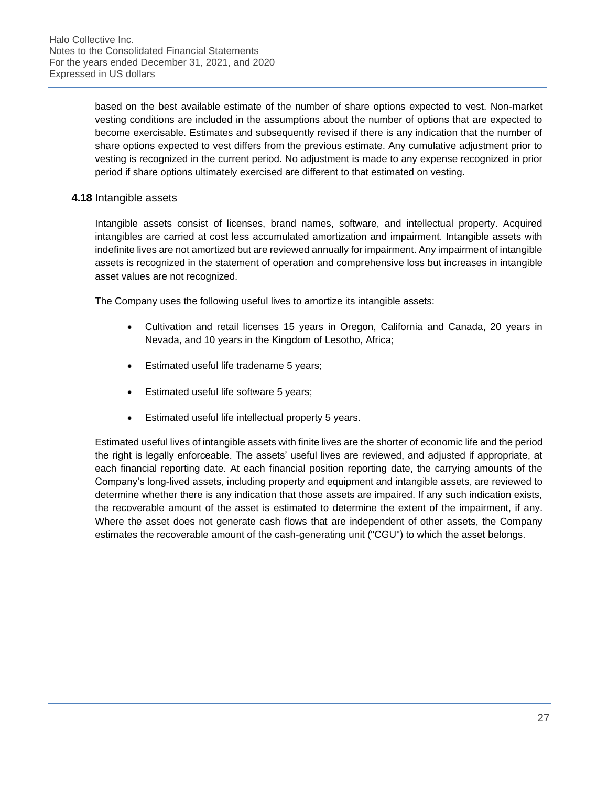based on the best available estimate of the number of share options expected to vest. Non-market vesting conditions are included in the assumptions about the number of options that are expected to become exercisable. Estimates and subsequently revised if there is any indication that the number of share options expected to vest differs from the previous estimate. Any cumulative adjustment prior to vesting is recognized in the current period. No adjustment is made to any expense recognized in prior period if share options ultimately exercised are different to that estimated on vesting.

#### **4.18** Intangible assets

Intangible assets consist of licenses, brand names, software, and intellectual property. Acquired intangibles are carried at cost less accumulated amortization and impairment. Intangible assets with indefinite lives are not amortized but are reviewed annually for impairment. Any impairment of intangible assets is recognized in the statement of operation and comprehensive loss but increases in intangible asset values are not recognized.

The Company uses the following useful lives to amortize its intangible assets:

- Cultivation and retail licenses 15 years in Oregon, California and Canada, 20 years in Nevada, and 10 years in the Kingdom of Lesotho, Africa;
- Estimated useful life tradename 5 years;
- Estimated useful life software 5 years;
- Estimated useful life intellectual property 5 years.

Estimated useful lives of intangible assets with finite lives are the shorter of economic life and the period the right is legally enforceable. The assets' useful lives are reviewed, and adjusted if appropriate, at each financial reporting date. At each financial position reporting date, the carrying amounts of the Company's long-lived assets, including property and equipment and intangible assets, are reviewed to determine whether there is any indication that those assets are impaired. If any such indication exists, the recoverable amount of the asset is estimated to determine the extent of the impairment, if any. Where the asset does not generate cash flows that are independent of other assets, the Company estimates the recoverable amount of the cash-generating unit ("CGU") to which the asset belongs.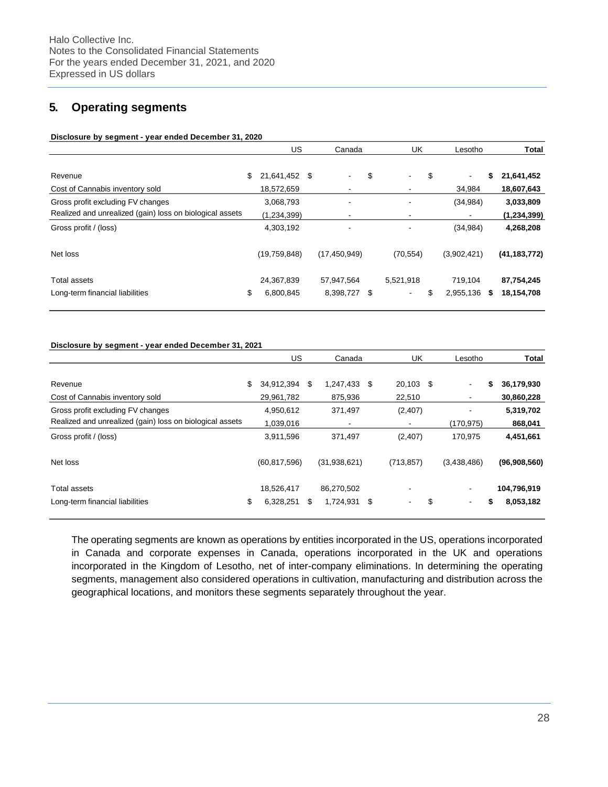# **5. Operating segments**

#### **Disclosure by segment - year ended December 31, 2020**

| US                                                       | Canada                   |  | <b>UK</b>                             | Lesotho              |          | <b>Total</b>             |
|----------------------------------------------------------|--------------------------|--|---------------------------------------|----------------------|----------|--------------------------|
| \$<br>21,641,452                                         | \$<br>۰                  |  | $\overline{\phantom{a}}$              | $\blacksquare$       | \$       | 21,641,452               |
| 18,572,659                                               | $\blacksquare$           |  | $\blacksquare$                        | 34.984               |          | 18,607,643               |
| 3,068,793                                                | $\overline{\phantom{a}}$ |  | $\overline{\phantom{a}}$              | (34, 984)            |          | 3,033,809                |
| (1,234,399)                                              | $\overline{\phantom{a}}$ |  |                                       |                      |          | (1, 234, 399)            |
| 4,303,192                                                | -                        |  | $\blacksquare$                        | (34, 984)            |          | 4,268,208                |
| (19,759,848)                                             | (17, 450, 949)           |  | (70, 554)                             | (3,902,421)          |          | (41, 183, 772)           |
| \$<br>24,367,839<br>6,800,845                            | 57,947,564               |  | 5,521,918<br>$\overline{\phantom{a}}$ | 719.104<br>2,955,136 | S        | 87,754,245<br>18,154,708 |
| Realized and unrealized (gain) loss on biological assets |                          |  | \$<br>8,398,727 \$                    |                      | \$<br>\$ |                          |

#### **Disclosure by segment - year ended December 31, 2021**

|                                                          | US.              | Canada                   |      | <b>UK</b>                      | Lesotho        | Total            |
|----------------------------------------------------------|------------------|--------------------------|------|--------------------------------|----------------|------------------|
| Revenue                                                  | \$<br>34,912,394 | \$<br>1,247,433          | - \$ | 20,103 \$                      | $\blacksquare$ | \$<br>36,179,930 |
| Cost of Cannabis inventory sold                          | 29,961,782       | 875.936                  |      | 22,510                         |                | 30,860,228       |
| Gross profit excluding FV changes                        | 4,950,612        | 371,497                  |      | (2,407)                        | -              | 5,319,702        |
| Realized and unrealized (gain) loss on biological assets | 1,039,016        | $\overline{\phantom{a}}$ |      | $\overline{\phantom{a}}$       | (170,975)      | 868,041          |
| Gross profit / (loss)                                    | 3,911,596        | 371.497                  |      | (2,407)                        | 170.975        | 4,451,661        |
| Net loss                                                 | (60, 817, 596)   | (31,938,621)             |      | (713, 857)                     | (3,438,486)    | (96,908,560)     |
| Total assets                                             | 18,526,417       | 86,270,502               |      | $\overline{\phantom{a}}$       |                | 104,796,919      |
| Long-term financial liabilities                          | \$<br>6,328,251  | \$<br>1,724,931          | \$   | \$<br>$\overline{\phantom{a}}$ | $\blacksquare$ | \$<br>8,053,182  |

The operating segments are known as operations by entities incorporated in the US, operations incorporated in Canada and corporate expenses in Canada, operations incorporated in the UK and operations incorporated in the Kingdom of Lesotho, net of inter-company eliminations. In determining the operating segments, management also considered operations in cultivation, manufacturing and distribution across the geographical locations, and monitors these segments separately throughout the year.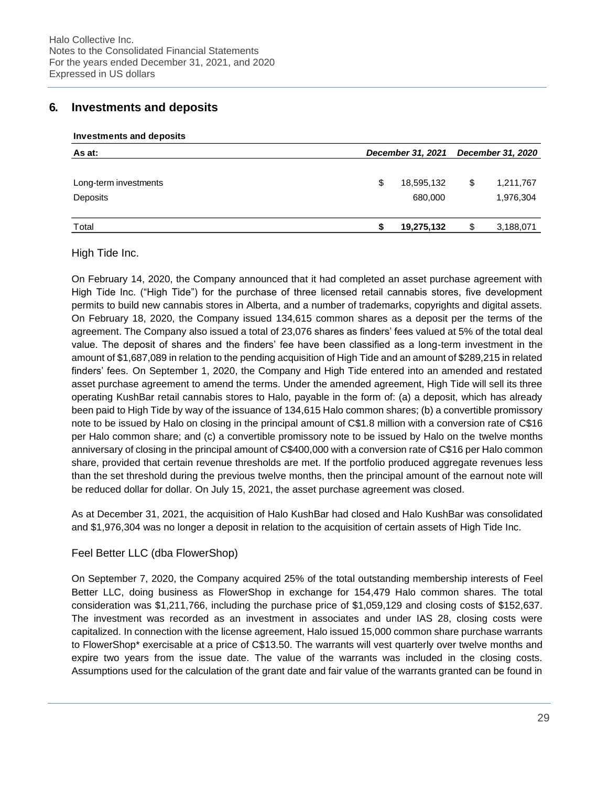# **6. Investments and deposits**

**Investments and deposits**

| As at:                | December 31, 2021 |            |    | <b>December 31, 2020</b> |  |  |
|-----------------------|-------------------|------------|----|--------------------------|--|--|
|                       |                   |            |    |                          |  |  |
| Long-term investments | \$                | 18,595,132 | \$ | 1,211,767                |  |  |
| Deposits              |                   | 680,000    |    | 1,976,304                |  |  |
| Total                 |                   | 19,275,132 |    | 3,188,071                |  |  |

High Tide Inc.

On February 14, 2020, the Company announced that it had completed an asset purchase agreement with High Tide Inc. ("High Tide") for the purchase of three licensed retail cannabis stores, five development permits to build new cannabis stores in Alberta, and a number of trademarks, copyrights and digital assets. On February 18, 2020, the Company issued 134,615 common shares as a deposit per the terms of the agreement. The Company also issued a total of 23,076 shares as finders' fees valued at 5% of the total deal value. The deposit of shares and the finders' fee have been classified as a long-term investment in the amount of \$1,687,089 in relation to the pending acquisition of High Tide and an amount of \$289,215 in related finders' fees. On September 1, 2020, the Company and High Tide entered into an amended and restated asset purchase agreement to amend the terms. Under the amended agreement, High Tide will sell its three operating KushBar retail cannabis stores to Halo, payable in the form of: (a) a deposit, which has already been paid to High Tide by way of the issuance of 134,615 Halo common shares; (b) a convertible promissory note to be issued by Halo on closing in the principal amount of C\$1.8 million with a conversion rate of C\$16 per Halo common share; and (c) a convertible promissory note to be issued by Halo on the twelve months anniversary of closing in the principal amount of C\$400,000 with a conversion rate of C\$16 per Halo common share, provided that certain revenue thresholds are met. If the portfolio produced aggregate revenues less than the set threshold during the previous twelve months, then the principal amount of the earnout note will be reduced dollar for dollar. On July 15, 2021, the asset purchase agreement was closed.

As at December 31, 2021, the acquisition of Halo KushBar had closed and Halo KushBar was consolidated and \$1,976,304 was no longer a deposit in relation to the acquisition of certain assets of High Tide Inc.

#### Feel Better LLC (dba FlowerShop)

On September 7, 2020, the Company acquired 25% of the total outstanding membership interests of Feel Better LLC, doing business as FlowerShop in exchange for 154,479 Halo common shares. The total consideration was \$1,211,766, including the purchase price of \$1,059,129 and closing costs of \$152,637. The investment was recorded as an investment in associates and under IAS 28, closing costs were capitalized. In connection with the license agreement, Halo issued 15,000 common share purchase warrants to FlowerShop\* exercisable at a price of C\$13.50. The warrants will vest quarterly over twelve months and expire two years from the issue date. The value of the warrants was included in the closing costs. Assumptions used for the calculation of the grant date and fair value of the warrants granted can be found in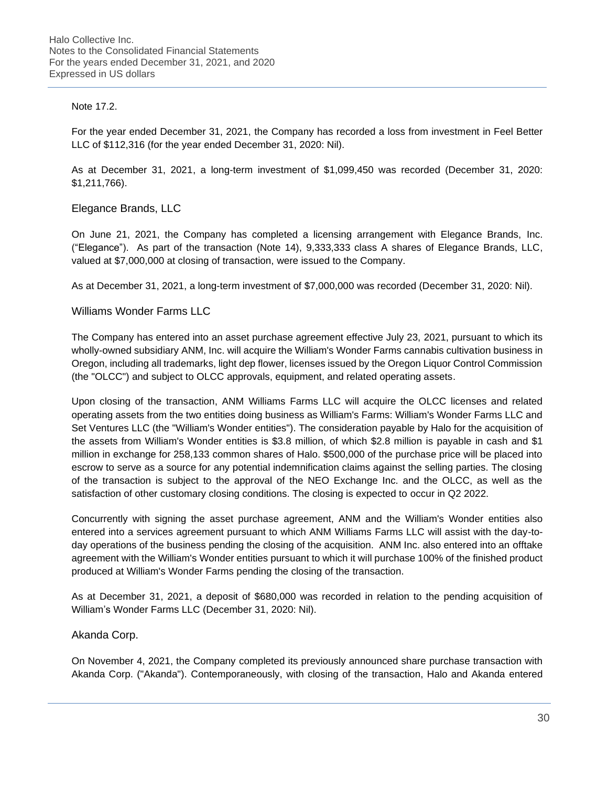#### Note 17.2.

For the year ended December 31, 2021, the Company has recorded a loss from investment in Feel Better LLC of \$112,316 (for the year ended December 31, 2020: Nil).

As at December 31, 2021, a long-term investment of \$1,099,450 was recorded (December 31, 2020: \$1,211,766).

Elegance Brands, LLC

On June 21, 2021, the Company has completed a licensing arrangement with Elegance Brands, Inc. ("Elegance"). As part of the transaction (Note 14), 9,333,333 class A shares of Elegance Brands, LLC, valued at \$7,000,000 at closing of transaction, were issued to the Company.

As at December 31, 2021, a long-term investment of \$7,000,000 was recorded (December 31, 2020: Nil).

#### Williams Wonder Farms LLC

The Company has entered into an asset purchase agreement effective July 23, 2021, pursuant to which its wholly-owned subsidiary ANM, Inc. will acquire the William's Wonder Farms cannabis cultivation business in Oregon, including all trademarks, light dep flower, licenses issued by the Oregon Liquor Control Commission (the "OLCC") and subject to OLCC approvals, equipment, and related operating assets.

Upon closing of the transaction, ANM Williams Farms LLC will acquire the OLCC licenses and related operating assets from the two entities doing business as William's Farms: William's Wonder Farms LLC and Set Ventures LLC (the "William's Wonder entities"). The consideration payable by Halo for the acquisition of the assets from William's Wonder entities is \$3.8 million, of which \$2.8 million is payable in cash and \$1 million in exchange for 258,133 common shares of Halo. \$500,000 of the purchase price will be placed into escrow to serve as a source for any potential indemnification claims against the selling parties. The closing of the transaction is subject to the approval of the NEO Exchange Inc. and the OLCC, as well as the satisfaction of other customary closing conditions. The closing is expected to occur in Q2 2022.

Concurrently with signing the asset purchase agreement, ANM and the William's Wonder entities also entered into a services agreement pursuant to which ANM Williams Farms LLC will assist with the day-today operations of the business pending the closing of the acquisition. ANM Inc. also entered into an offtake agreement with the William's Wonder entities pursuant to which it will purchase 100% of the finished product produced at William's Wonder Farms pending the closing of the transaction.

As at December 31, 2021, a deposit of \$680,000 was recorded in relation to the pending acquisition of William's Wonder Farms LLC (December 31, 2020: Nil).

#### Akanda Corp.

On November 4, 2021, the Company completed its previously announced share purchase transaction with Akanda Corp. ("Akanda"). Contemporaneously, with closing of the transaction, Halo and Akanda entered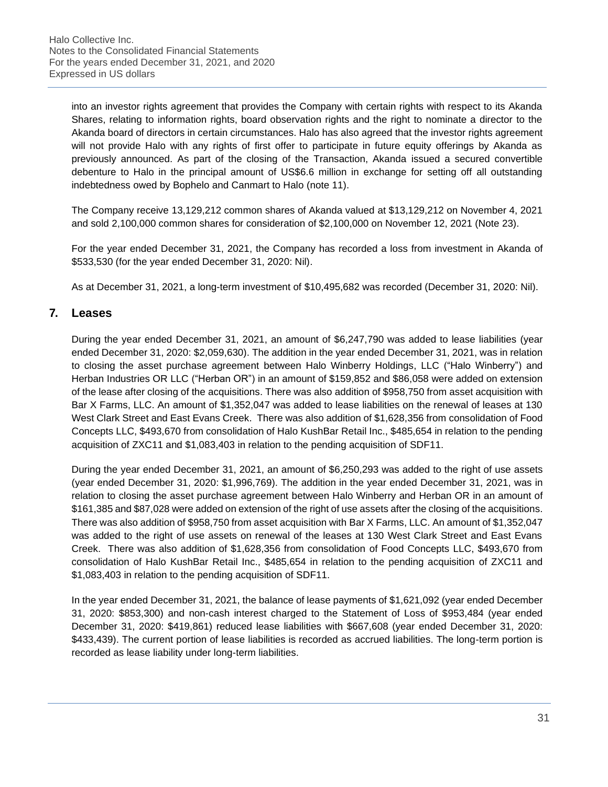into an investor rights agreement that provides the Company with certain rights with respect to its Akanda Shares, relating to information rights, board observation rights and the right to nominate a director to the Akanda board of directors in certain circumstances. Halo has also agreed that the investor rights agreement will not provide Halo with any rights of first offer to participate in future equity offerings by Akanda as previously announced. As part of the closing of the Transaction, Akanda issued a secured convertible debenture to Halo in the principal amount of US\$6.6 million in exchange for setting off all outstanding indebtedness owed by Bophelo and Canmart to Halo (note 11).

The Company receive 13,129,212 common shares of Akanda valued at \$13,129,212 on November 4, 2021 and sold 2,100,000 common shares for consideration of \$2,100,000 on November 12, 2021 (Note 23).

For the year ended December 31, 2021, the Company has recorded a loss from investment in Akanda of \$533,530 (for the year ended December 31, 2020: Nil).

As at December 31, 2021, a long-term investment of \$10,495,682 was recorded (December 31, 2020: Nil).

# **7. Leases**

During the year ended December 31, 2021, an amount of \$6,247,790 was added to lease liabilities (year ended December 31, 2020: \$2,059,630). The addition in the year ended December 31, 2021, was in relation to closing the asset purchase agreement between Halo Winberry Holdings, LLC ("Halo Winberry") and Herban Industries OR LLC ("Herban OR") in an amount of \$159,852 and \$86,058 were added on extension of the lease after closing of the acquisitions. There was also addition of \$958,750 from asset acquisition with Bar X Farms, LLC. An amount of \$1,352,047 was added to lease liabilities on the renewal of leases at 130 West Clark Street and East Evans Creek. There was also addition of \$1,628,356 from consolidation of Food Concepts LLC, \$493,670 from consolidation of Halo KushBar Retail Inc., \$485,654 in relation to the pending acquisition of ZXC11 and \$1,083,403 in relation to the pending acquisition of SDF11.

During the year ended December 31, 2021, an amount of \$6,250,293 was added to the right of use assets (year ended December 31, 2020: \$1,996,769). The addition in the year ended December 31, 2021, was in relation to closing the asset purchase agreement between Halo Winberry and Herban OR in an amount of \$161,385 and \$87,028 were added on extension of the right of use assets after the closing of the acquisitions. There was also addition of \$958,750 from asset acquisition with Bar X Farms, LLC. An amount of \$1,352,047 was added to the right of use assets on renewal of the leases at 130 West Clark Street and East Evans Creek. There was also addition of \$1,628,356 from consolidation of Food Concepts LLC, \$493,670 from consolidation of Halo KushBar Retail Inc., \$485,654 in relation to the pending acquisition of ZXC11 and \$1,083,403 in relation to the pending acquisition of SDF11.

In the year ended December 31, 2021, the balance of lease payments of \$1,621,092 (year ended December 31, 2020: \$853,300) and non-cash interest charged to the Statement of Loss of \$953,484 (year ended December 31, 2020: \$419,861) reduced lease liabilities with \$667,608 (year ended December 31, 2020: \$433,439). The current portion of lease liabilities is recorded as accrued liabilities. The long-term portion is recorded as lease liability under long-term liabilities.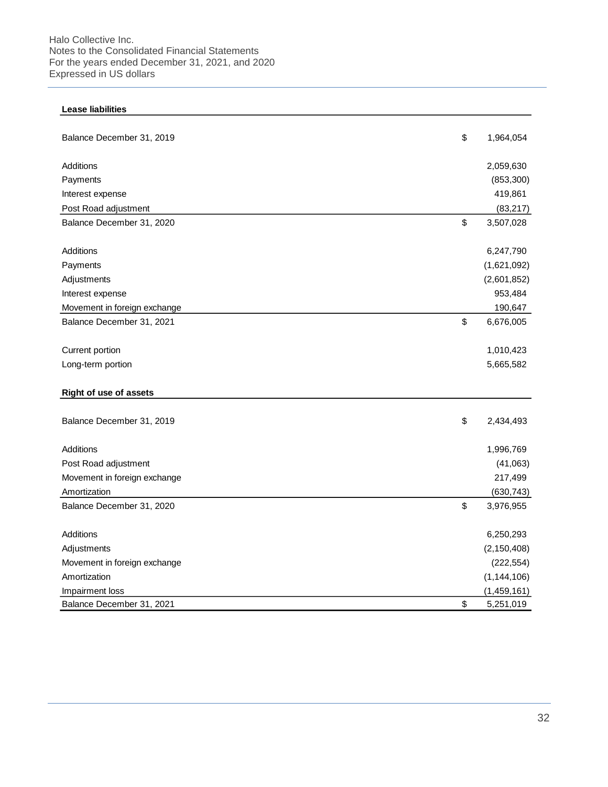Halo Collective Inc. Notes to the Consolidated Financial Statements For the years ended December 31, 2021, and 2020 Expressed in US dollars

| Balance December 31, 2019       | \$<br>1,964,054 |
|---------------------------------|-----------------|
|                                 |                 |
| Additions                       | 2,059,630       |
| Payments                        | (853, 300)      |
| Interest expense                | 419,861         |
| Post Road adjustment            | (83, 217)       |
| Balance December 31, 2020       | \$<br>3,507,028 |
| Additions                       | 6,247,790       |
| Payments                        | (1,621,092)     |
| Adjustments                     | (2,601,852)     |
| Interest expense                | 953,484         |
| Movement in foreign exchange    | 190,647         |
| Balance December 31, 2021       | \$<br>6,676,005 |
| Current portion                 | 1,010,423       |
| Long-term portion               | 5,665,582       |
| <b>Right of use of assets</b>   |                 |
|                                 |                 |
| Balance December 31, 2019       | \$<br>2,434,493 |
| Additions                       | 1,996,769       |
| Post Road adjustment            | (41,063)        |
| Movement in foreign exchange    | 217,499         |
| Amortization                    | (630, 743)      |
| Balance December 31, 2020       | \$<br>3,976,955 |
| Additions                       | 6,250,293       |
| Adjustments                     | (2, 150, 408)   |
| Movement in foreign exchange    | (222, 554)      |
|                                 | (1, 144, 106)   |
|                                 |                 |
| Amortization<br>Impairment loss | (1,459,161)     |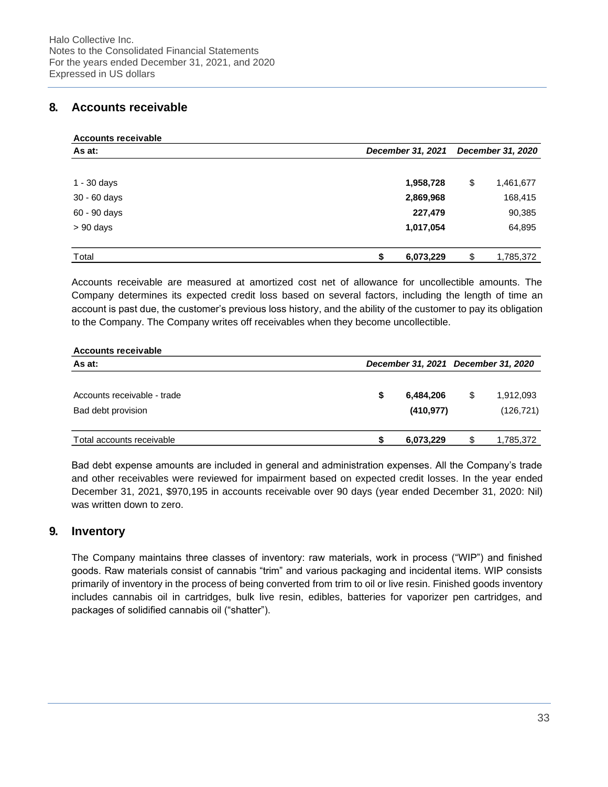# **8. Accounts receivable**

| Accounts receivable |                   |                   |  |  |
|---------------------|-------------------|-------------------|--|--|
| As at:              | December 31, 2021 | December 31, 2020 |  |  |
|                     |                   |                   |  |  |
| 1 - 30 days         | 1,958,728         | \$<br>1,461,677   |  |  |
| 30 - 60 days        | 2,869,968         | 168,415           |  |  |
| 60 - 90 days        | 227,479           | 90,385            |  |  |
| $> 90$ days         | 1,017,054         | 64,895            |  |  |
|                     |                   |                   |  |  |
| Total               | \$<br>6,073,229   | \$<br>1,785,372   |  |  |

Accounts receivable are measured at amortized cost net of allowance for uncollectible amounts. The Company determines its expected credit loss based on several factors, including the length of time an account is past due, the customer's previous loss history, and the ability of the customer to pay its obligation to the Company. The Company writes off receivables when they become uncollectible.

| <b>Accounts receivable</b>  |  |            |                                     |            |  |
|-----------------------------|--|------------|-------------------------------------|------------|--|
| As at:                      |  |            | December 31, 2021 December 31, 2020 |            |  |
|                             |  |            |                                     |            |  |
| Accounts receivable - trade |  | 6,484,206  | \$                                  | 1,912,093  |  |
| Bad debt provision          |  | (410, 977) |                                     | (126, 721) |  |
| Total accounts receivable   |  | 6,073,229  | S                                   | 1,785,372  |  |

Bad debt expense amounts are included in general and administration expenses. All the Company's trade and other receivables were reviewed for impairment based on expected credit losses. In the year ended December 31, 2021, \$970,195 in accounts receivable over 90 days (year ended December 31, 2020: Nil) was written down to zero.

# **9. Inventory**

The Company maintains three classes of inventory: raw materials, work in process ("WIP") and finished goods. Raw materials consist of cannabis "trim" and various packaging and incidental items. WIP consists primarily of inventory in the process of being converted from trim to oil or live resin. Finished goods inventory includes cannabis oil in cartridges, bulk live resin, edibles, batteries for vaporizer pen cartridges, and packages of solidified cannabis oil ("shatter").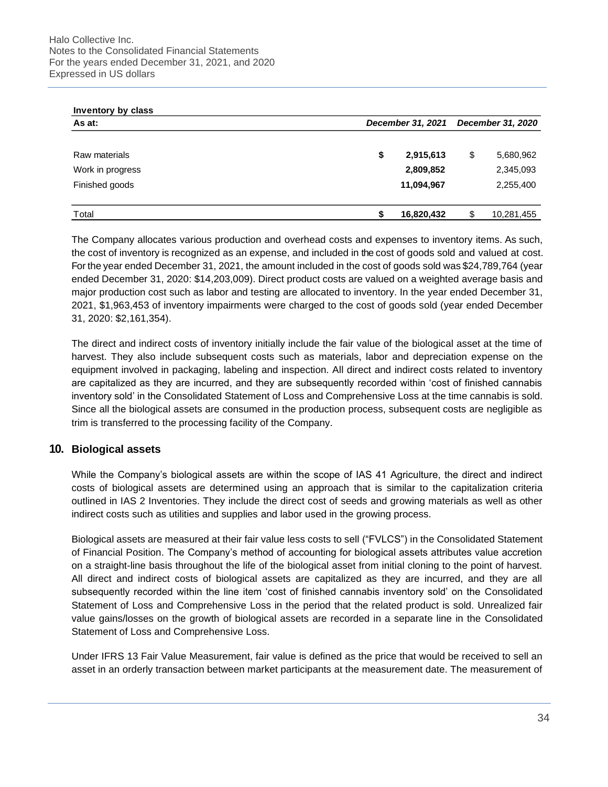| Inventory by class |                   |    |            |
|--------------------|-------------------|----|------------|
| As at:             | December 31, 2021 |    |            |
|                    |                   |    |            |
| Raw materials      | \$<br>2,915,613   | \$ | 5,680,962  |
| Work in progress   | 2,809,852         |    | 2,345,093  |
| Finished goods     | 11,094,967        |    | 2,255,400  |
| Total              | 16,820,432        | \$ | 10,281,455 |

The Company allocates various production and overhead costs and expenses to inventory items. As such, the cost of inventory is recognized as an expense, and included in the cost of goods sold and valued at cost. For the year ended December 31, 2021, the amount included in the cost of goods sold was \$24,789,764 (year ended December 31, 2020: \$14,203,009). Direct product costs are valued on a weighted average basis and major production cost such as labor and testing are allocated to inventory. In the year ended December 31, 2021, \$1,963,453 of inventory impairments were charged to the cost of goods sold (year ended December 31, 2020: \$2,161,354).

The direct and indirect costs of inventory initially include the fair value of the biological asset at the time of harvest. They also include subsequent costs such as materials, labor and depreciation expense on the equipment involved in packaging, labeling and inspection. All direct and indirect costs related to inventory are capitalized as they are incurred, and they are subsequently recorded within 'cost of finished cannabis inventory sold' in the Consolidated Statement of Loss and Comprehensive Loss at the time cannabis is sold. Since all the biological assets are consumed in the production process, subsequent costs are negligible as trim is transferred to the processing facility of the Company.

# **10. Biological assets**

While the Company's biological assets are within the scope of IAS 41 Agriculture, the direct and indirect costs of biological assets are determined using an approach that is similar to the capitalization criteria outlined in IAS 2 Inventories. They include the direct cost of seeds and growing materials as well as other indirect costs such as utilities and supplies and labor used in the growing process.

Biological assets are measured at their fair value less costs to sell ("FVLCS") in the Consolidated Statement of Financial Position. The Company's method of accounting for biological assets attributes value accretion on a straight-line basis throughout the life of the biological asset from initial cloning to the point of harvest. All direct and indirect costs of biological assets are capitalized as they are incurred, and they are all subsequently recorded within the line item 'cost of finished cannabis inventory sold' on the Consolidated Statement of Loss and Comprehensive Loss in the period that the related product is sold. Unrealized fair value gains/losses on the growth of biological assets are recorded in a separate line in the Consolidated Statement of Loss and Comprehensive Loss.

Under IFRS 13 Fair Value Measurement, fair value is defined as the price that would be received to sell an asset in an orderly transaction between market participants at the measurement date. The measurement of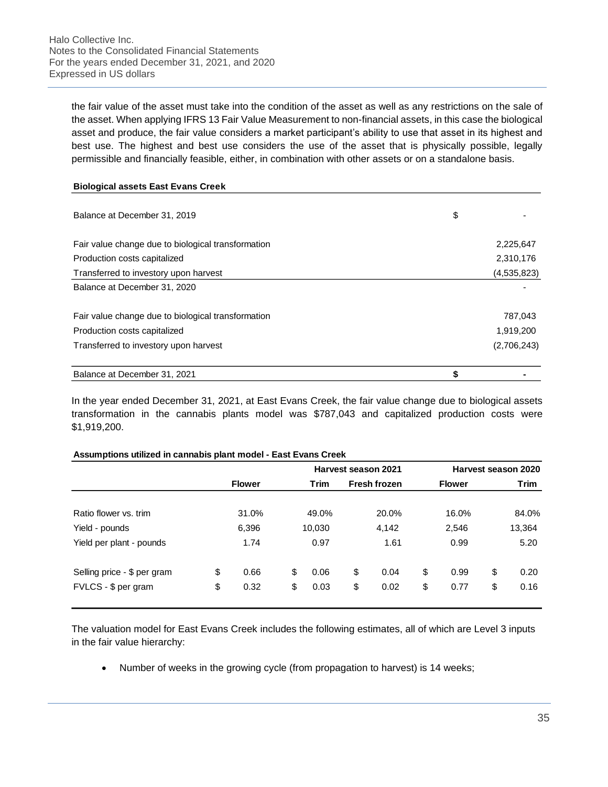the fair value of the asset must take into the condition of the asset as well as any restrictions on the sale of the asset. When applying IFRS 13 Fair Value Measurement to non-financial assets, in this case the biological asset and produce, the fair value considers a market participant's ability to use that asset in its highest and best use. The highest and best use considers the use of the asset that is physically possible, legally permissible and financially feasible, either, in combination with other assets or on a standalone basis.

#### **Biological assets East Evans Creek**

| Balance at December 31, 2019                       | \$          |
|----------------------------------------------------|-------------|
| Fair value change due to biological transformation | 2,225,647   |
| Production costs capitalized                       | 2,310,176   |
| Transferred to investory upon harvest              | (4,535,823) |
| Balance at December 31, 2020                       |             |
| Fair value change due to biological transformation | 787.043     |
| Production costs capitalized                       | 1,919,200   |
| Transferred to investory upon harvest              | (2,706,243) |
| Balance at December 31, 2021                       | \$          |

In the year ended December 31, 2021, at East Evans Creek, the fair value change due to biological assets transformation in the cannabis plants model was \$787,043 and capitalized production costs were \$1,919,200.

#### **Assumptions utilized in cannabis plant model - East Evans Creek**

|                             |    |               | Harvest season 2021 |             |    |                     | Harvest season 2020 |    |        |  |
|-----------------------------|----|---------------|---------------------|-------------|----|---------------------|---------------------|----|--------|--|
|                             |    | <b>Flower</b> |                     | <b>Trim</b> |    | <b>Fresh frozen</b> | <b>Flower</b>       |    | Trim   |  |
| Ratio flower vs. trim       |    | 31.0%         |                     | 49.0%       |    | 20.0%               | 16.0%               |    | 84.0%  |  |
| Yield - pounds              |    | 6,396         |                     | 10,030      |    | 4,142               | 2,546               |    | 13,364 |  |
| Yield per plant - pounds    |    | 1.74          |                     | 0.97        |    | 1.61                | 0.99                |    | 5.20   |  |
| Selling price - \$ per gram | \$ | 0.66          | \$                  | 0.06        | \$ | 0.04                | \$<br>0.99          | \$ | 0.20   |  |
| FVLCS - \$ per gram         | \$ | 0.32          | \$                  | 0.03        | \$ | 0.02                | \$<br>0.77          | \$ | 0.16   |  |

The valuation model for East Evans Creek includes the following estimates, all of which are Level 3 inputs in the fair value hierarchy:

• Number of weeks in the growing cycle (from propagation to harvest) is 14 weeks;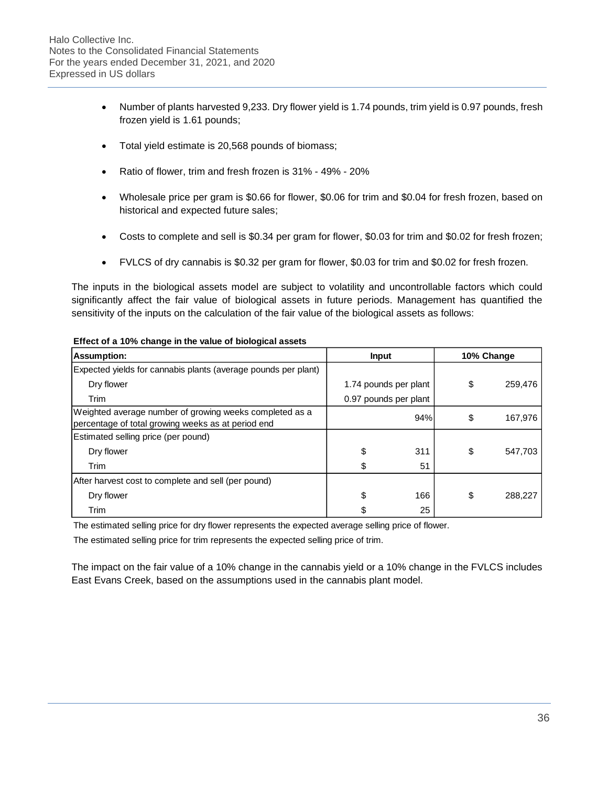- Number of plants harvested 9,233. Dry flower yield is 1.74 pounds, trim yield is 0.97 pounds, fresh frozen yield is 1.61 pounds;
- Total yield estimate is 20,568 pounds of biomass;
- Ratio of flower, trim and fresh frozen is 31% 49% 20%
- Wholesale price per gram is \$0.66 for flower, \$0.06 for trim and \$0.04 for fresh frozen, based on historical and expected future sales;
- Costs to complete and sell is \$0.34 per gram for flower, \$0.03 for trim and \$0.02 for fresh frozen;
- FVLCS of dry cannabis is \$0.32 per gram for flower, \$0.03 for trim and \$0.02 for fresh frozen.

The inputs in the biological assets model are subject to volatility and uncontrollable factors which could significantly affect the fair value of biological assets in future periods. Management has quantified the sensitivity of the inputs on the calculation of the fair value of the biological assets as follows:

| <b>Assumption:</b>                                                                                            | <b>Input</b>          |     | 10% Change |         |  |  |  |
|---------------------------------------------------------------------------------------------------------------|-----------------------|-----|------------|---------|--|--|--|
| Expected yields for cannabis plants (average pounds per plant)                                                |                       |     |            |         |  |  |  |
| Dry flower                                                                                                    | 1.74 pounds per plant |     | \$         | 259,476 |  |  |  |
| Trim                                                                                                          | 0.97 pounds per plant |     |            |         |  |  |  |
| Weighted average number of growing weeks completed as a<br>percentage of total growing weeks as at period end |                       | 94% | \$         | 167,976 |  |  |  |
| Estimated selling price (per pound)                                                                           |                       |     |            |         |  |  |  |
| Dry flower                                                                                                    | \$                    | 311 | \$         | 547,703 |  |  |  |
| Trim                                                                                                          | \$                    | 51  |            |         |  |  |  |
| After harvest cost to complete and sell (per pound)                                                           |                       |     |            |         |  |  |  |
| Dry flower                                                                                                    | \$                    | 166 | \$         | 288,227 |  |  |  |
| Trim                                                                                                          | \$                    | 25  |            |         |  |  |  |

#### **Effect of a 10% change in the value of biological assets**

The estimated selling price for dry flower represents the expected average selling price of flower.

The estimated selling price for trim represents the expected selling price of trim.

The impact on the fair value of a 10% change in the cannabis yield or a 10% change in the FVLCS includes East Evans Creek, based on the assumptions used in the cannabis plant model.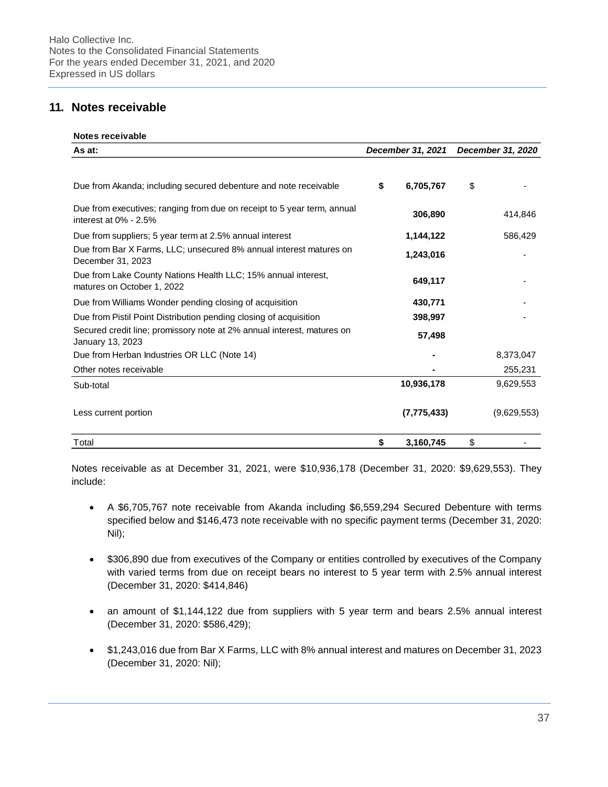# **11. Notes receivable**

| Notes receivable |
|------------------|
|                  |

| As at:                                                                                              | December 31, 2021 | December 31, 2020 |             |  |  |
|-----------------------------------------------------------------------------------------------------|-------------------|-------------------|-------------|--|--|
| Due from Akanda; including secured debenture and note receivable                                    | \$<br>6,705,767   | \$                |             |  |  |
|                                                                                                     |                   |                   |             |  |  |
| Due from executives; ranging from due on receipt to 5 year term, annual<br>interest at $0\%$ - 2.5% | 306,890           |                   | 414,846     |  |  |
| Due from suppliers; 5 year term at 2.5% annual interest                                             | 1,144,122         |                   | 586,429     |  |  |
| Due from Bar X Farms, LLC; unsecured 8% annual interest matures on<br>December 31, 2023             | 1,243,016         |                   |             |  |  |
| Due from Lake County Nations Health LLC; 15% annual interest,<br>matures on October 1, 2022         | 649,117           |                   |             |  |  |
| Due from Williams Wonder pending closing of acquisition                                             | 430,771           |                   |             |  |  |
| Due from Pistil Point Distribution pending closing of acquisition                                   | 398,997           |                   |             |  |  |
| Secured credit line; promissory note at 2% annual interest, matures on<br>January 13, 2023          | 57,498            |                   |             |  |  |
| Due from Herban Industries OR LLC (Note 14)                                                         |                   |                   | 8,373,047   |  |  |
| Other notes receivable                                                                              |                   |                   | 255,231     |  |  |
| Sub-total                                                                                           | 10,936,178        |                   | 9,629,553   |  |  |
| Less current portion                                                                                | (7, 775, 433)     |                   | (9,629,553) |  |  |
| Total                                                                                               | \$<br>3,160,745   | \$                |             |  |  |

Notes receivable as at December 31, 2021, were \$10,936,178 (December 31, 2020: \$9,629,553). They include:

- A \$6,705,767 note receivable from Akanda including \$6,559,294 Secured Debenture with terms specified below and \$146,473 note receivable with no specific payment terms (December 31, 2020: Nil);
- \$306,890 due from executives of the Company or entities controlled by executives of the Company with varied terms from due on receipt bears no interest to 5 year term with 2.5% annual interest (December 31, 2020: \$414,846)
- an amount of \$1,144,122 due from suppliers with 5 year term and bears 2.5% annual interest (December 31, 2020: \$586,429);
- \$1,243,016 due from Bar X Farms, LLC with 8% annual interest and matures on December 31, 2023 (December 31, 2020: Nil);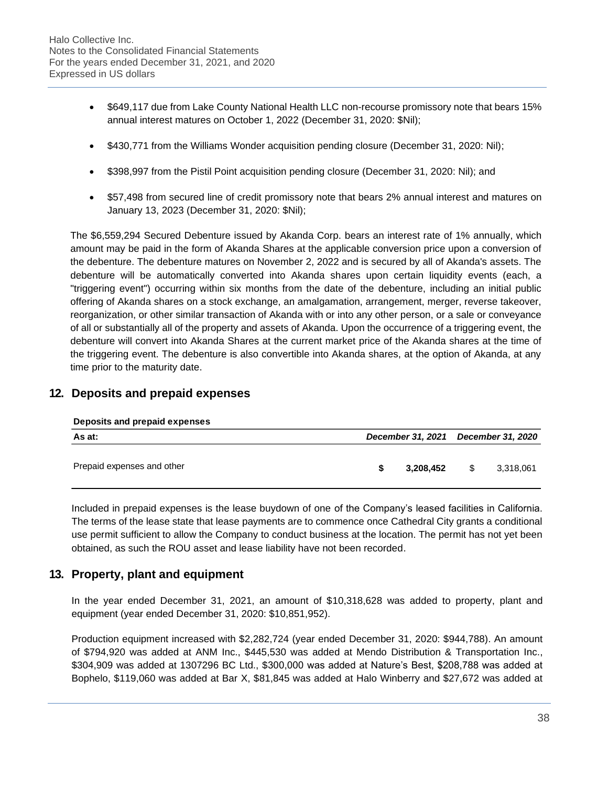- \$649,117 due from Lake County National Health LLC non-recourse promissory note that bears 15% annual interest matures on October 1, 2022 (December 31, 2020: \$Nil);
- \$430,771 from the Williams Wonder acquisition pending closure (December 31, 2020: Nil);
- \$398,997 from the Pistil Point acquisition pending closure (December 31, 2020: Nil); and
- \$57,498 from secured line of credit promissory note that bears 2% annual interest and matures on January 13, 2023 (December 31, 2020: \$Nil);

The \$6,559,294 Secured Debenture issued by Akanda Corp. bears an interest rate of 1% annually, which amount may be paid in the form of Akanda Shares at the applicable conversion price upon a conversion of the debenture. The debenture matures on November 2, 2022 and is secured by all of Akanda's assets. The debenture will be automatically converted into Akanda shares upon certain liquidity events (each, a "triggering event") occurring within six months from the date of the debenture, including an initial public offering of Akanda shares on a stock exchange, an amalgamation, arrangement, merger, reverse takeover, reorganization, or other similar transaction of Akanda with or into any other person, or a sale or conveyance of all or substantially all of the property and assets of Akanda. Upon the occurrence of a triggering event, the debenture will convert into Akanda Shares at the current market price of the Akanda shares at the time of the triggering event. The debenture is also convertible into Akanda shares, at the option of Akanda, at any time prior to the maturity date.

# **12. Deposits and prepaid expenses**

### **Deposits and prepaid expenses**

| As at:                     |  |           | December 31, 2021 December 31, 2020 |           |  |  |
|----------------------------|--|-----------|-------------------------------------|-----------|--|--|
| Prepaid expenses and other |  | 3,208,452 | \$                                  | 3,318,061 |  |  |

Included in prepaid expenses is the lease buydown of one of the Company's leased facilities in California. The terms of the lease state that lease payments are to commence once Cathedral City grants a conditional use permit sufficient to allow the Company to conduct business at the location. The permit has not yet been obtained, as such the ROU asset and lease liability have not been recorded.

# **13. Property, plant and equipment**

In the year ended December 31, 2021, an amount of \$10,318,628 was added to property, plant and equipment (year ended December 31, 2020: \$10,851,952).

Production equipment increased with \$2,282,724 (year ended December 31, 2020: \$944,788). An amount of \$794,920 was added at ANM Inc., \$445,530 was added at Mendo Distribution & Transportation Inc., \$304,909 was added at 1307296 BC Ltd., \$300,000 was added at Nature's Best, \$208,788 was added at Bophelo, \$119,060 was added at Bar X, \$81,845 was added at Halo Winberry and \$27,672 was added at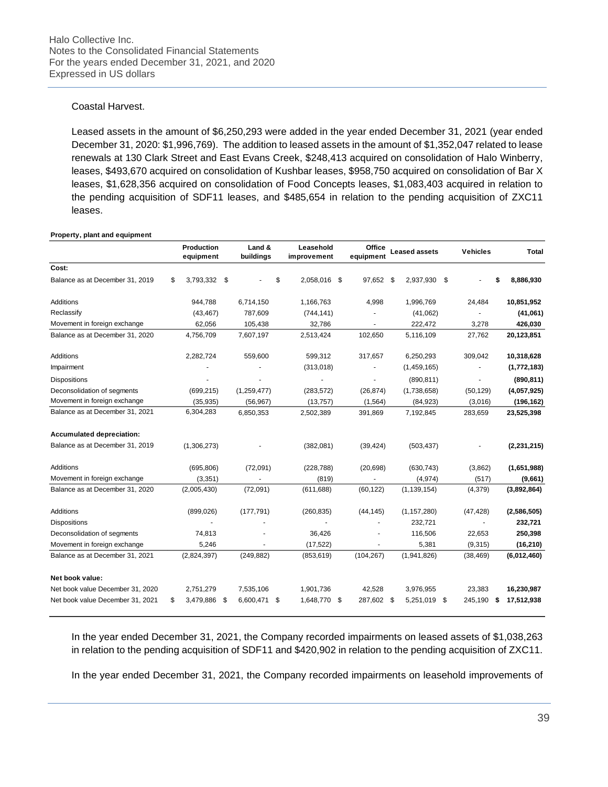### Coastal Harvest.

Leased assets in the amount of \$6,250,293 were added in the year ended December 31, 2021 (year ended December 31, 2020: \$1,996,769). The addition to leased assets in the amount of \$1,352,047 related to lease renewals at 130 Clark Street and East Evans Creek, \$248,413 acquired on consolidation of Halo Winberry, leases, \$493,670 acquired on consolidation of Kushbar leases, \$958,750 acquired on consolidation of Bar X leases, \$1,628,356 acquired on consolidation of Food Concepts leases, \$1,083,403 acquired in relation to the pending acquisition of SDF11 leases, and \$485,654 in relation to the pending acquisition of ZXC11 leases.

#### **Property, plant and equipment**

|                                  | Production<br>equipment |      | Land &<br>buildings |     | Leasehold<br>improvement | Office<br>equipment | <b>Leased assets</b> |      | Vehicles  |    | <b>Total</b>  |
|----------------------------------|-------------------------|------|---------------------|-----|--------------------------|---------------------|----------------------|------|-----------|----|---------------|
| Cost:                            |                         |      |                     |     |                          |                     |                      |      |           |    |               |
| Balance as at December 31, 2019  | \$<br>3,793,332 \$      |      |                     | \$  | 2,058,016 \$             | 97,652 \$           | 2,937,930            | - \$ |           | S  | 8,886,930     |
| <b>Additions</b>                 | 944,788                 |      | 6,714,150           |     | 1,166,763                | 4,998               | 1,996,769            |      | 24,484    |    | 10,851,952    |
| Reclassify                       | (43, 467)               |      | 787,609             |     | (744, 141)               |                     | (41,062)             |      |           |    | (41,061)      |
| Movement in foreign exchange     | 62,056                  |      | 105,438             |     | 32,786                   |                     | 222,472              |      | 3,278     |    | 426,030       |
| Balance as at December 31, 2020  | 4,756,709               |      | 7,607,197           |     | 2,513,424                | 102,650             | 5,116,109            |      | 27,762    |    | 20,123,851    |
| <b>Additions</b>                 | 2,282,724               |      | 559,600             |     | 599,312                  | 317,657             | 6,250,293            |      | 309,042   |    | 10,318,628    |
| Impairment                       |                         |      |                     |     | (313,018)                |                     | (1,459,165)          |      |           |    | (1,772,183)   |
| <b>Dispositions</b>              |                         |      |                     |     |                          |                     | (890, 811)           |      |           |    | (890, 811)    |
| Deconsolidation of segments      | (699, 215)              |      | (1, 259, 477)       |     | (283, 572)               | (26, 874)           | (1,738,658)          |      | (50, 129) |    | (4,057,925)   |
| Movement in foreign exchange     | (35, 935)               |      | (56, 967)           |     | (13, 757)                | (1, 564)            | (84, 923)            |      | (3,016)   |    | (196, 162)    |
| Balance as at December 31, 2021  | 6,304,283               |      | 6,850,353           |     | 2,502,389                | 391,869             | 7,192,845            |      | 283,659   |    | 23,525,398    |
| Accumulated depreciation:        |                         |      |                     |     |                          |                     |                      |      |           |    |               |
| Balance as at December 31, 2019  | (1,306,273)             |      |                     |     | (382, 081)               | (39, 424)           | (503, 437)           |      |           |    | (2, 231, 215) |
| Additions                        | (695, 806)              |      | (72,091)            |     | (228, 788)               | (20, 698)           | (630, 743)           |      | (3,862)   |    | (1,651,988)   |
| Movement in foreign exchange     | (3, 351)                |      |                     |     | (819)                    |                     | (4,974)              |      | (517)     |    | (9,661)       |
| Balance as at December 31, 2020  | (2,005,430)             |      | (72,091)            |     | (611, 688)               | (60, 122)           | (1, 139, 154)        |      | (4,379)   |    | (3,892,864)   |
| Additions                        | (899, 026)              |      | (177, 791)          |     | (260, 835)               | (44, 145)           | (1, 157, 280)        |      | (47, 428) |    | (2,586,505)   |
| <b>Dispositions</b>              |                         |      |                     |     |                          |                     | 232,721              |      |           |    | 232,721       |
| Deconsolidation of segments      | 74,813                  |      |                     |     | 36,426                   |                     | 116,506              |      | 22,653    |    | 250,398       |
| Movement in foreign exchange     | 5,246                   |      |                     |     | (17, 522)                |                     | 5,381                |      | (9,315)   |    | (16, 210)     |
| Balance as at December 31, 2021  | (2,824,397)             |      | (249, 882)          |     | (853, 619)               | (104, 267)          | (1,941,826)          |      | (38, 469) |    | (6,012,460)   |
| Net book value:                  |                         |      |                     |     |                          |                     |                      |      |           |    |               |
| Net book value December 31, 2020 | 2,751,279               |      | 7,535,106           |     | 1,901,736                | 42,528              | 3,976,955            |      | 23,383    |    | 16,230,987    |
| Net book value December 31, 2021 | \$<br>3,479,886         | - \$ | 6,600,471           | -\$ | 1,648,770 \$             | 287,602 \$          | 5,251,019            | \$   | 245,190   | \$ | 17,512,938    |

In the year ended December 31, 2021, the Company recorded impairments on leased assets of \$1,038,263 in relation to the pending acquisition of SDF11 and \$420,902 in relation to the pending acquisition of ZXC11.

In the year ended December 31, 2021, the Company recorded impairments on leasehold improvements of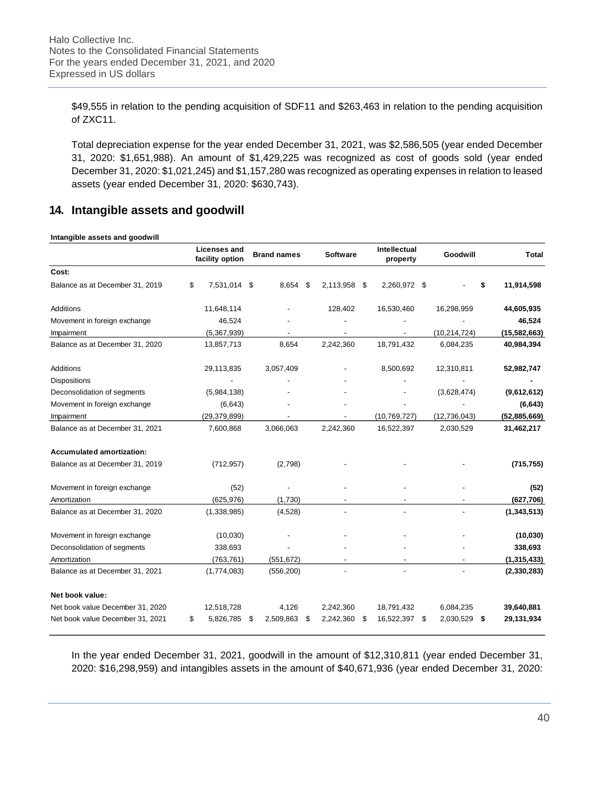\$49,555 in relation to the pending acquisition of SDF11 and \$263,463 in relation to the pending acquisition of ZXC11.

Total depreciation expense for the year ended December 31, 2021, was \$2,586,505 (year ended December 31, 2020: \$1,651,988). An amount of \$1,429,225 was recognized as cost of goods sold (year ended December 31, 2020: \$1,021,245) and \$1,157,280 was recognized as operating expenses in relation to leased assets (year ended December 31, 2020: \$630,743).

# **14. Intangible assets and goodwill**

#### **Intangible assets and goodwill**

|                                  | <b>Licenses and</b><br>facility option |    | <b>Brand names</b> |  | <b>Software</b> |      | Intellectual<br>property |                | Goodwill       |            | <b>Total</b>  |  |      |  |           |  |            |  |               |
|----------------------------------|----------------------------------------|----|--------------------|--|-----------------|------|--------------------------|----------------|----------------|------------|---------------|--|------|--|-----------|--|------------|--|---------------|
| Cost:                            |                                        |    |                    |  |                 |      |                          |                |                |            |               |  |      |  |           |  |            |  |               |
| Balance as at December 31, 2019  | \$<br>7,531,014 \$                     |    | 8,654 \$           |  | 2,113,958       | - \$ | 2,260,972 \$             |                |                |            | 11,914,598    |  |      |  |           |  |            |  |               |
| Additions                        | 11,648,114                             |    |                    |  | 128,402         |      | 16,530,460               |                | 16,298,959     |            | 44,605,935    |  |      |  |           |  |            |  |               |
| Movement in foreign exchange     | 46,524                                 |    |                    |  |                 |      |                          |                |                |            | 46,524        |  |      |  |           |  |            |  |               |
| Impairment                       | (5,367,939)                            |    |                    |  |                 |      |                          |                | (10, 214, 724) |            | (15,582,663)  |  |      |  |           |  |            |  |               |
| Balance as at December 31, 2020  | 13,857,713                             |    | 8,654              |  |                 |      |                          |                | 2,242,360      | 18,791,432 |               |  |      |  | 6,084,235 |  | 40,984,394 |  |               |
| Additions                        | 29,113,835                             |    | 3,057,409          |  |                 |      | 8,500,692                |                | 12,310,811     |            | 52,982,747    |  |      |  |           |  |            |  |               |
| <b>Dispositions</b>              |                                        |    |                    |  |                 |      |                          |                |                |            |               |  |      |  |           |  |            |  |               |
| Deconsolidation of segments      | (5,984,138)                            |    |                    |  |                 |      |                          |                | (3,628,474)    |            | (9,612,612)   |  |      |  |           |  |            |  |               |
| Movement in foreign exchange     | (6,643)                                |    |                    |  |                 |      |                          |                |                |            | (6, 643)      |  |      |  |           |  |            |  |               |
| Impairment                       | (29, 379, 899)                         |    |                    |  |                 |      | (10, 769, 727)           | (12, 736, 043) |                |            | (52,885,669)  |  |      |  |           |  |            |  |               |
| Balance as at December 31, 2021  | 7,600,868                              |    | 3,066,063          |  | 2,242,360       |      | 16,522,397               |                | 2,030,529      |            | 31,462,217    |  |      |  |           |  |            |  |               |
| <b>Accumulated amortization:</b> |                                        |    |                    |  |                 |      |                          |                |                |            |               |  |      |  |           |  |            |  |               |
| Balance as at December 31, 2019  | (712, 957)                             |    | (2,798)            |  |                 |      |                          |                |                |            | (715, 755)    |  |      |  |           |  |            |  |               |
| Movement in foreign exchange     | (52)                                   |    |                    |  |                 |      |                          |                |                |            |               |  | (52) |  |           |  |            |  |               |
| Amortization                     | (625, 976)                             |    | (1,730)            |  |                 |      |                          |                |                |            | (627, 706)    |  |      |  |           |  |            |  |               |
| Balance as at December 31, 2020  | (1,338,985)                            |    | (4,528)            |  |                 |      |                          |                |                |            |               |  |      |  |           |  |            |  | (1, 343, 513) |
| Movement in foreign exchange     | (10,030)                               |    |                    |  |                 |      |                          |                |                |            | (10, 030)     |  |      |  |           |  |            |  |               |
| Deconsolidation of segments      | 338,693                                |    |                    |  |                 |      |                          |                |                |            | 338,693       |  |      |  |           |  |            |  |               |
| Amortization                     | (763, 761)                             |    | (551, 672)         |  |                 |      |                          |                |                |            | (1, 315, 433) |  |      |  |           |  |            |  |               |
| Balance as at December 31, 2021  | (1,774,083)                            |    | (556, 200)         |  |                 |      |                          |                |                |            | (2, 330, 283) |  |      |  |           |  |            |  |               |
| Net book value:                  |                                        |    |                    |  |                 |      |                          |                |                |            |               |  |      |  |           |  |            |  |               |
| Net book value December 31, 2020 | 12,518,728                             |    | 4,126              |  | 2,242,360       |      | 18,791,432               |                | 6,084,235      |            | 39,640,881    |  |      |  |           |  |            |  |               |
| Net book value December 31, 2021 | \$<br>5,826,785                        | \$ | 2,509,863<br>S     |  | 2,242,360       | S    | 16,522,397               | \$             | 2,030,529      | \$         | 29,131,934    |  |      |  |           |  |            |  |               |

In the year ended December 31, 2021, goodwill in the amount of \$12,310,811 (year ended December 31, 2020: \$16,298,959) and intangibles assets in the amount of \$40,671,936 (year ended December 31, 2020: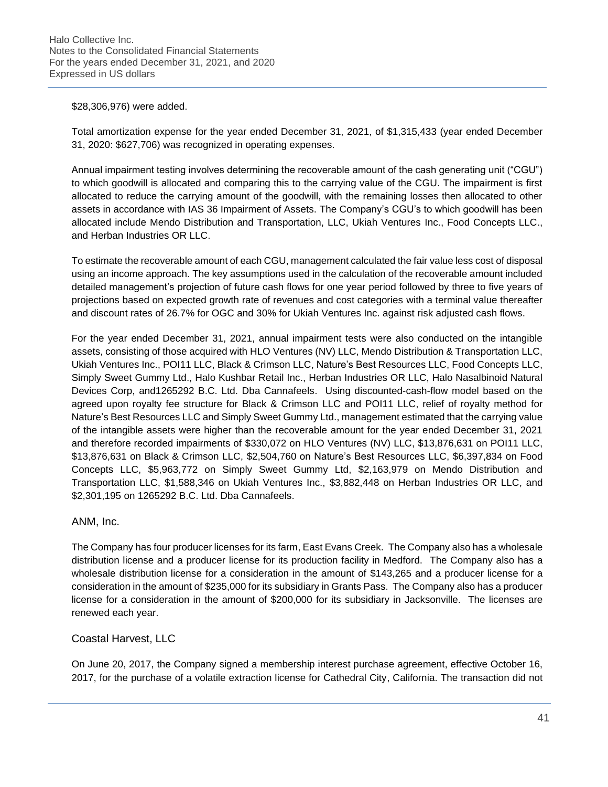## \$28,306,976) were added.

Total amortization expense for the year ended December 31, 2021, of \$1,315,433 (year ended December 31, 2020: \$627,706) was recognized in operating expenses.

Annual impairment testing involves determining the recoverable amount of the cash generating unit ("CGU") to which goodwill is allocated and comparing this to the carrying value of the CGU. The impairment is first allocated to reduce the carrying amount of the goodwill, with the remaining losses then allocated to other assets in accordance with IAS 36 Impairment of Assets. The Company's CGU's to which goodwill has been allocated include Mendo Distribution and Transportation, LLC, Ukiah Ventures Inc., Food Concepts LLC., and Herban Industries OR LLC.

To estimate the recoverable amount of each CGU, management calculated the fair value less cost of disposal using an income approach. The key assumptions used in the calculation of the recoverable amount included detailed management's projection of future cash flows for one year period followed by three to five years of projections based on expected growth rate of revenues and cost categories with a terminal value thereafter and discount rates of 26.7% for OGC and 30% for Ukiah Ventures Inc. against risk adjusted cash flows.

For the year ended December 31, 2021, annual impairment tests were also conducted on the intangible assets, consisting of those acquired with HLO Ventures (NV) LLC, Mendo Distribution & Transportation LLC, Ukiah Ventures Inc., POI11 LLC, Black & Crimson LLC, Nature's Best Resources LLC, Food Concepts LLC, Simply Sweet Gummy Ltd., Halo Kushbar Retail Inc., Herban Industries OR LLC, Halo Nasalbinoid Natural Devices Corp, and1265292 B.C. Ltd. Dba Cannafeels. Using discounted-cash-flow model based on the agreed upon royalty fee structure for Black & Crimson LLC and POI11 LLC, relief of royalty method for Nature's Best Resources LLC and Simply Sweet Gummy Ltd., management estimated that the carrying value of the intangible assets were higher than the recoverable amount for the year ended December 31, 2021 and therefore recorded impairments of \$330,072 on HLO Ventures (NV) LLC, \$13,876,631 on POI11 LLC, \$13,876,631 on Black & Crimson LLC, \$2,504,760 on Nature's Best Resources LLC, \$6,397,834 on Food Concepts LLC, \$5,963,772 on Simply Sweet Gummy Ltd, \$2,163,979 on Mendo Distribution and Transportation LLC, \$1,588,346 on Ukiah Ventures Inc., \$3,882,448 on Herban Industries OR LLC, and \$2,301,195 on 1265292 B.C. Ltd. Dba Cannafeels.

## ANM, Inc.

The Company has four producer licenses for its farm, East Evans Creek. The Company also has a wholesale distribution license and a producer license for its production facility in Medford. The Company also has a wholesale distribution license for a consideration in the amount of \$143,265 and a producer license for a consideration in the amount of \$235,000 for its subsidiary in Grants Pass. The Company also has a producer license for a consideration in the amount of \$200,000 for its subsidiary in Jacksonville. The licenses are renewed each year.

# Coastal Harvest, LLC

On June 20, 2017, the Company signed a membership interest purchase agreement, effective October 16, 2017, for the purchase of a volatile extraction license for Cathedral City, California. The transaction did not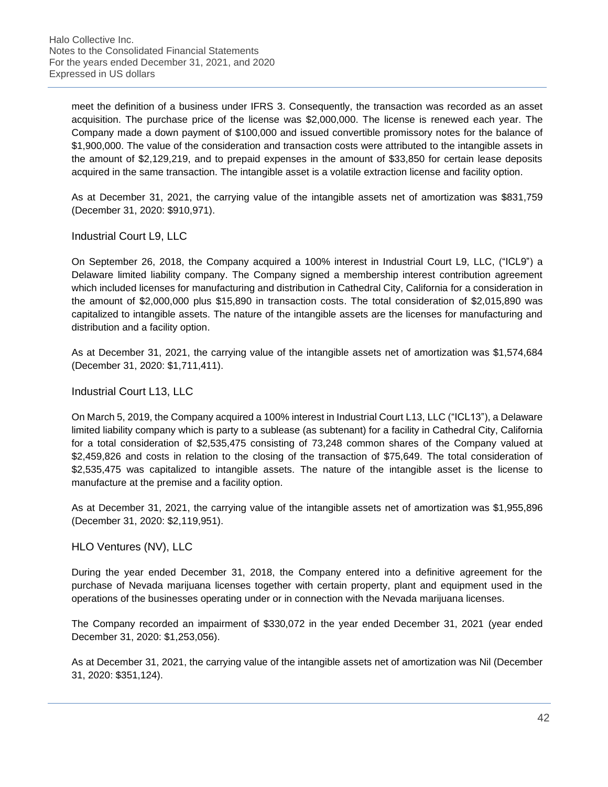meet the definition of a business under IFRS 3. Consequently, the transaction was recorded as an asset acquisition. The purchase price of the license was \$2,000,000. The license is renewed each year. The Company made a down payment of \$100,000 and issued convertible promissory notes for the balance of \$1,900,000. The value of the consideration and transaction costs were attributed to the intangible assets in the amount of \$2,129,219, and to prepaid expenses in the amount of \$33,850 for certain lease deposits acquired in the same transaction. The intangible asset is a volatile extraction license and facility option.

As at December 31, 2021, the carrying value of the intangible assets net of amortization was \$831,759 (December 31, 2020: \$910,971).

Industrial Court L9, LLC

On September 26, 2018, the Company acquired a 100% interest in Industrial Court L9, LLC, ("ICL9") a Delaware limited liability company. The Company signed a membership interest contribution agreement which included licenses for manufacturing and distribution in Cathedral City, California for a consideration in the amount of \$2,000,000 plus \$15,890 in transaction costs. The total consideration of \$2,015,890 was capitalized to intangible assets. The nature of the intangible assets are the licenses for manufacturing and distribution and a facility option.

As at December 31, 2021, the carrying value of the intangible assets net of amortization was \$1,574,684 (December 31, 2020: \$1,711,411).

Industrial Court L13, LLC

On March 5, 2019, the Company acquired a 100% interest in Industrial Court L13, LLC ("ICL13"), a Delaware limited liability company which is party to a sublease (as subtenant) for a facility in Cathedral City, California for a total consideration of \$2,535,475 consisting of 73,248 common shares of the Company valued at \$2,459,826 and costs in relation to the closing of the transaction of \$75,649. The total consideration of \$2,535,475 was capitalized to intangible assets. The nature of the intangible asset is the license to manufacture at the premise and a facility option.

As at December 31, 2021, the carrying value of the intangible assets net of amortization was \$1,955,896 (December 31, 2020: \$2,119,951).

HLO Ventures (NV), LLC

During the year ended December 31, 2018, the Company entered into a definitive agreement for the purchase of Nevada marijuana licenses together with certain property, plant and equipment used in the operations of the businesses operating under or in connection with the Nevada marijuana licenses.

The Company recorded an impairment of \$330,072 in the year ended December 31, 2021 (year ended December 31, 2020: \$1,253,056).

As at December 31, 2021, the carrying value of the intangible assets net of amortization was Nil (December 31, 2020: \$351,124).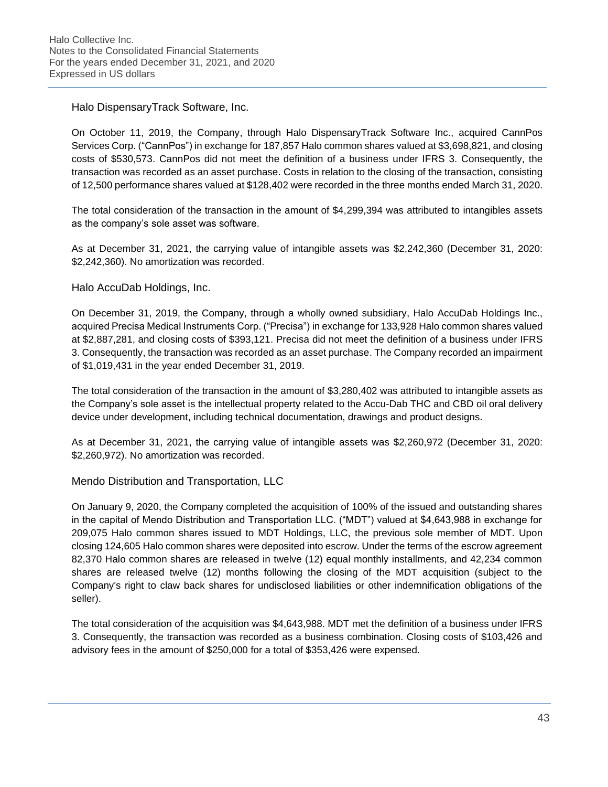Halo DispensaryTrack Software, Inc.

On October 11, 2019, the Company, through Halo DispensaryTrack Software Inc., acquired CannPos Services Corp. ("CannPos") in exchange for 187,857 Halo common shares valued at \$3,698,821, and closing costs of \$530,573. CannPos did not meet the definition of a business under IFRS 3. Consequently, the transaction was recorded as an asset purchase. Costs in relation to the closing of the transaction, consisting of 12,500 performance shares valued at \$128,402 were recorded in the three months ended March 31, 2020.

The total consideration of the transaction in the amount of \$4,299,394 was attributed to intangibles assets as the company's sole asset was software.

As at December 31, 2021, the carrying value of intangible assets was \$2,242,360 (December 31, 2020: \$2,242,360). No amortization was recorded.

Halo AccuDab Holdings, Inc.

On December 31, 2019, the Company, through a wholly owned subsidiary, Halo AccuDab Holdings Inc., acquired Precisa Medical Instruments Corp. ("Precisa") in exchange for 133,928 Halo common shares valued at \$2,887,281, and closing costs of \$393,121. Precisa did not meet the definition of a business under IFRS 3. Consequently, the transaction was recorded as an asset purchase. The Company recorded an impairment of \$1,019,431 in the year ended December 31, 2019.

The total consideration of the transaction in the amount of \$3,280,402 was attributed to intangible assets as the Company's sole asset is the intellectual property related to the Accu-Dab THC and CBD oil oral delivery device under development, including technical documentation, drawings and product designs.

As at December 31, 2021, the carrying value of intangible assets was \$2,260,972 (December 31, 2020: \$2,260,972). No amortization was recorded.

Mendo Distribution and Transportation, LLC

On January 9, 2020, the Company completed the acquisition of 100% of the issued and outstanding shares in the capital of Mendo Distribution and Transportation LLC. ("MDT") valued at \$4,643,988 in exchange for 209,075 Halo common shares issued to MDT Holdings, LLC, the previous sole member of MDT. Upon closing 124,605 Halo common shares were deposited into escrow. Under the terms of the escrow agreement 82,370 Halo common shares are released in twelve (12) equal monthly installments, and 42,234 common shares are released twelve (12) months following the closing of the MDT acquisition (subject to the Company's right to claw back shares for undisclosed liabilities or other indemnification obligations of the seller).

The total consideration of the acquisition was \$4,643,988. MDT met the definition of a business under IFRS 3. Consequently, the transaction was recorded as a business combination. Closing costs of \$103,426 and advisory fees in the amount of \$250,000 for a total of \$353,426 were expensed.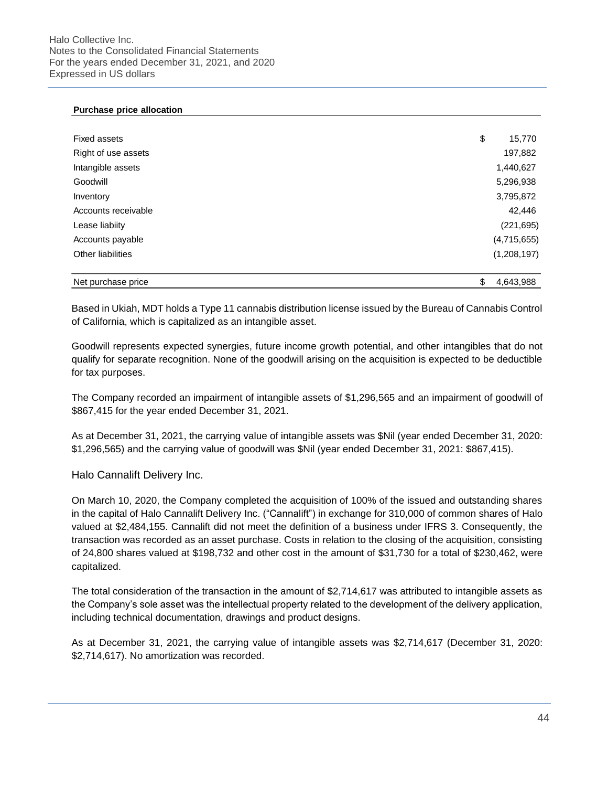#### **Purchase price allocation**

| <b>Fixed assets</b>      | \$<br>15,770    |
|--------------------------|-----------------|
| Right of use assets      | 197,882         |
| Intangible assets        | 1,440,627       |
| Goodwill                 | 5,296,938       |
| Inventory                | 3,795,872       |
| Accounts receivable      | 42,446          |
| Lease liabiity           | (221, 695)      |
| Accounts payable         | (4,715,655)     |
| <b>Other liabilities</b> | (1,208,197)     |
| Net purchase price       | \$<br>4,643,988 |

Based in Ukiah, MDT holds a Type 11 cannabis distribution license issued by the Bureau of Cannabis Control of California, which is capitalized as an intangible asset.

Goodwill represents expected synergies, future income growth potential, and other intangibles that do not qualify for separate recognition. None of the goodwill arising on the acquisition is expected to be deductible for tax purposes.

The Company recorded an impairment of intangible assets of \$1,296,565 and an impairment of goodwill of \$867,415 for the year ended December 31, 2021.

As at December 31, 2021, the carrying value of intangible assets was \$Nil (year ended December 31, 2020: \$1,296,565) and the carrying value of goodwill was \$Nil (year ended December 31, 2021: \$867,415).

Halo Cannalift Delivery Inc.

On March 10, 2020, the Company completed the acquisition of 100% of the issued and outstanding shares in the capital of Halo Cannalift Delivery Inc. ("Cannalift") in exchange for 310,000 of common shares of Halo valued at \$2,484,155. Cannalift did not meet the definition of a business under IFRS 3. Consequently, the transaction was recorded as an asset purchase. Costs in relation to the closing of the acquisition, consisting of 24,800 shares valued at \$198,732 and other cost in the amount of \$31,730 for a total of \$230,462, were capitalized.

The total consideration of the transaction in the amount of \$2,714,617 was attributed to intangible assets as the Company's sole asset was the intellectual property related to the development of the delivery application, including technical documentation, drawings and product designs.

As at December 31, 2021, the carrying value of intangible assets was \$2,714,617 (December 31, 2020: \$2,714,617). No amortization was recorded.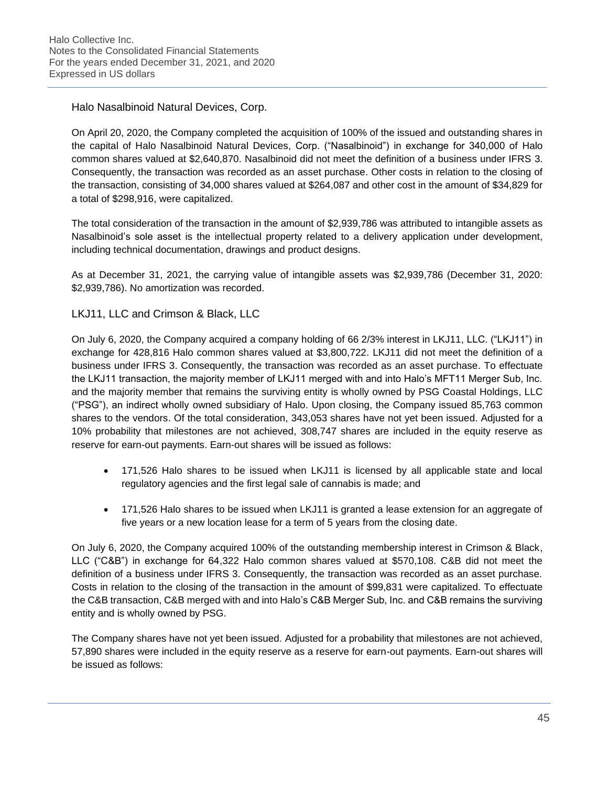Halo Nasalbinoid Natural Devices, Corp.

On April 20, 2020, the Company completed the acquisition of 100% of the issued and outstanding shares in the capital of Halo Nasalbinoid Natural Devices, Corp. ("Nasalbinoid") in exchange for 340,000 of Halo common shares valued at \$2,640,870. Nasalbinoid did not meet the definition of a business under IFRS 3. Consequently, the transaction was recorded as an asset purchase. Other costs in relation to the closing of the transaction, consisting of 34,000 shares valued at \$264,087 and other cost in the amount of \$34,829 for a total of \$298,916, were capitalized.

The total consideration of the transaction in the amount of \$2,939,786 was attributed to intangible assets as Nasalbinoid's sole asset is the intellectual property related to a delivery application under development, including technical documentation, drawings and product designs.

As at December 31, 2021, the carrying value of intangible assets was \$2,939,786 (December 31, 2020: \$2,939,786). No amortization was recorded.

# LKJ11, LLC and Crimson & Black, LLC

On July 6, 2020, the Company acquired a company holding of 66 2/3% interest in LKJ11, LLC. ("LKJ11") in exchange for 428,816 Halo common shares valued at \$3,800,722. LKJ11 did not meet the definition of a business under IFRS 3. Consequently, the transaction was recorded as an asset purchase. To effectuate the LKJ11 transaction, the majority member of LKJ11 merged with and into Halo's MFT11 Merger Sub, Inc. and the majority member that remains the surviving entity is wholly owned by PSG Coastal Holdings, LLC ("PSG"), an indirect wholly owned subsidiary of Halo. Upon closing, the Company issued 85,763 common shares to the vendors. Of the total consideration, 343,053 shares have not yet been issued. Adjusted for a 10% probability that milestones are not achieved, 308,747 shares are included in the equity reserve as reserve for earn-out payments. Earn-out shares will be issued as follows:

- 171,526 Halo shares to be issued when LKJ11 is licensed by all applicable state and local regulatory agencies and the first legal sale of cannabis is made; and
- 171,526 Halo shares to be issued when LKJ11 is granted a lease extension for an aggregate of five years or a new location lease for a term of 5 years from the closing date.

On July 6, 2020, the Company acquired 100% of the outstanding membership interest in Crimson & Black, LLC ("C&B") in exchange for 64,322 Halo common shares valued at \$570,108. C&B did not meet the definition of a business under IFRS 3. Consequently, the transaction was recorded as an asset purchase. Costs in relation to the closing of the transaction in the amount of \$99,831 were capitalized. To effectuate the C&B transaction, C&B merged with and into Halo's C&B Merger Sub, Inc. and C&B remains the surviving entity and is wholly owned by PSG.

The Company shares have not yet been issued. Adjusted for a probability that milestones are not achieved, 57,890 shares were included in the equity reserve as a reserve for earn-out payments. Earn-out shares will be issued as follows: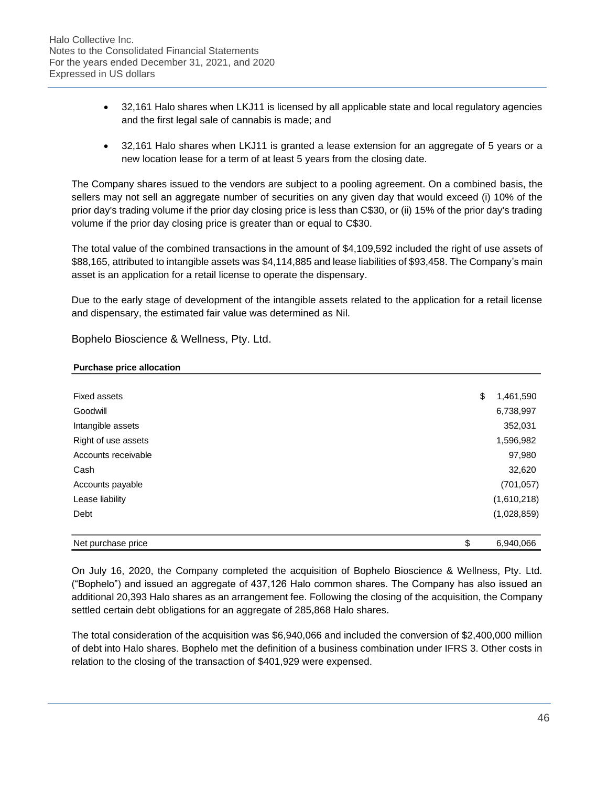- 32,161 Halo shares when LKJ11 is licensed by all applicable state and local regulatory agencies and the first legal sale of cannabis is made; and
- 32,161 Halo shares when LKJ11 is granted a lease extension for an aggregate of 5 years or a new location lease for a term of at least 5 years from the closing date.

The Company shares issued to the vendors are subject to a pooling agreement. On a combined basis, the sellers may not sell an aggregate number of securities on any given day that would exceed (i) 10% of the prior day's trading volume if the prior day closing price is less than C\$30, or (ii) 15% of the prior day's trading volume if the prior day closing price is greater than or equal to C\$30.

The total value of the combined transactions in the amount of \$4,109,592 included the right of use assets of \$88,165, attributed to intangible assets was \$4,114,885 and lease liabilities of \$93,458. The Company's main asset is an application for a retail license to operate the dispensary.

Due to the early stage of development of the intangible assets related to the application for a retail license and dispensary, the estimated fair value was determined as Nil.

Bophelo Bioscience & Wellness, Pty. Ltd.

## **Purchase price allocation**

| Fixed assets        | \$<br>1,461,590 |
|---------------------|-----------------|
| Goodwill            | 6,738,997       |
| Intangible assets   | 352,031         |
| Right of use assets | 1,596,982       |
| Accounts receivable | 97,980          |
| Cash                | 32,620          |
| Accounts payable    | (701, 057)      |
| Lease liability     | (1,610,218)     |
| Debt                | (1,028,859)     |
| Net purchase price  | \$<br>6,940,066 |

On July 16, 2020, the Company completed the acquisition of Bophelo Bioscience & Wellness, Pty. Ltd. ("Bophelo") and issued an aggregate of 437,126 Halo common shares. The Company has also issued an additional 20,393 Halo shares as an arrangement fee. Following the closing of the acquisition, the Company settled certain debt obligations for an aggregate of 285,868 Halo shares.

The total consideration of the acquisition was \$6,940,066 and included the conversion of \$2,400,000 million of debt into Halo shares. Bophelo met the definition of a business combination under IFRS 3. Other costs in relation to the closing of the transaction of \$401,929 were expensed.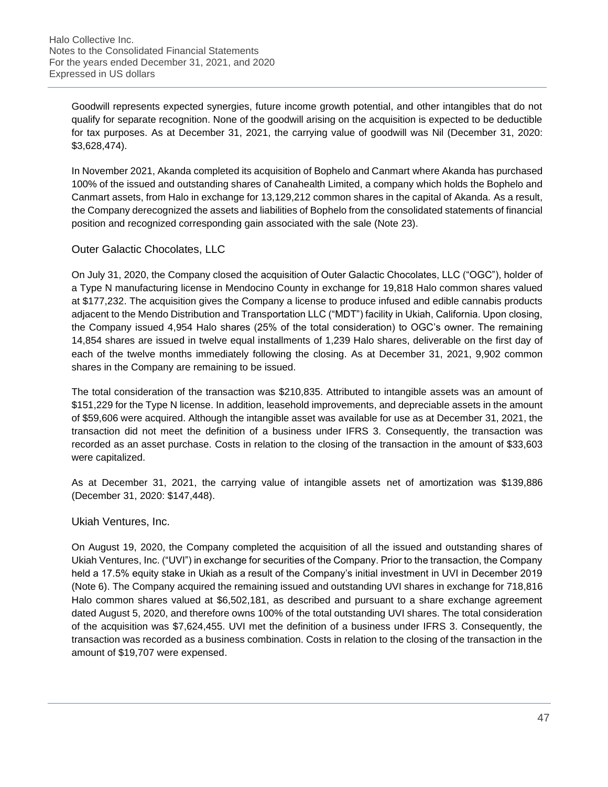Goodwill represents expected synergies, future income growth potential, and other intangibles that do not qualify for separate recognition. None of the goodwill arising on the acquisition is expected to be deductible for tax purposes. As at December 31, 2021, the carrying value of goodwill was Nil (December 31, 2020: \$3,628,474).

In November 2021, Akanda completed its acquisition of Bophelo and Canmart where Akanda has purchased 100% of the issued and outstanding shares of Canahealth Limited, a company which holds the Bophelo and Canmart assets, from Halo in exchange for 13,129,212 common shares in the capital of Akanda. As a result, the Company derecognized the assets and liabilities of Bophelo from the consolidated statements of financial position and recognized corresponding gain associated with the sale (Note 23).

# Outer Galactic Chocolates, LLC

On July 31, 2020, the Company closed the acquisition of Outer Galactic Chocolates, LLC ("OGC"), holder of a Type N manufacturing license in Mendocino County in exchange for 19,818 Halo common shares valued at \$177,232. The acquisition gives the Company a license to produce infused and edible cannabis products adjacent to the Mendo Distribution and Transportation LLC ("MDT") facility in Ukiah, California. Upon closing, the Company issued 4,954 Halo shares (25% of the total consideration) to OGC's owner. The remaining 14,854 shares are issued in twelve equal installments of 1,239 Halo shares, deliverable on the first day of each of the twelve months immediately following the closing. As at December 31, 2021, 9,902 common shares in the Company are remaining to be issued.

The total consideration of the transaction was \$210,835. Attributed to intangible assets was an amount of \$151,229 for the Type N license. In addition, leasehold improvements, and depreciable assets in the amount of \$59,606 were acquired. Although the intangible asset was available for use as at December 31, 2021, the transaction did not meet the definition of a business under IFRS 3. Consequently, the transaction was recorded as an asset purchase. Costs in relation to the closing of the transaction in the amount of \$33,603 were capitalized.

As at December 31, 2021, the carrying value of intangible assets net of amortization was \$139,886 (December 31, 2020: \$147,448).

Ukiah Ventures, Inc.

On August 19, 2020, the Company completed the acquisition of all the issued and outstanding shares of Ukiah Ventures, Inc. ("UVI") in exchange for securities of the Company. Prior to the transaction, the Company held a 17.5% equity stake in Ukiah as a result of the Company's initial investment in UVI in December 2019 (Note 6). The Company acquired the remaining issued and outstanding UVI shares in exchange for 718,816 Halo common shares valued at \$6,502,181, as described and pursuant to a share exchange agreement dated August 5, 2020, and therefore owns 100% of the total outstanding UVI shares. The total consideration of the acquisition was \$7,624,455. UVI met the definition of a business under IFRS 3. Consequently, the transaction was recorded as a business combination. Costs in relation to the closing of the transaction in the amount of \$19,707 were expensed.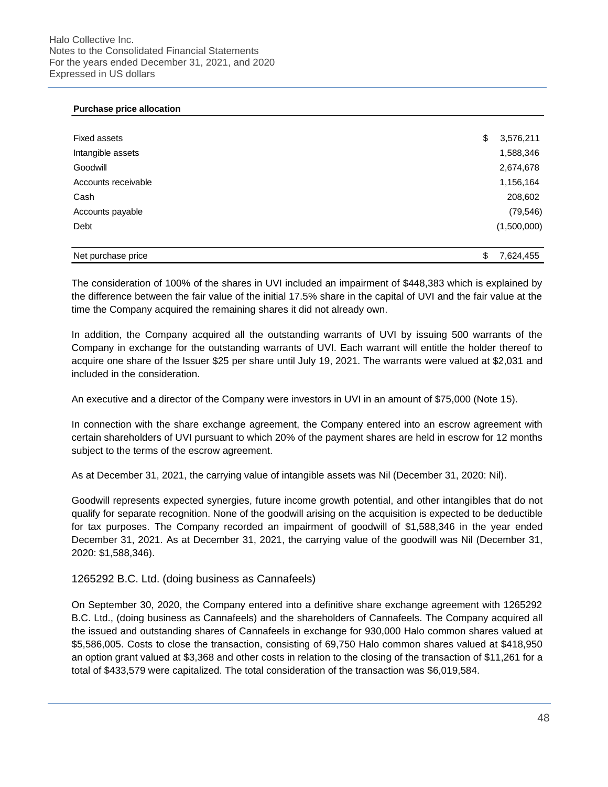### **Purchase price allocation**

| <b>Fixed assets</b> | \$<br>3,576,211 |
|---------------------|-----------------|
| Intangible assets   | 1,588,346       |
| Goodwill            | 2,674,678       |
| Accounts receivable | 1,156,164       |
| Cash                | 208,602         |
| Accounts payable    | (79, 546)       |
| Debt                | (1,500,000)     |
|                     |                 |
| Net purchase price  | 7.624.455<br>\$ |

The consideration of 100% of the shares in UVI included an impairment of \$448,383 which is explained by the difference between the fair value of the initial 17.5% share in the capital of UVI and the fair value at the time the Company acquired the remaining shares it did not already own.

In addition, the Company acquired all the outstanding warrants of UVI by issuing 500 warrants of the Company in exchange for the outstanding warrants of UVI. Each warrant will entitle the holder thereof to acquire one share of the Issuer \$25 per share until July 19, 2021. The warrants were valued at \$2,031 and included in the consideration.

An executive and a director of the Company were investors in UVI in an amount of \$75,000 (Note 15).

In connection with the share exchange agreement, the Company entered into an escrow agreement with certain shareholders of UVI pursuant to which 20% of the payment shares are held in escrow for 12 months subject to the terms of the escrow agreement.

As at December 31, 2021, the carrying value of intangible assets was Nil (December 31, 2020: Nil).

Goodwill represents expected synergies, future income growth potential, and other intangibles that do not qualify for separate recognition. None of the goodwill arising on the acquisition is expected to be deductible for tax purposes. The Company recorded an impairment of goodwill of \$1,588,346 in the year ended December 31, 2021. As at December 31, 2021, the carrying value of the goodwill was Nil (December 31, 2020: \$1,588,346).

1265292 B.C. Ltd. (doing business as Cannafeels)

On September 30, 2020, the Company entered into a definitive share exchange agreement with 1265292 B.C. Ltd., (doing business as Cannafeels) and the shareholders of Cannafeels. The Company acquired all the issued and outstanding shares of Cannafeels in exchange for 930,000 Halo common shares valued at \$5,586,005. Costs to close the transaction, consisting of 69,750 Halo common shares valued at \$418,950 an option grant valued at \$3,368 and other costs in relation to the closing of the transaction of \$11,261 for a total of \$433,579 were capitalized. The total consideration of the transaction was \$6,019,584.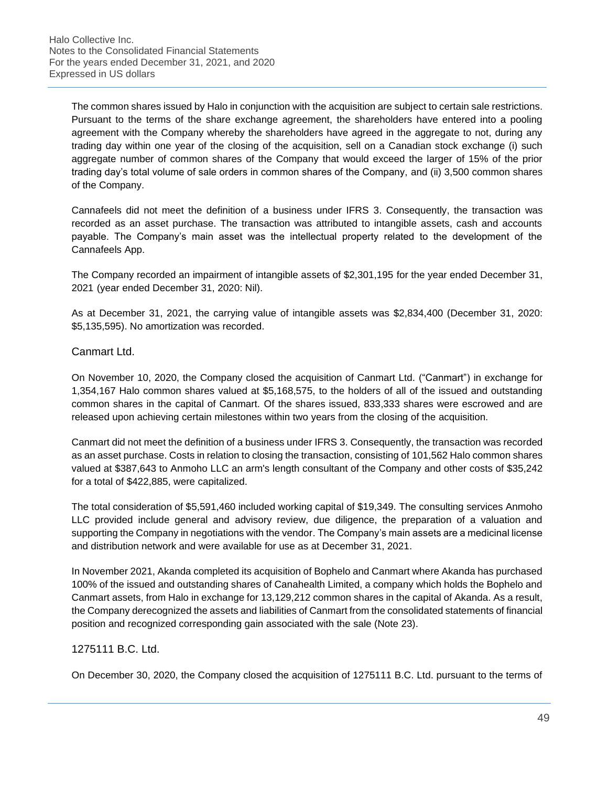The common shares issued by Halo in conjunction with the acquisition are subject to certain sale restrictions. Pursuant to the terms of the share exchange agreement, the shareholders have entered into a pooling agreement with the Company whereby the shareholders have agreed in the aggregate to not, during any trading day within one year of the closing of the acquisition, sell on a Canadian stock exchange (i) such aggregate number of common shares of the Company that would exceed the larger of 15% of the prior trading day's total volume of sale orders in common shares of the Company, and (ii) 3,500 common shares of the Company.

Cannafeels did not meet the definition of a business under IFRS 3. Consequently, the transaction was recorded as an asset purchase. The transaction was attributed to intangible assets, cash and accounts payable. The Company's main asset was the intellectual property related to the development of the Cannafeels App.

The Company recorded an impairment of intangible assets of \$2,301,195 for the year ended December 31, 2021 (year ended December 31, 2020: Nil).

As at December 31, 2021, the carrying value of intangible assets was \$2,834,400 (December 31, 2020: \$5,135,595). No amortization was recorded.

## Canmart Ltd.

On November 10, 2020, the Company closed the acquisition of Canmart Ltd. ("Canmart") in exchange for 1,354,167 Halo common shares valued at \$5,168,575, to the holders of all of the issued and outstanding common shares in the capital of Canmart. Of the shares issued, 833,333 shares were escrowed and are released upon achieving certain milestones within two years from the closing of the acquisition.

Canmart did not meet the definition of a business under IFRS 3. Consequently, the transaction was recorded as an asset purchase. Costs in relation to closing the transaction, consisting of 101,562 Halo common shares valued at \$387,643 to Anmoho LLC an arm's length consultant of the Company and other costs of \$35,242 for a total of \$422,885, were capitalized.

The total consideration of \$5,591,460 included working capital of \$19,349. The consulting services Anmoho LLC provided include general and advisory review, due diligence, the preparation of a valuation and supporting the Company in negotiations with the vendor. The Company's main assets are a medicinal license and distribution network and were available for use as at December 31, 2021.

In November 2021, Akanda completed its acquisition of Bophelo and Canmart where Akanda has purchased 100% of the issued and outstanding shares of Canahealth Limited, a company which holds the Bophelo and Canmart assets, from Halo in exchange for 13,129,212 common shares in the capital of Akanda. As a result, the Company derecognized the assets and liabilities of Canmart from the consolidated statements of financial position and recognized corresponding gain associated with the sale (Note 23).

## 1275111 B.C. Ltd.

On December 30, 2020, the Company closed the acquisition of 1275111 B.C. Ltd. pursuant to the terms of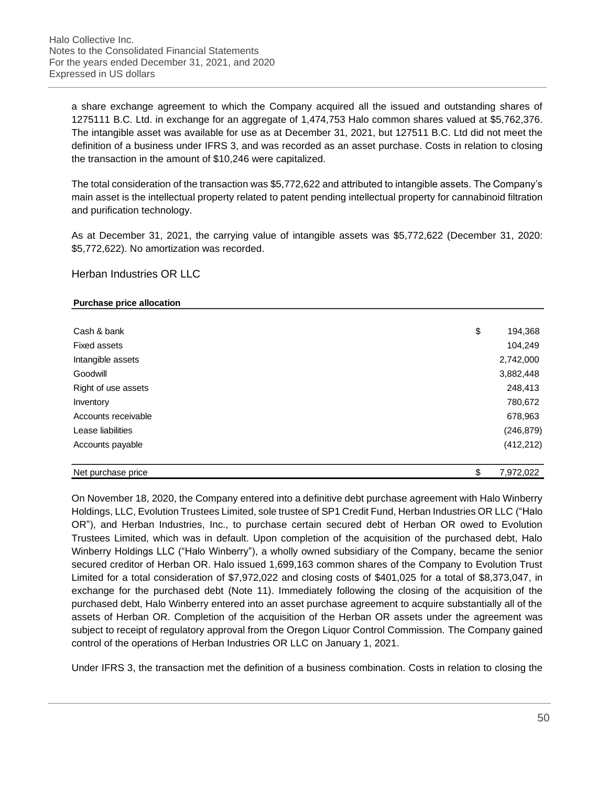a share exchange agreement to which the Company acquired all the issued and outstanding shares of 1275111 B.C. Ltd. in exchange for an aggregate of 1,474,753 Halo common shares valued at \$5,762,376. The intangible asset was available for use as at December 31, 2021, but 127511 B.C. Ltd did not meet the definition of a business under IFRS 3, and was recorded as an asset purchase. Costs in relation to closing the transaction in the amount of \$10,246 were capitalized.

The total consideration of the transaction was \$5,772,622 and attributed to intangible assets. The Company's main asset is the intellectual property related to patent pending intellectual property for cannabinoid filtration and purification technology.

As at December 31, 2021, the carrying value of intangible assets was \$5,772,622 (December 31, 2020: \$5,772,622). No amortization was recorded.

## Herban Industries OR LLC

### **Purchase price allocation**

| Accounts payable    | (412, 212)    |
|---------------------|---------------|
| Lease liabilities   | (246, 879)    |
| Accounts receivable | 678,963       |
| Inventory           | 780,672       |
| Right of use assets | 248,413       |
| Goodwill            | 3,882,448     |
| Intangible assets   | 2,742,000     |
| <b>Fixed assets</b> | 104,249       |
| Cash & bank         | \$<br>194,368 |

On November 18, 2020, the Company entered into a definitive debt purchase agreement with Halo Winberry Holdings, LLC, Evolution Trustees Limited, sole trustee of SP1 Credit Fund, Herban Industries OR LLC ("Halo OR"), and Herban Industries, Inc., to purchase certain secured debt of Herban OR owed to Evolution Trustees Limited, which was in default. Upon completion of the acquisition of the purchased debt, Halo Winberry Holdings LLC ("Halo Winberry"), a wholly owned subsidiary of the Company, became the senior secured creditor of Herban OR. Halo issued 1,699,163 common shares of the Company to Evolution Trust Limited for a total consideration of \$7,972,022 and closing costs of \$401,025 for a total of \$8,373,047, in exchange for the purchased debt (Note 11). Immediately following the closing of the acquisition of the purchased debt, Halo Winberry entered into an asset purchase agreement to acquire substantially all of the assets of Herban OR. Completion of the acquisition of the Herban OR assets under the agreement was subject to receipt of regulatory approval from the Oregon Liquor Control Commission. The Company gained control of the operations of Herban Industries OR LLC on January 1, 2021.

Under IFRS 3, the transaction met the definition of a business combination. Costs in relation to closing the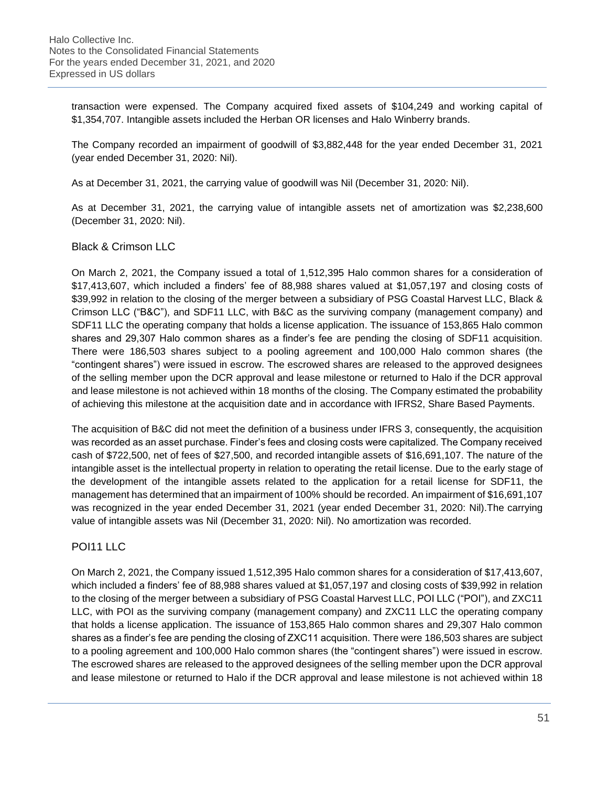transaction were expensed. The Company acquired fixed assets of \$104,249 and working capital of \$1,354,707. Intangible assets included the Herban OR licenses and Halo Winberry brands.

The Company recorded an impairment of goodwill of \$3,882,448 for the year ended December 31, 2021 (year ended December 31, 2020: Nil).

As at December 31, 2021, the carrying value of goodwill was Nil (December 31, 2020: Nil).

As at December 31, 2021, the carrying value of intangible assets net of amortization was \$2,238,600 (December 31, 2020: Nil).

# Black & Crimson LLC

On March 2, 2021, the Company issued a total of 1,512,395 Halo common shares for a consideration of \$17,413,607, which included a finders' fee of 88,988 shares valued at \$1,057,197 and closing costs of \$39,992 in relation to the closing of the merger between a subsidiary of PSG Coastal Harvest LLC, Black & Crimson LLC ("B&C"), and SDF11 LLC, with B&C as the surviving company (management company) and SDF11 LLC the operating company that holds a license application. The issuance of 153,865 Halo common shares and 29,307 Halo common shares as a finder's fee are pending the closing of SDF11 acquisition. There were 186,503 shares subject to a pooling agreement and 100,000 Halo common shares (the "contingent shares") were issued in escrow. The escrowed shares are released to the approved designees of the selling member upon the DCR approval and lease milestone or returned to Halo if the DCR approval and lease milestone is not achieved within 18 months of the closing. The Company estimated the probability of achieving this milestone at the acquisition date and in accordance with IFRS2, Share Based Payments.

The acquisition of B&C did not meet the definition of a business under IFRS 3, consequently, the acquisition was recorded as an asset purchase. Finder's fees and closing costs were capitalized. The Company received cash of \$722,500, net of fees of \$27,500, and recorded intangible assets of \$16,691,107. The nature of the intangible asset is the intellectual property in relation to operating the retail license. Due to the early stage of the development of the intangible assets related to the application for a retail license for SDF11, the management has determined that an impairment of 100% should be recorded. An impairment of \$16,691,107 was recognized in the year ended December 31, 2021 (year ended December 31, 2020: Nil).The carrying value of intangible assets was Nil (December 31, 2020: Nil). No amortization was recorded.

# POI11 LLC

On March 2, 2021, the Company issued 1,512,395 Halo common shares for a consideration of \$17,413,607, which included a finders' fee of 88,988 shares valued at \$1,057,197 and closing costs of \$39,992 in relation to the closing of the merger between a subsidiary of PSG Coastal Harvest LLC, POI LLC ("POI"), and ZXC11 LLC, with POI as the surviving company (management company) and ZXC11 LLC the operating company that holds a license application. The issuance of 153,865 Halo common shares and 29,307 Halo common shares as a finder's fee are pending the closing of ZXC11 acquisition. There were 186,503 shares are subject to a pooling agreement and 100,000 Halo common shares (the "contingent shares") were issued in escrow. The escrowed shares are released to the approved designees of the selling member upon the DCR approval and lease milestone or returned to Halo if the DCR approval and lease milestone is not achieved within 18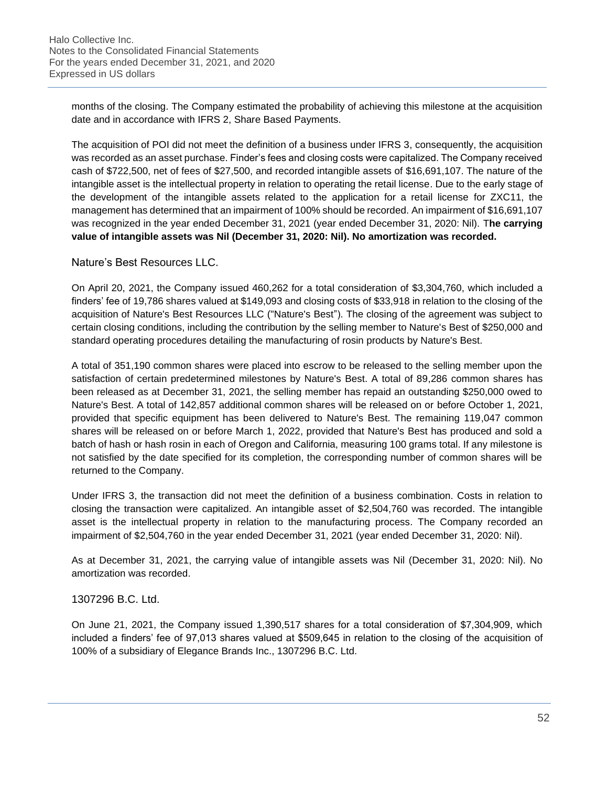months of the closing. The Company estimated the probability of achieving this milestone at the acquisition date and in accordance with IFRS 2, Share Based Payments.

The acquisition of POI did not meet the definition of a business under IFRS 3, consequently, the acquisition was recorded as an asset purchase. Finder's fees and closing costs were capitalized. The Company received cash of \$722,500, net of fees of \$27,500, and recorded intangible assets of \$16,691,107. The nature of the intangible asset is the intellectual property in relation to operating the retail license. Due to the early stage of the development of the intangible assets related to the application for a retail license for ZXC11, the management has determined that an impairment of 100% should be recorded. An impairment of \$16,691,107 was recognized in the year ended December 31, 2021 (year ended December 31, 2020: Nil). T**he carrying value of intangible assets was Nil (December 31, 2020: Nil). No amortization was recorded.**

## Nature's Best Resources LLC.

On April 20, 2021, the Company issued 460,262 for a total consideration of \$3,304,760, which included a finders' fee of 19,786 shares valued at \$149,093 and closing costs of \$33,918 in relation to the closing of the acquisition of Nature's Best Resources LLC ("Nature's Best"). The closing of the agreement was subject to certain closing conditions, including the contribution by the selling member to Nature's Best of \$250,000 and standard operating procedures detailing the manufacturing of rosin products by Nature's Best.

A total of 351,190 common shares were placed into escrow to be released to the selling member upon the satisfaction of certain predetermined milestones by Nature's Best. A total of 89,286 common shares has been released as at December 31, 2021, the selling member has repaid an outstanding \$250,000 owed to Nature's Best. A total of 142,857 additional common shares will be released on or before October 1, 2021, provided that specific equipment has been delivered to Nature's Best. The remaining 119,047 common shares will be released on or before March 1, 2022, provided that Nature's Best has produced and sold a batch of hash or hash rosin in each of Oregon and California, measuring 100 grams total. If any milestone is not satisfied by the date specified for its completion, the corresponding number of common shares will be returned to the Company.

Under IFRS 3, the transaction did not meet the definition of a business combination. Costs in relation to closing the transaction were capitalized. An intangible asset of \$2,504,760 was recorded. The intangible asset is the intellectual property in relation to the manufacturing process. The Company recorded an impairment of \$2,504,760 in the year ended December 31, 2021 (year ended December 31, 2020: Nil).

As at December 31, 2021, the carrying value of intangible assets was Nil (December 31, 2020: Nil). No amortization was recorded.

## 1307296 B.C. Ltd.

On June 21, 2021, the Company issued 1,390,517 shares for a total consideration of \$7,304,909, which included a finders' fee of 97,013 shares valued at \$509,645 in relation to the closing of the acquisition of 100% of a subsidiary of Elegance Brands Inc., 1307296 B.C. Ltd.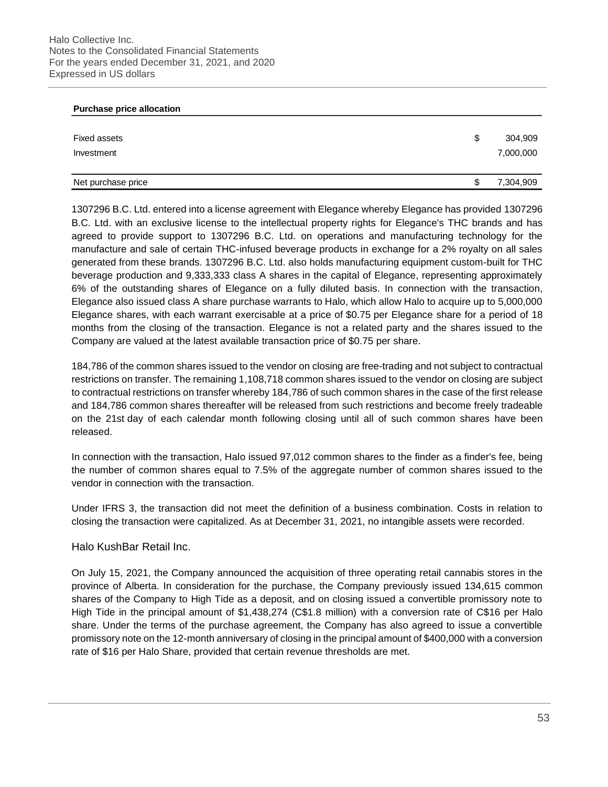#### **Purchase price allocation**

| Fixed assets<br>Investment | \$<br>304,909<br>7,000,000 |
|----------------------------|----------------------------|
| Net purchase price         | \$<br>7,304,909            |

1307296 B.C. Ltd. entered into a license agreement with Elegance whereby Elegance has provided 1307296 B.C. Ltd. with an exclusive license to the intellectual property rights for Elegance's THC brands and has agreed to provide support to 1307296 B.C. Ltd. on operations and manufacturing technology for the manufacture and sale of certain THC-infused beverage products in exchange for a 2% royalty on all sales generated from these brands. 1307296 B.C. Ltd. also holds manufacturing equipment custom-built for THC beverage production and 9,333,333 class A shares in the capital of Elegance, representing approximately 6% of the outstanding shares of Elegance on a fully diluted basis. In connection with the transaction, Elegance also issued class A share purchase warrants to Halo, which allow Halo to acquire up to 5,000,000 Elegance shares, with each warrant exercisable at a price of \$0.75 per Elegance share for a period of 18 months from the closing of the transaction. Elegance is not a related party and the shares issued to the Company are valued at the latest available transaction price of \$0.75 per share.

184,786 of the common shares issued to the vendor on closing are free-trading and not subject to contractual restrictions on transfer. The remaining 1,108,718 common shares issued to the vendor on closing are subject to contractual restrictions on transfer whereby 184,786 of such common shares in the case of the first release and 184,786 common shares thereafter will be released from such restrictions and become freely tradeable on the 21st day of each calendar month following closing until all of such common shares have been released.

In connection with the transaction, Halo issued 97,012 common shares to the finder as a finder's fee, being the number of common shares equal to 7.5% of the aggregate number of common shares issued to the vendor in connection with the transaction.

Under IFRS 3, the transaction did not meet the definition of a business combination. Costs in relation to closing the transaction were capitalized. As at December 31, 2021, no intangible assets were recorded.

## Halo KushBar Retail Inc.

On July 15, 2021, the Company announced the acquisition of three operating retail cannabis stores in the province of Alberta. In consideration for the purchase, the Company previously issued 134,615 common shares of the Company to High Tide as a deposit, and on closing issued a convertible promissory note to High Tide in the principal amount of \$1,438,274 (C\$1.8 million) with a conversion rate of C\$16 per Halo share. Under the terms of the purchase agreement, the Company has also agreed to issue a convertible promissory note on the 12-month anniversary of closing in the principal amount of \$400,000 with a conversion rate of \$16 per Halo Share, provided that certain revenue thresholds are met.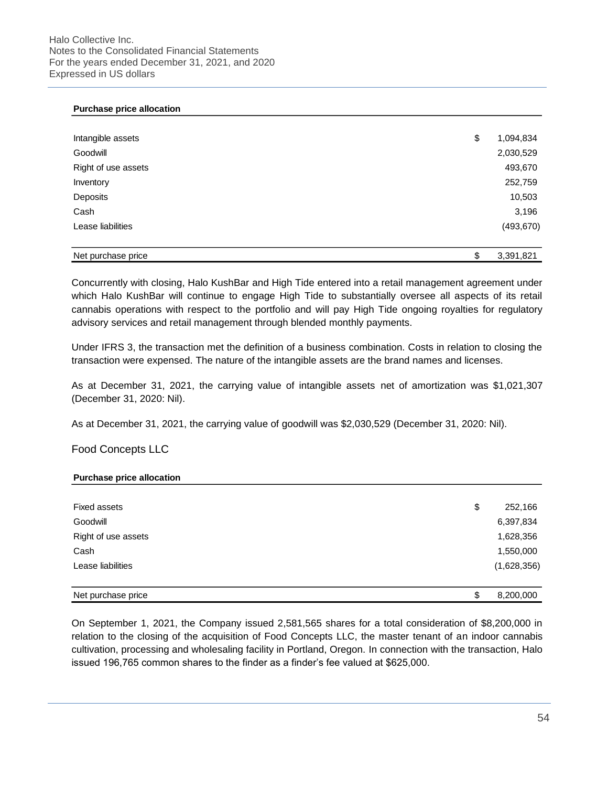### **Purchase price allocation**

| Intangible assets   | \$<br>1,094,834 |
|---------------------|-----------------|
| Goodwill            | 2,030,529       |
| Right of use assets | 493,670         |
| Inventory           | 252,759         |
| Deposits            | 10,503          |
| Cash                | 3,196           |
| Lease liabilities   | (493, 670)      |
|                     |                 |
| Net purchase price  | \$<br>3,391,821 |

Concurrently with closing, Halo KushBar and High Tide entered into a retail management agreement under which Halo KushBar will continue to engage High Tide to substantially oversee all aspects of its retail cannabis operations with respect to the portfolio and will pay High Tide ongoing royalties for regulatory advisory services and retail management through blended monthly payments.

Under IFRS 3, the transaction met the definition of a business combination. Costs in relation to closing the transaction were expensed. The nature of the intangible assets are the brand names and licenses.

As at December 31, 2021, the carrying value of intangible assets net of amortization was \$1,021,307 (December 31, 2020: Nil).

As at December 31, 2021, the carrying value of goodwill was \$2,030,529 (December 31, 2020: Nil).

## Food Concepts LLC

#### **Purchase price allocation**

| <b>Fixed assets</b> | \$<br>252,166   |
|---------------------|-----------------|
| Goodwill            | 6,397,834       |
| Right of use assets | 1,628,356       |
| Cash                | 1,550,000       |
| Lease liabilities   | (1,628,356)     |
|                     |                 |
| Net purchase price  | \$<br>8,200,000 |

On September 1, 2021, the Company issued 2,581,565 shares for a total consideration of \$8,200,000 in relation to the closing of the acquisition of Food Concepts LLC, the master tenant of an indoor cannabis cultivation, processing and wholesaling facility in Portland, Oregon. In connection with the transaction, Halo issued 196,765 common shares to the finder as a finder's fee valued at \$625,000.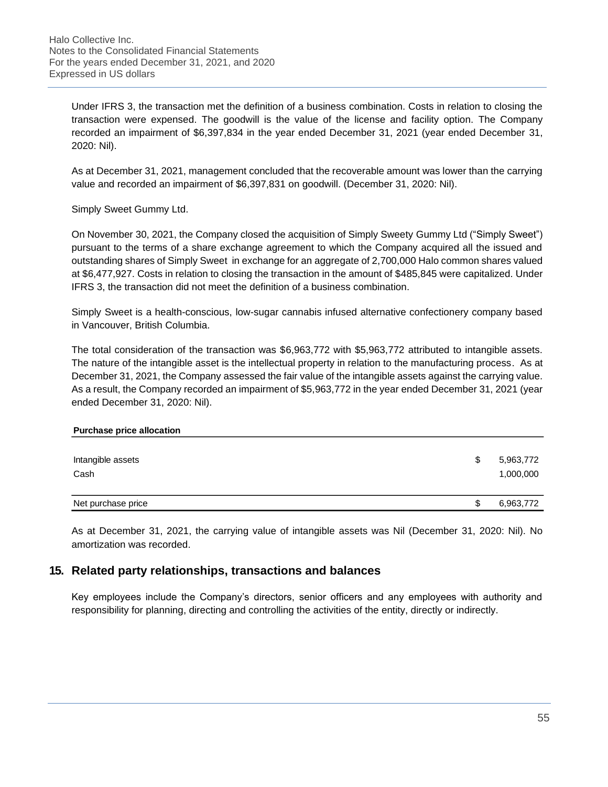Under IFRS 3, the transaction met the definition of a business combination. Costs in relation to closing the transaction were expensed. The goodwill is the value of the license and facility option. The Company recorded an impairment of \$6,397,834 in the year ended December 31, 2021 (year ended December 31, 2020: Nil).

As at December 31, 2021, management concluded that the recoverable amount was lower than the carrying value and recorded an impairment of \$6,397,831 on goodwill. (December 31, 2020: Nil).

Simply Sweet Gummy Ltd.

On November 30, 2021, the Company closed the acquisition of Simply Sweety Gummy Ltd ("Simply Sweet") pursuant to the terms of a share exchange agreement to which the Company acquired all the issued and outstanding shares of Simply Sweet in exchange for an aggregate of 2,700,000 Halo common shares valued at \$6,477,927. Costs in relation to closing the transaction in the amount of \$485,845 were capitalized. Under IFRS 3, the transaction did not meet the definition of a business combination.

Simply Sweet is a health-conscious, low-sugar cannabis infused alternative confectionery company based in Vancouver, British Columbia.

The total consideration of the transaction was \$6,963,772 with \$5,963,772 attributed to intangible assets. The nature of the intangible asset is the intellectual property in relation to the manufacturing process. As at December 31, 2021, the Company assessed the fair value of the intangible assets against the carrying value. As a result, the Company recorded an impairment of \$5,963,772 in the year ended December 31, 2021 (year ended December 31, 2020: Nil).

### **Purchase price allocation**

| Intangible assets<br>Cash | \$<br>5,963,772<br>1,000,000 |
|---------------------------|------------------------------|
| Net purchase price        | \$<br>6,963,772              |

As at December 31, 2021, the carrying value of intangible assets was Nil (December 31, 2020: Nil). No amortization was recorded.

# **15. Related party relationships, transactions and balances**

Key employees include the Company's directors, senior officers and any employees with authority and responsibility for planning, directing and controlling the activities of the entity, directly or indirectly.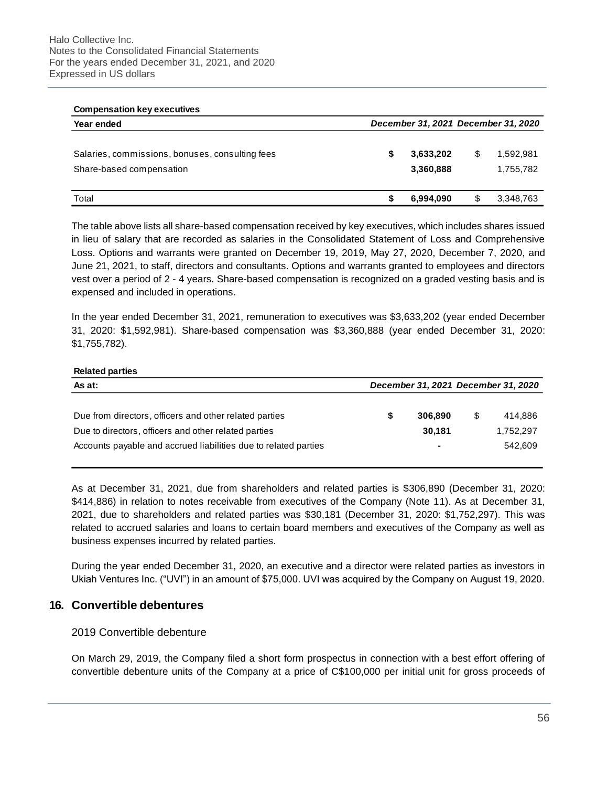#### **Compensation key executives**

| Year ended                                                                  |   | December 31, 2021 December 31, 2020 |                              |
|-----------------------------------------------------------------------------|---|-------------------------------------|------------------------------|
| Salaries, commissions, bonuses, consulting fees<br>Share-based compensation |   | 3,633,202<br>3,360,888              | \$<br>1,592,981<br>1,755,782 |
| Total                                                                       | S | 6,994,090                           | \$<br>3,348,763              |

The table above lists all share-based compensation received by key executives, which includes shares issued in lieu of salary that are recorded as salaries in the Consolidated Statement of Loss and Comprehensive Loss. Options and warrants were granted on December 19, 2019, May 27, 2020, December 7, 2020, and June 21, 2021, to staff, directors and consultants. Options and warrants granted to employees and directors vest over a period of 2 - 4 years. Share-based compensation is recognized on a graded vesting basis and is expensed and included in operations.

In the year ended December 31, 2021, remuneration to executives was \$3,633,202 (year ended December 31, 2020: \$1,592,981). Share-based compensation was \$3,360,888 (year ended December 31, 2020: \$1,755,782).

### **Related parties**

| As at:                                                          |   | December 31, 2021 December 31, 2020 |               |
|-----------------------------------------------------------------|---|-------------------------------------|---------------|
|                                                                 |   |                                     |               |
| Due from directors, officers and other related parties          | S | 306,890                             | \$<br>414.886 |
| Due to directors, officers and other related parties            |   | 30,181                              | 1,752,297     |
| Accounts payable and accrued liabilities due to related parties |   |                                     | 542.609       |
|                                                                 |   |                                     |               |

As at December 31, 2021, due from shareholders and related parties is \$306,890 (December 31, 2020: \$414,886) in relation to notes receivable from executives of the Company (Note 11). As at December 31, 2021, due to shareholders and related parties was \$30,181 (December 31, 2020: \$1,752,297). This was related to accrued salaries and loans to certain board members and executives of the Company as well as business expenses incurred by related parties.

During the year ended December 31, 2020, an executive and a director were related parties as investors in Ukiah Ventures Inc. ("UVI") in an amount of \$75,000. UVI was acquired by the Company on August 19, 2020.

## **16. Convertible debentures**

## 2019 Convertible debenture

On March 29, 2019, the Company filed a short form prospectus in connection with a best effort offering of convertible debenture units of the Company at a price of C\$100,000 per initial unit for gross proceeds of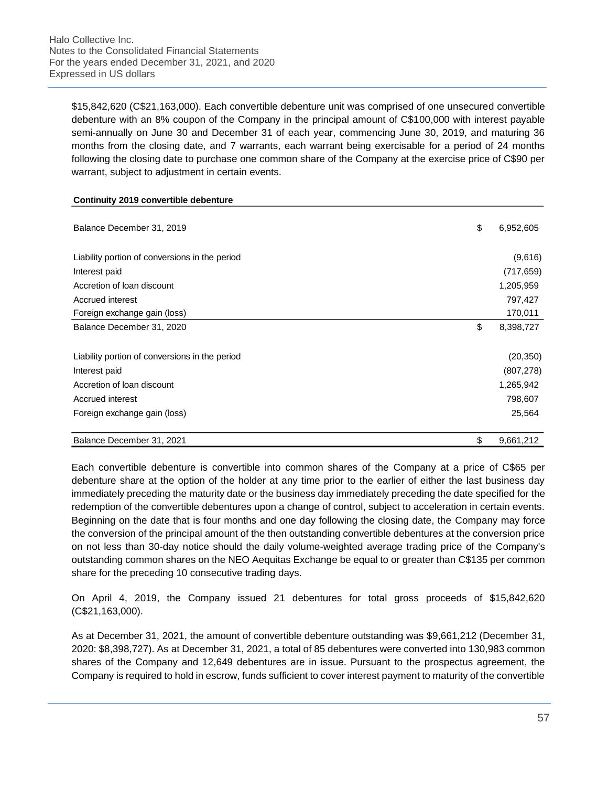\$15,842,620 (C\$21,163,000). Each convertible debenture unit was comprised of one unsecured convertible debenture with an 8% coupon of the Company in the principal amount of C\$100,000 with interest payable semi-annually on June 30 and December 31 of each year, commencing June 30, 2019, and maturing 36 months from the closing date, and 7 warrants, each warrant being exercisable for a period of 24 months following the closing date to purchase one common share of the Company at the exercise price of C\$90 per warrant, subject to adjustment in certain events.

### **Continuity 2019 convertible debenture**

| Balance December 31, 2019                      | \$<br>6,952,605 |
|------------------------------------------------|-----------------|
| Liability portion of conversions in the period | (9,616)         |
| Interest paid                                  | (717, 659)      |
| Accretion of loan discount                     | 1,205,959       |
| Accrued interest                               | 797,427         |
| Foreign exchange gain (loss)                   | 170,011         |
| Balance December 31, 2020                      | \$<br>8,398,727 |
| Liability portion of conversions in the period | (20, 350)       |
| Interest paid                                  | (807, 278)      |
| Accretion of loan discount                     | 1,265,942       |
| Accrued interest                               | 798,607         |
| Foreign exchange gain (loss)                   | 25,564          |
| Balance December 31, 2021                      | \$<br>9,661,212 |

Each convertible debenture is convertible into common shares of the Company at a price of C\$65 per debenture share at the option of the holder at any time prior to the earlier of either the last business day immediately preceding the maturity date or the business day immediately preceding the date specified for the redemption of the convertible debentures upon a change of control, subject to acceleration in certain events. Beginning on the date that is four months and one day following the closing date, the Company may force the conversion of the principal amount of the then outstanding convertible debentures at the conversion price on not less than 30-day notice should the daily volume-weighted average trading price of the Company's outstanding common shares on the NEO Aequitas Exchange be equal to or greater than C\$135 per common share for the preceding 10 consecutive trading days.

On April 4, 2019, the Company issued 21 debentures for total gross proceeds of \$15,842,620 (C\$21,163,000).

As at December 31, 2021, the amount of convertible debenture outstanding was \$9,661,212 (December 31, 2020: \$8,398,727). As at December 31, 2021, a total of 85 debentures were converted into 130,983 common shares of the Company and 12,649 debentures are in issue. Pursuant to the prospectus agreement, the Company is required to hold in escrow, funds sufficient to cover interest payment to maturity of the convertible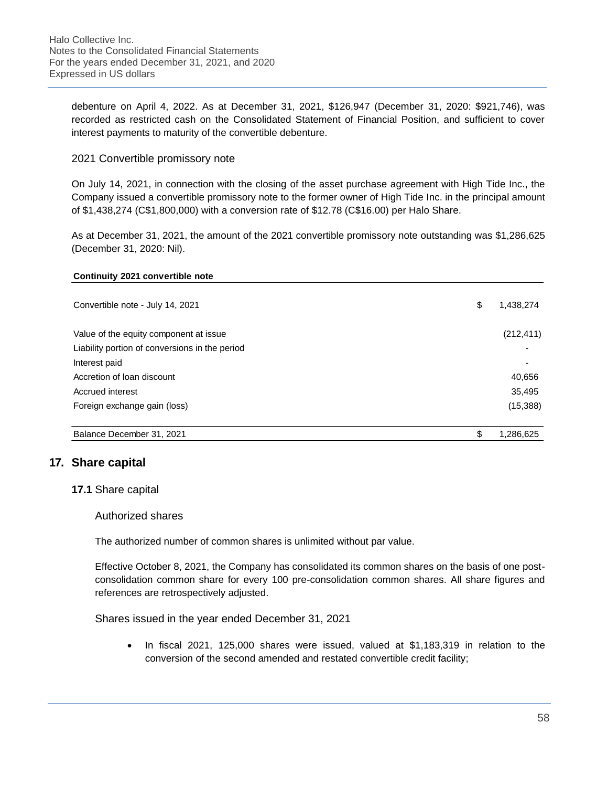debenture on April 4, 2022. As at December 31, 2021, \$126,947 (December 31, 2020: \$921,746), was recorded as restricted cash on the Consolidated Statement of Financial Position, and sufficient to cover interest payments to maturity of the convertible debenture.

## 2021 Convertible promissory note

On July 14, 2021, in connection with the closing of the asset purchase agreement with High Tide Inc., the Company issued a convertible promissory note to the former owner of High Tide Inc. in the principal amount of \$1,438,274 (C\$1,800,000) with a conversion rate of \$12.78 (C\$16.00) per Halo Share.

As at December 31, 2021, the amount of the 2021 convertible promissory note outstanding was \$1,286,625 (December 31, 2020: Nil).

### **Continuity 2021 convertible note**

| Convertible note - July 14, 2021               | \$<br>1,438,274 |
|------------------------------------------------|-----------------|
| Value of the equity component at issue         | (212, 411)      |
| Liability portion of conversions in the period |                 |
| Interest paid                                  |                 |
| Accretion of loan discount                     | 40,656          |
| Accrued interest                               | 35,495          |
| Foreign exchange gain (loss)                   | (15, 388)       |
| Balance December 31, 2021                      | \$<br>1,286,625 |

# **17. Share capital**

### **17.1** Share capital

### Authorized shares

The authorized number of common shares is unlimited without par value.

Effective October 8, 2021, the Company has consolidated its common shares on the basis of one postconsolidation common share for every 100 pre-consolidation common shares. All share figures and references are retrospectively adjusted.

## Shares issued in the year ended December 31, 2021

• In fiscal 2021, 125,000 shares were issued, valued at \$1,183,319 in relation to the conversion of the second amended and restated convertible credit facility;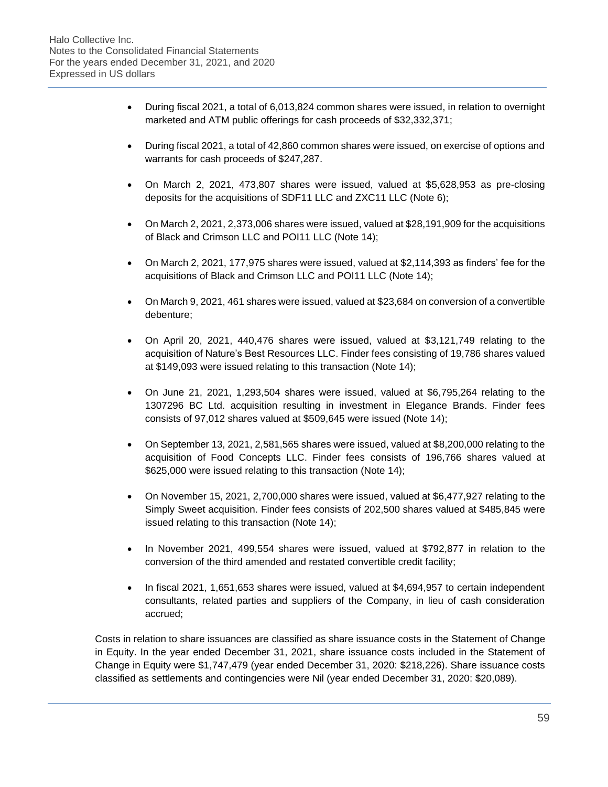- During fiscal 2021, a total of 6,013,824 common shares were issued, in relation to overnight marketed and ATM public offerings for cash proceeds of \$32,332,371;
- During fiscal 2021, a total of 42,860 common shares were issued, on exercise of options and warrants for cash proceeds of \$247,287.
- On March 2, 2021, 473,807 shares were issued, valued at \$5,628,953 as pre-closing deposits for the acquisitions of SDF11 LLC and ZXC11 LLC (Note 6);
- On March 2, 2021, 2,373,006 shares were issued, valued at \$28,191,909 for the acquisitions of Black and Crimson LLC and POI11 LLC (Note 14);
- On March 2, 2021, 177,975 shares were issued, valued at \$2,114,393 as finders' fee for the acquisitions of Black and Crimson LLC and POI11 LLC (Note 14);
- On March 9, 2021, 461 shares were issued, valued at \$23,684 on conversion of a convertible debenture;
- On April 20, 2021, 440,476 shares were issued, valued at \$3,121,749 relating to the acquisition of Nature's Best Resources LLC. Finder fees consisting of 19,786 shares valued at \$149,093 were issued relating to this transaction (Note 14);
- On June 21, 2021, 1,293,504 shares were issued, valued at \$6,795,264 relating to the 1307296 BC Ltd. acquisition resulting in investment in Elegance Brands. Finder fees consists of 97,012 shares valued at \$509,645 were issued (Note 14);
- On September 13, 2021, 2,581,565 shares were issued, valued at \$8,200,000 relating to the acquisition of Food Concepts LLC. Finder fees consists of 196,766 shares valued at \$625,000 were issued relating to this transaction (Note 14);
- On November 15, 2021, 2,700,000 shares were issued, valued at \$6,477,927 relating to the Simply Sweet acquisition. Finder fees consists of 202,500 shares valued at \$485,845 were issued relating to this transaction (Note 14);
- In November 2021, 499,554 shares were issued, valued at \$792,877 in relation to the conversion of the third amended and restated convertible credit facility;
- In fiscal 2021, 1,651,653 shares were issued, valued at \$4,694,957 to certain independent consultants, related parties and suppliers of the Company, in lieu of cash consideration accrued;

Costs in relation to share issuances are classified as share issuance costs in the Statement of Change in Equity. In the year ended December 31, 2021, share issuance costs included in the Statement of Change in Equity were \$1,747,479 (year ended December 31, 2020: \$218,226). Share issuance costs classified as settlements and contingencies were Nil (year ended December 31, 2020: \$20,089).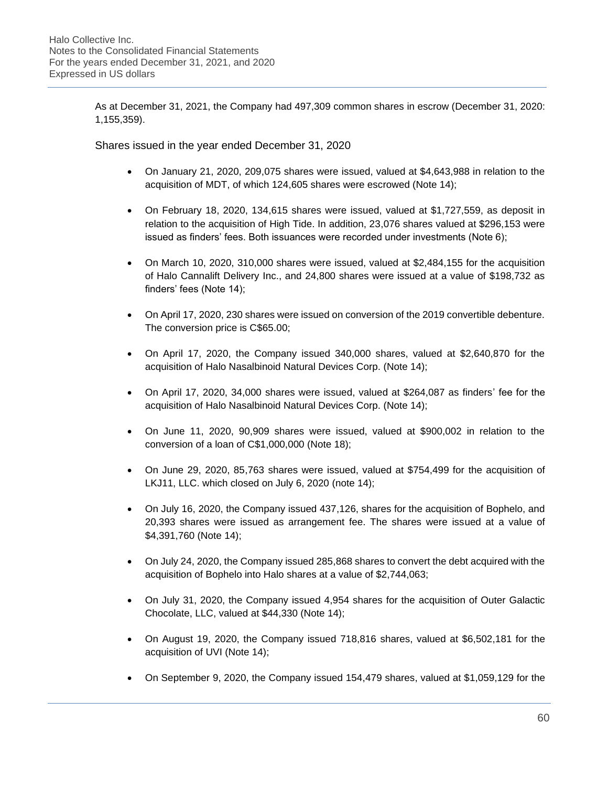As at December 31, 2021, the Company had 497,309 common shares in escrow (December 31, 2020: 1,155,359).

Shares issued in the year ended December 31, 2020

- On January 21, 2020, 209,075 shares were issued, valued at \$4,643,988 in relation to the acquisition of MDT, of which 124,605 shares were escrowed (Note 14);
- On February 18, 2020, 134,615 shares were issued, valued at \$1,727,559, as deposit in relation to the acquisition of High Tide. In addition, 23,076 shares valued at \$296,153 were issued as finders' fees. Both issuances were recorded under investments (Note 6);
- On March 10, 2020, 310,000 shares were issued, valued at \$2,484,155 for the acquisition of Halo Cannalift Delivery Inc., and 24,800 shares were issued at a value of \$198,732 as finders' fees (Note 14);
- On April 17, 2020, 230 shares were issued on conversion of the 2019 convertible debenture. The conversion price is C\$65.00;
- On April 17, 2020, the Company issued 340,000 shares, valued at \$2,640,870 for the acquisition of Halo Nasalbinoid Natural Devices Corp. (Note 14);
- On April 17, 2020, 34,000 shares were issued, valued at \$264,087 as finders' fee for the acquisition of Halo Nasalbinoid Natural Devices Corp. (Note 14);
- On June 11, 2020, 90,909 shares were issued, valued at \$900,002 in relation to the conversion of a loan of C\$1,000,000 (Note 18);
- On June 29, 2020, 85,763 shares were issued, valued at \$754,499 for the acquisition of LKJ11, LLC. which closed on July 6, 2020 (note 14);
- On July 16, 2020, the Company issued 437,126, shares for the acquisition of Bophelo, and 20,393 shares were issued as arrangement fee. The shares were issued at a value of \$4,391,760 (Note 14);
- On July 24, 2020, the Company issued 285,868 shares to convert the debt acquired with the acquisition of Bophelo into Halo shares at a value of \$2,744,063;
- On July 31, 2020, the Company issued 4,954 shares for the acquisition of Outer Galactic Chocolate, LLC, valued at \$44,330 (Note 14);
- On August 19, 2020, the Company issued 718,816 shares, valued at \$6,502,181 for the acquisition of UVI (Note 14);
- On September 9, 2020, the Company issued 154,479 shares, valued at \$1,059,129 for the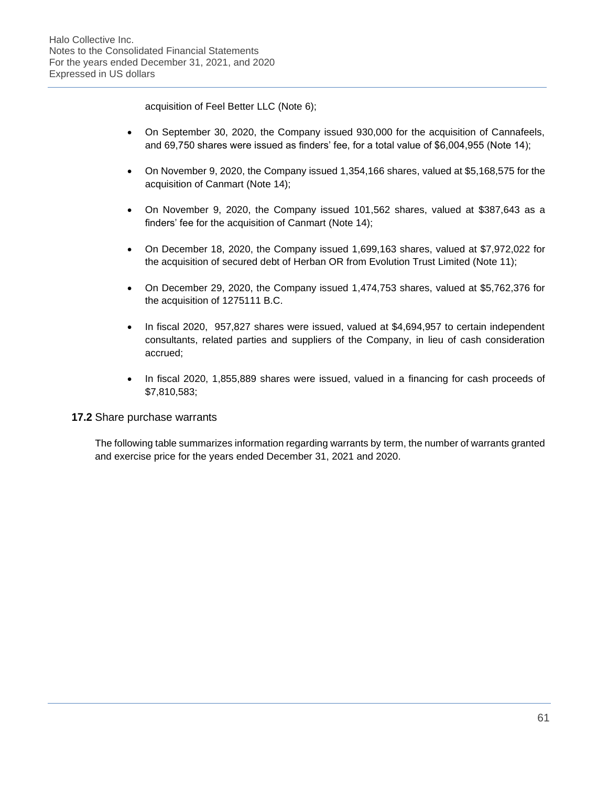acquisition of Feel Better LLC (Note 6);

- On September 30, 2020, the Company issued 930,000 for the acquisition of Cannafeels, and 69,750 shares were issued as finders' fee, for a total value of \$6,004,955 (Note 14);
- On November 9, 2020, the Company issued 1,354,166 shares, valued at \$5,168,575 for the acquisition of Canmart (Note 14);
- On November 9, 2020, the Company issued 101,562 shares, valued at \$387,643 as a finders' fee for the acquisition of Canmart (Note 14);
- On December 18, 2020, the Company issued 1,699,163 shares, valued at \$7,972,022 for the acquisition of secured debt of Herban OR from Evolution Trust Limited (Note 11);
- On December 29, 2020, the Company issued 1,474,753 shares, valued at \$5,762,376 for the acquisition of 1275111 B.C.
- In fiscal 2020, 957,827 shares were issued, valued at \$4,694,957 to certain independent consultants, related parties and suppliers of the Company, in lieu of cash consideration accrued;
- In fiscal 2020, 1,855,889 shares were issued, valued in a financing for cash proceeds of \$7,810,583;

# **17.2** Share purchase warrants

The following table summarizes information regarding warrants by term, the number of warrants granted and exercise price for the years ended December 31, 2021 and 2020.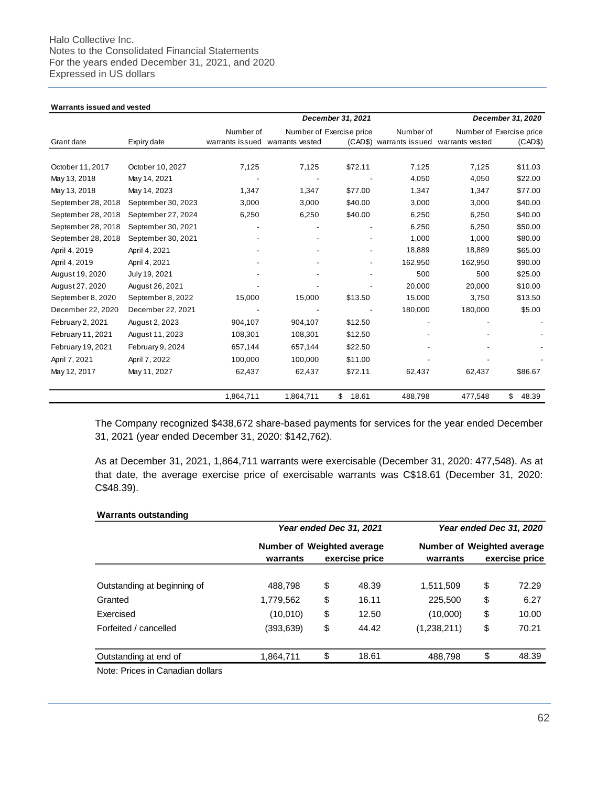#### **Warrants issued and vested**

|                    |                    |                                 |           | December 31, 2021        |                         |                 | December 31, 2020        |
|--------------------|--------------------|---------------------------------|-----------|--------------------------|-------------------------|-----------------|--------------------------|
|                    |                    | Number of                       |           | Number of Exercise price | Number of               |                 | Number of Exercise price |
| Grant date         | Expiry date        | warrants issued warrants vested |           |                          | (CAD\$) warrants issued | warrants vested | (CAD\$)                  |
|                    |                    |                                 |           |                          |                         |                 |                          |
| October 11, 2017   | October 10, 2027   | 7,125                           | 7,125     | \$72.11                  | 7,125                   | 7,125           | \$11.03                  |
| May 13, 2018       | May 14, 2021       |                                 |           |                          | 4,050                   | 4,050           | \$22.00                  |
| May 13, 2018       | May 14, 2023       | 1,347                           | 1,347     | \$77.00                  | 1,347                   | 1,347           | \$77.00                  |
| September 28, 2018 | September 30, 2023 | 3,000                           | 3,000     | \$40.00                  | 3,000                   | 3,000           | \$40.00                  |
| September 28, 2018 | September 27, 2024 | 6,250                           | 6,250     | \$40.00                  | 6,250                   | 6,250           | \$40.00                  |
| September 28, 2018 | September 30, 2021 |                                 |           |                          | 6,250                   | 6,250           | \$50.00                  |
| September 28, 2018 | September 30, 2021 |                                 |           |                          | 1,000                   | 1,000           | \$80.00                  |
| April 4, 2019      | April 4, 2021      |                                 |           |                          | 18,889                  | 18,889          | \$65.00                  |
| April 4, 2019      | April 4, 2021      |                                 |           |                          | 162,950                 | 162,950         | \$90.00                  |
| August 19, 2020    | July 19, 2021      |                                 |           |                          | 500                     | 500             | \$25.00                  |
| August 27, 2020    | August 26, 2021    |                                 |           |                          | 20,000                  | 20,000          | \$10.00                  |
| September 8, 2020  | September 8, 2022  | 15,000                          | 15,000    | \$13.50                  | 15,000                  | 3,750           | \$13.50                  |
| December 22, 2020  | December 22, 2021  |                                 |           |                          | 180,000                 | 180,000         | \$5.00                   |
| February 2, 2021   | August 2, 2023     | 904,107                         | 904,107   | \$12.50                  |                         |                 |                          |
| February 11, 2021  | August 11, 2023    | 108,301                         | 108,301   | \$12.50                  |                         |                 |                          |
| February 19, 2021  | February 9, 2024   | 657,144                         | 657,144   | \$22.50                  |                         |                 |                          |
| April 7, 2021      | April 7, 2022      | 100,000                         | 100,000   | \$11.00                  |                         |                 |                          |
| May 12, 2017       | May 11, 2027       | 62,437                          | 62,437    | \$72.11                  | 62,437                  | 62,437          | \$86.67                  |
|                    |                    | 1,864,711                       | 1,864,711 | \$<br>18.61              | 488,798                 | 477,548         | \$<br>48.39              |

The Company recognized \$438,672 share-based payments for services for the year ended December 31, 2021 (year ended December 31, 2020: \$142,762).

As at December 31, 2021, 1,864,711 warrants were exercisable (December 31, 2020: 477,548). As at that date, the average exercise price of exercisable warrants was C\$18.61 (December 31, 2020: C\$48.39).

| <b>Warrants outstanding</b> |                            |                         |                                   |                         |
|-----------------------------|----------------------------|-------------------------|-----------------------------------|-------------------------|
|                             |                            | Year ended Dec 31, 2021 |                                   | Year ended Dec 31, 2020 |
|                             | Number of Weighted average |                         | <b>Number of Weighted average</b> |                         |
|                             | warrants                   | exercise price          | warrants                          | exercise price          |
| Outstanding at beginning of | 488.798                    | \$<br>48.39             | 1.511.509                         | \$<br>72.29             |
| Granted                     | 1,779,562                  | \$<br>16.11             | 225,500                           | \$<br>6.27              |
| Exercised                   | (10,010)                   | \$<br>12.50             | (10,000)                          | \$<br>10.00             |
| Forfeited / cancelled       | (393,639)                  | \$<br>44.42             | (1,238,211)                       | \$<br>70.21             |
| Outstanding at end of       | 1,864,711                  | \$<br>18.61             | 488.798                           | \$<br>48.39             |

Note: Prices in Canadian dollars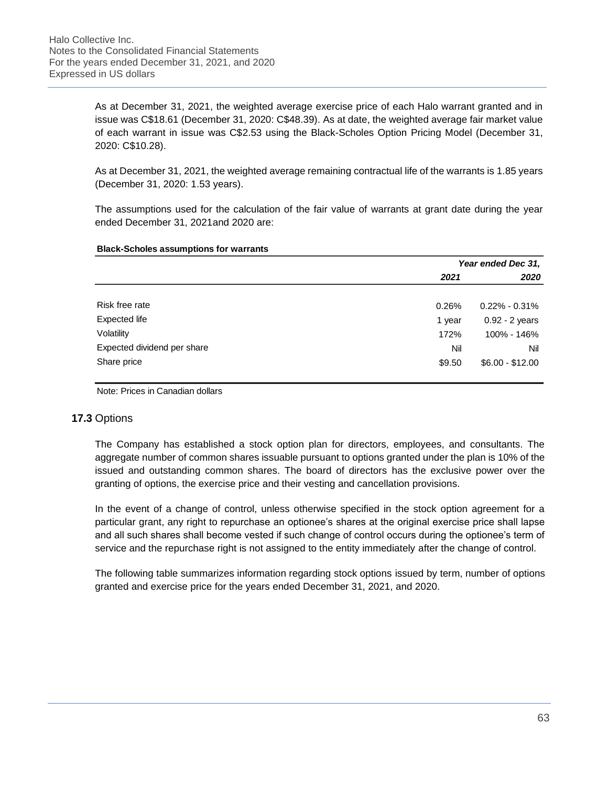As at December 31, 2021, the weighted average exercise price of each Halo warrant granted and in issue was C\$18.61 (December 31, 2020: C\$48.39). As at date, the weighted average fair market value of each warrant in issue was C\$2.53 using the Black-Scholes Option Pricing Model (December 31, 2020: C\$10.28).

As at December 31, 2021, the weighted average remaining contractual life of the warrants is 1.85 years (December 31, 2020: 1.53 years).

The assumptions used for the calculation of the fair value of warrants at grant date during the year ended December 31, 2021and 2020 are:

### **Black-Scholes assumptions for warrants**

|                             |        | Year ended Dec 31, |
|-----------------------------|--------|--------------------|
|                             | 2021   | 2020               |
| Risk free rate              | 0.26%  | $0.22\% - 0.31\%$  |
| Expected life               | 1 year | $0.92 - 2$ years   |
| Volatility                  | 172%   | 100% - 146%        |
| Expected dividend per share | Nil    | Nil                |
| Share price                 | \$9.50 | $$6.00 - $12.00$   |

Note: Prices in Canadian dollars

## **17.3** Options

The Company has established a stock option plan for directors, employees, and consultants. The aggregate number of common shares issuable pursuant to options granted under the plan is 10% of the issued and outstanding common shares. The board of directors has the exclusive power over the granting of options, the exercise price and their vesting and cancellation provisions.

In the event of a change of control, unless otherwise specified in the stock option agreement for a particular grant, any right to repurchase an optionee's shares at the original exercise price shall lapse and all such shares shall become vested if such change of control occurs during the optionee's term of service and the repurchase right is not assigned to the entity immediately after the change of control.

The following table summarizes information regarding stock options issued by term, number of options granted and exercise price for the years ended December 31, 2021, and 2020.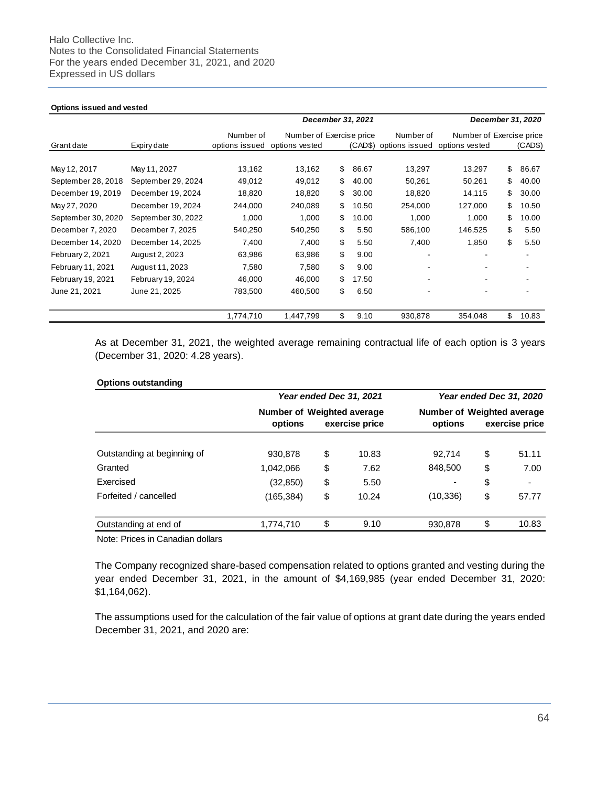#### **Options issued and vested**

|                    |                    |                |                          | December 31, 2021 |                |                          | December 31, 2020 |
|--------------------|--------------------|----------------|--------------------------|-------------------|----------------|--------------------------|-------------------|
|                    |                    | Number of      | Number of Exercise price |                   | Number of      | Number of Exercise price |                   |
| Grant date         | Expiry date        | options issued | options vested           | (CAD\$)           | options issued | options vested           | (CAD\$)           |
|                    |                    |                |                          |                   |                |                          |                   |
| May 12, 2017       | May 11, 2027       | 13,162         | 13,162                   | \$<br>86.67       | 13,297         | 13,297                   | \$<br>86.67       |
| September 28, 2018 | September 29, 2024 | 49,012         | 49,012                   | \$<br>40.00       | 50,261         | 50,261                   | \$<br>40.00       |
| December 19, 2019  | December 19, 2024  | 18,820         | 18,820                   | \$<br>30.00       | 18,820         | 14,115                   | \$<br>30.00       |
| May 27, 2020       | December 19, 2024  | 244,000        | 240,089                  | \$<br>10.50       | 254,000        | 127,000                  | \$<br>10.50       |
| September 30, 2020 | September 30, 2022 | 1,000          | 1,000                    | \$<br>10.00       | 1,000          | 1,000                    | \$<br>10.00       |
| December 7, 2020   | December 7, 2025   | 540,250        | 540,250                  | \$<br>5.50        | 586,100        | 146,525                  | \$<br>5.50        |
| December 14, 2020  | December 14, 2025  | 7,400          | 7,400                    | \$<br>5.50        | 7,400          | 1,850                    | \$<br>5.50        |
| February 2, 2021   | August 2, 2023     | 63,986         | 63,986                   | \$<br>9.00        |                |                          |                   |
| February 11, 2021  | August 11, 2023    | 7,580          | 7,580                    | \$<br>9.00        |                |                          |                   |
| February 19, 2021  | February 19, 2024  | 46,000         | 46,000                   | \$<br>17.50       |                |                          |                   |
| June 21, 2021      | June 21, 2025      | 783,500        | 460,500                  | \$<br>6.50        |                |                          |                   |
|                    |                    | 1,774,710      | 1,447,799                | \$<br>9.10        | 930,878        | 354,048                  | \$<br>10.83       |

As at December 31, 2021, the weighted average remaining contractual life of each option is 3 years (December 31, 2020: 4.28 years).

#### **Options outstanding**

|                             |                            | Year ended Dec 31, 2021 | Year ended Dec 31, 2020<br>Number of Weighted average |    |                          |
|-----------------------------|----------------------------|-------------------------|-------------------------------------------------------|----|--------------------------|
|                             | Number of Weighted average |                         |                                                       |    |                          |
|                             | options                    | exercise price          | options                                               |    | exercise price           |
| Outstanding at beginning of | 930,878                    | \$<br>10.83             | 92.714                                                | \$ | 51.11                    |
| Granted                     | 1,042,066                  | \$<br>7.62              | 848,500                                               | \$ | 7.00                     |
| Exercised                   | (32, 850)                  | \$<br>5.50              | $\overline{\phantom{a}}$                              | \$ | $\overline{\phantom{0}}$ |
| Forfeited / cancelled       | (165, 384)                 | \$<br>10.24             | (10, 336)                                             | \$ | 57.77                    |
| Outstanding at end of       | 1,774,710                  | \$<br>9.10              | 930.878                                               | \$ | 10.83                    |

Note: Prices in Canadian dollars

The Company recognized share-based compensation related to options granted and vesting during the year ended December 31, 2021, in the amount of \$4,169,985 (year ended December 31, 2020: \$1,164,062).

The assumptions used for the calculation of the fair value of options at grant date during the years ended December 31, 2021, and 2020 are: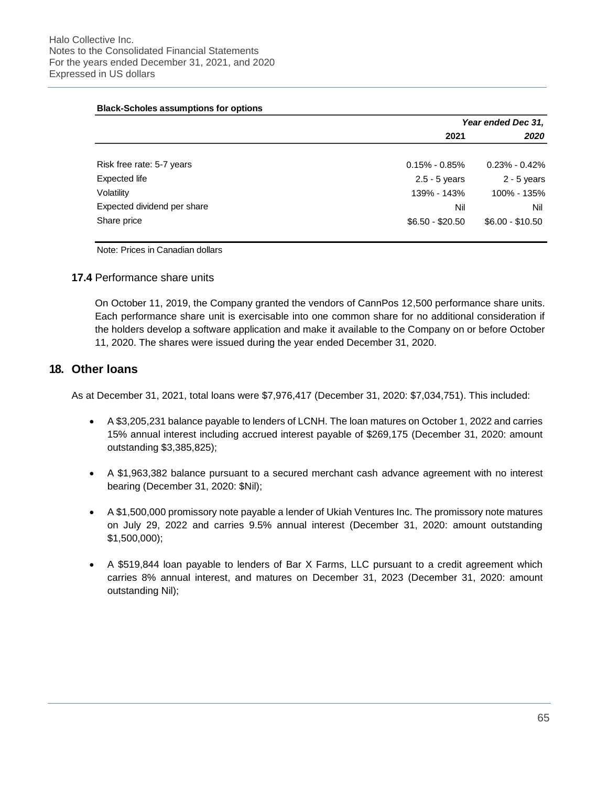#### **Black-Scholes assumptions for options**

|                             |                   | Year ended Dec 31, |
|-----------------------------|-------------------|--------------------|
|                             | 2021              | 2020               |
| Risk free rate: 5-7 years   | $0.15\% - 0.85\%$ | $0.23\%$ - 0.42%   |
| Expected life               | $2.5 - 5$ years   | $2 - 5$ years      |
| Volatility                  | 139% - 143%       | 100% - 135%        |
| Expected dividend per share | Nil               | Nil                |
| Share price                 | $$6.50 - $20.50$  | $$6.00 - $10.50$   |

Note: Prices in Canadian dollars

## **17.4** Performance share units

On October 11, 2019, the Company granted the vendors of CannPos 12,500 performance share units. Each performance share unit is exercisable into one common share for no additional consideration if the holders develop a software application and make it available to the Company on or before October 11, 2020. The shares were issued during the year ended December 31, 2020.

# **18. Other loans**

As at December 31, 2021, total loans were \$7,976,417 (December 31, 2020: \$7,034,751). This included:

- A \$3,205,231 balance payable to lenders of LCNH. The loan matures on October 1, 2022 and carries 15% annual interest including accrued interest payable of \$269,175 (December 31, 2020: amount outstanding \$3,385,825);
- A \$1,963,382 balance pursuant to a secured merchant cash advance agreement with no interest bearing (December 31, 2020: \$Nil);
- A \$1,500,000 promissory note payable a lender of Ukiah Ventures Inc. The promissory note matures on July 29, 2022 and carries 9.5% annual interest (December 31, 2020: amount outstanding \$1,500,000);
- A \$519,844 loan payable to lenders of Bar X Farms, LLC pursuant to a credit agreement which carries 8% annual interest, and matures on December 31, 2023 (December 31, 2020: amount outstanding Nil);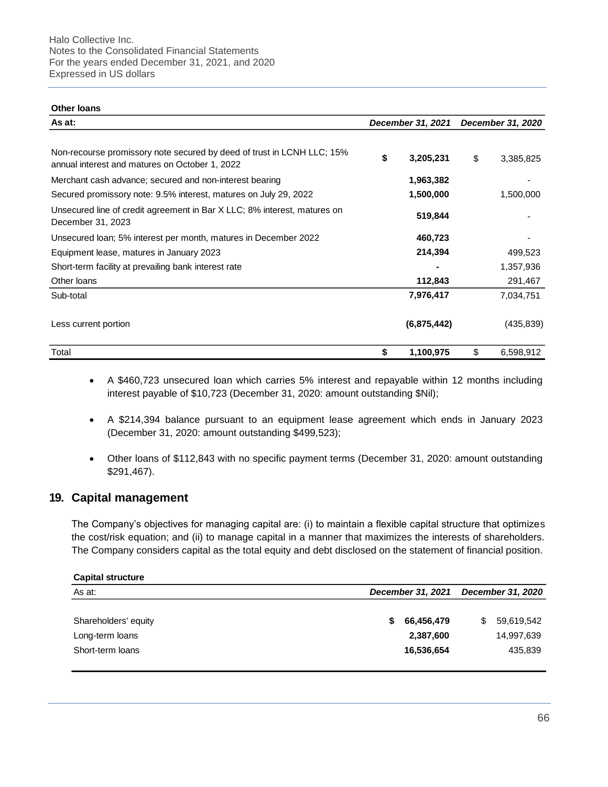#### **Other loans**

| As at:                                                                                                                   | December 31, 2021 | December 31, 2020 |            |
|--------------------------------------------------------------------------------------------------------------------------|-------------------|-------------------|------------|
| Non-recourse promissory note secured by deed of trust in LCNH LLC; 15%<br>annual interest and matures on October 1, 2022 | 3,205,231         | \$                | 3,385,825  |
| Merchant cash advance; secured and non-interest bearing                                                                  | 1,963,382         |                   |            |
| Secured promissory note: 9.5% interest, matures on July 29, 2022                                                         | 1,500,000         |                   | 1,500,000  |
| Unsecured line of credit agreement in Bar X LLC; 8% interest, matures on<br>December 31, 2023                            | 519,844           |                   |            |
| Unsecured Ioan; 5% interest per month, matures in December 2022                                                          | 460,723           |                   |            |
| Equipment lease, matures in January 2023                                                                                 | 214,394           |                   | 499,523    |
| Short-term facility at prevailing bank interest rate                                                                     |                   |                   | 1,357,936  |
| Other loans                                                                                                              | 112,843           |                   | 291,467    |
| Sub-total                                                                                                                | 7,976,417         |                   | 7,034,751  |
| Less current portion                                                                                                     | (6,875,442)       |                   | (435, 839) |
| Total                                                                                                                    | \$<br>1,100,975   | \$                | 6,598,912  |

- A \$460,723 unsecured loan which carries 5% interest and repayable within 12 months including interest payable of \$10,723 (December 31, 2020: amount outstanding \$Nil);
- A \$214,394 balance pursuant to an equipment lease agreement which ends in January 2023 (December 31, 2020: amount outstanding \$499,523);
- Other loans of \$112,843 with no specific payment terms (December 31, 2020: amount outstanding \$291,467).

## **19. Capital management**

The Company's objectives for managing capital are: (i) to maintain a flexible capital structure that optimizes the cost/risk equation; and (ii) to manage capital in a manner that maximizes the interests of shareholders. The Company considers capital as the total equity and debt disclosed on the statement of financial position.

| <b>Capital structure</b> |   |                   |    |            |
|--------------------------|---|-------------------|----|------------|
| As at:                   |   | December 31, 2021 |    |            |
|                          |   |                   |    |            |
| Shareholders' equity     | S | 66,456,479        | S. | 59,619,542 |
| Long-term loans          |   | 2,387,600         |    | 14,997,639 |
| Short-term loans         |   | 16,536,654        |    | 435,839    |
|                          |   |                   |    |            |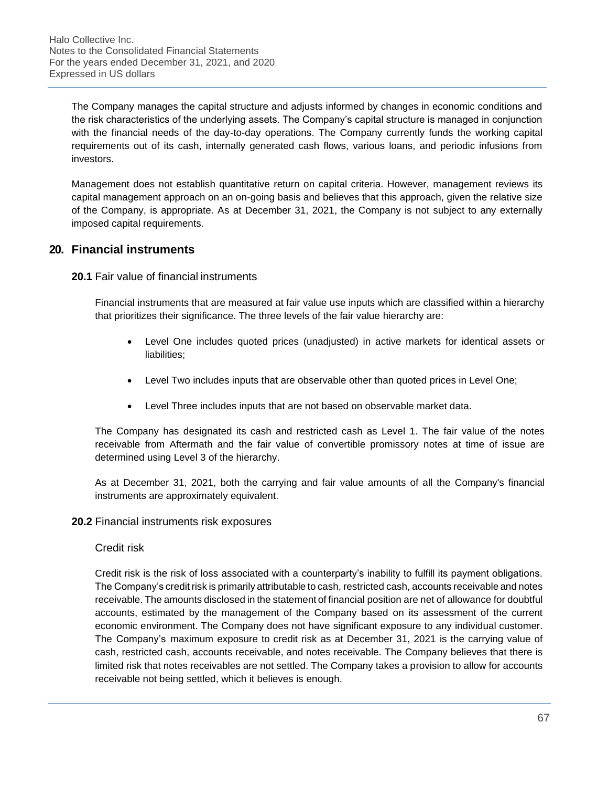The Company manages the capital structure and adjusts informed by changes in economic conditions and the risk characteristics of the underlying assets. The Company's capital structure is managed in conjunction with the financial needs of the day-to-day operations. The Company currently funds the working capital requirements out of its cash, internally generated cash flows, various loans, and periodic infusions from investors.

Management does not establish quantitative return on capital criteria. However, management reviews its capital management approach on an on-going basis and believes that this approach, given the relative size of the Company, is appropriate. As at December 31, 2021, the Company is not subject to any externally imposed capital requirements.

# **20. Financial instruments**

**20.1** Fair value of financial instruments

Financial instruments that are measured at fair value use inputs which are classified within a hierarchy that prioritizes their significance. The three levels of the fair value hierarchy are:

- Level One includes quoted prices (unadjusted) in active markets for identical assets or liabilities;
- Level Two includes inputs that are observable other than quoted prices in Level One;
- Level Three includes inputs that are not based on observable market data.

The Company has designated its cash and restricted cash as Level 1. The fair value of the notes receivable from Aftermath and the fair value of convertible promissory notes at time of issue are determined using Level 3 of the hierarchy.

As at December 31, 2021, both the carrying and fair value amounts of all the Company's financial instruments are approximately equivalent.

## **20.2** Financial instruments risk exposures

## Credit risk

Credit risk is the risk of loss associated with a counterparty's inability to fulfill its payment obligations. The Company's credit risk is primarily attributable to cash, restricted cash, accounts receivable and notes receivable. The amounts disclosed in the statement of financial position are net of allowance for doubtful accounts, estimated by the management of the Company based on its assessment of the current economic environment. The Company does not have significant exposure to any individual customer. The Company's maximum exposure to credit risk as at December 31, 2021 is the carrying value of cash, restricted cash, accounts receivable, and notes receivable. The Company believes that there is limited risk that notes receivables are not settled. The Company takes a provision to allow for accounts receivable not being settled, which it believes is enough.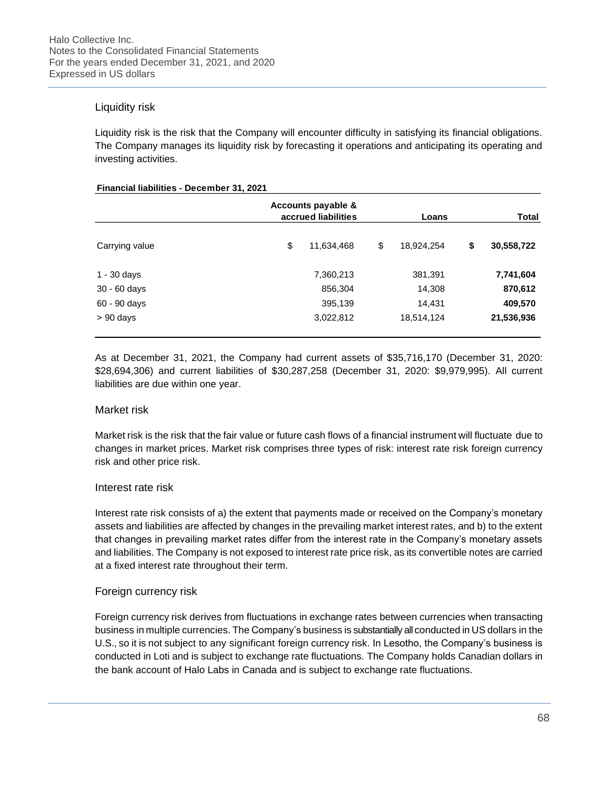# Liquidity risk

Liquidity risk is the risk that the Company will encounter difficulty in satisfying its financial obligations. The Company manages its liquidity risk by forecasting it operations and anticipating its operating and investing activities.

### **Financial liabilities - December 31, 2021**

|                | Accounts payable &<br>accrued liabilities |    |            | Loans |            |  |
|----------------|-------------------------------------------|----|------------|-------|------------|--|
| Carrying value | \$<br>11,634,468                          | \$ | 18,924,254 | \$    | 30,558,722 |  |
| $1 - 30$ days  | 7,360,213                                 |    | 381,391    |       | 7,741,604  |  |
| $30 - 60$ days | 856,304                                   |    | 14,308     |       | 870,612    |  |
| 60 - 90 days   | 395,139                                   |    | 14,431     |       | 409,570    |  |
| $> 90$ days    | 3,022,812                                 |    | 18,514,124 |       | 21,536,936 |  |

As at December 31, 2021, the Company had current assets of \$35,716,170 (December 31, 2020: \$28,694,306) and current liabilities of \$30,287,258 (December 31, 2020: \$9,979,995). All current liabilities are due within one year.

## Market risk

Market risk is the risk that the fair value or future cash flows of a financial instrument will fluctuate due to changes in market prices. Market risk comprises three types of risk: interest rate risk foreign currency risk and other price risk.

## Interest rate risk

Interest rate risk consists of a) the extent that payments made or received on the Company's monetary assets and liabilities are affected by changes in the prevailing market interest rates, and b) to the extent that changes in prevailing market rates differ from the interest rate in the Company's monetary assets and liabilities. The Company is not exposed to interest rate price risk, as its convertible notes are carried at a fixed interest rate throughout their term.

## Foreign currency risk

Foreign currency risk derives from fluctuations in exchange rates between currencies when transacting business in multiple currencies. The Company's business is substantially all conducted in US dollars in the U.S., so it is not subject to any significant foreign currency risk. In Lesotho, the Company's business is conducted in Loti and is subject to exchange rate fluctuations. The Company holds Canadian dollars in the bank account of Halo Labs in Canada and is subject to exchange rate fluctuations.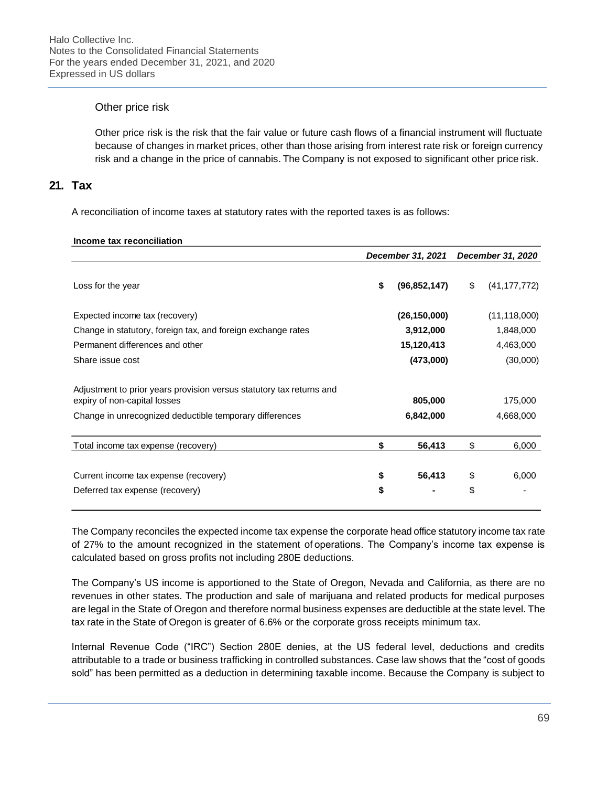# Other price risk

Other price risk is the risk that the fair value or future cash flows of a financial instrument will fluctuate because of changes in market prices, other than those arising from interest rate risk or foreign currency risk and a change in the price of cannabis. The Company is not exposed to significant other price risk.

# **21. Tax**

A reconciliation of income taxes at statutory rates with the reported taxes is as follows:

### **Income tax reconciliation**

|                                                                                                      | December 31, 2021 December 31, 2020 |                |    |                |
|------------------------------------------------------------------------------------------------------|-------------------------------------|----------------|----|----------------|
| Loss for the year                                                                                    | \$                                  | (96,852,147)   | \$ | (41, 177, 772) |
| Expected income tax (recovery)                                                                       |                                     | (26, 150, 000) |    | (11, 118, 000) |
| Change in statutory, foreign tax, and foreign exchange rates                                         |                                     | 3,912,000      |    | 1,848,000      |
| Permanent differences and other                                                                      |                                     | 15,120,413     |    | 4,463,000      |
| Share issue cost                                                                                     |                                     | (473,000)      |    | (30,000)       |
| Adjustment to prior years provision versus statutory tax returns and<br>expiry of non-capital losses |                                     | 805,000        |    | 175,000        |
| Change in unrecognized deductible temporary differences                                              |                                     | 6,842,000      |    | 4,668,000      |
| Total income tax expense (recovery)                                                                  | \$                                  | 56,413         | \$ | 6,000          |
| Current income tax expense (recovery)                                                                | \$                                  | 56,413         | \$ | 6,000          |
| Deferred tax expense (recovery)                                                                      | \$                                  |                | \$ |                |

The Company reconciles the expected income tax expense the corporate head office statutory income tax rate of 27% to the amount recognized in the statement of operations. The Company's income tax expense is calculated based on gross profits not including 280E deductions.

The Company's US income is apportioned to the State of Oregon, Nevada and California, as there are no revenues in other states. The production and sale of marijuana and related products for medical purposes are legal in the State of Oregon and therefore normal business expenses are deductible at the state level. The tax rate in the State of Oregon is greater of 6.6% or the corporate gross receipts minimum tax.

Internal Revenue Code ("IRC") Section 280E denies, at the US federal level, deductions and credits attributable to a trade or business trafficking in controlled substances. Case law shows that the "cost of goods sold" has been permitted as a deduction in determining taxable income. Because the Company is subject to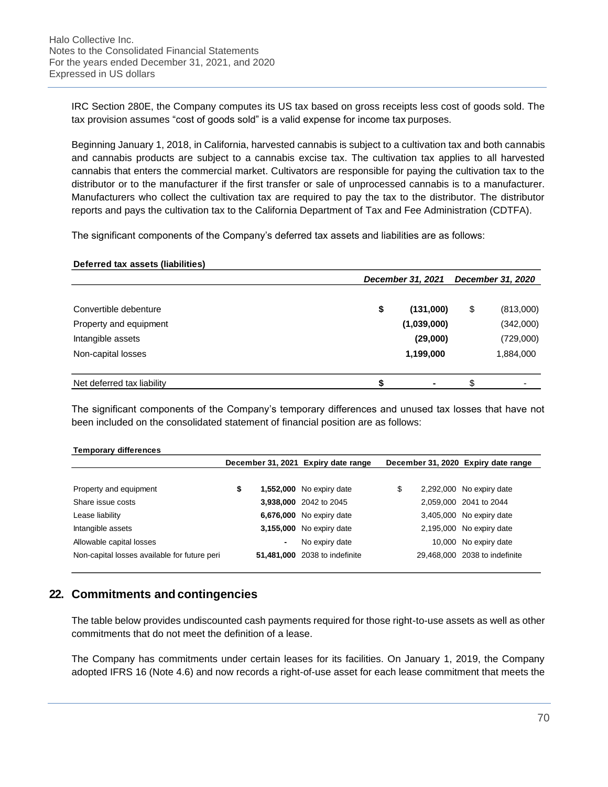IRC Section 280E, the Company computes its US tax based on gross receipts less cost of goods sold. The tax provision assumes "cost of goods sold" is a valid expense for income tax purposes.

Beginning January 1, 2018, in California, harvested cannabis is subject to a cultivation tax and both cannabis and cannabis products are subject to a cannabis excise tax. The cultivation tax applies to all harvested cannabis that enters the commercial market. Cultivators are responsible for paying the cultivation tax to the distributor or to the manufacturer if the first transfer or sale of unprocessed cannabis is to a manufacturer. Manufacturers who collect the cultivation tax are required to pay the tax to the distributor. The distributor reports and pays the cultivation tax to the California Department of Tax and Fee Administration (CDTFA).

The significant components of the Company's deferred tax assets and liabilities are as follows:

### **Deferred tax assets (liabilities)**

|                            | December 31, 2021 |    |           |
|----------------------------|-------------------|----|-----------|
| Convertible debenture      | \$<br>(131,000)   | \$ | (813,000) |
| Property and equipment     | (1,039,000)       |    | (342,000) |
| Intangible assets          | (29,000)          |    | (729,000) |
| Non-capital losses         | 1,199,000         |    | 1,884,000 |
| Net deferred tax liability | ٠                 | \$ |           |

The significant components of the Company's temporary differences and unused tax losses that have not been included on the consolidated statement of financial position are as follows:

| <b>Temporary differences</b>                 |                                     |            |                        |    |                                     |  |
|----------------------------------------------|-------------------------------------|------------|------------------------|----|-------------------------------------|--|
|                                              | December 31, 2021 Expiry date range |            |                        |    | December 31, 2020 Expiry date range |  |
|                                              |                                     |            |                        |    |                                     |  |
| Property and equipment                       | \$                                  | 1,552,000  | No expiry date         | \$ | 2,292,000 No expiry date            |  |
| Share issue costs                            |                                     |            | 3,938,000 2042 to 2045 |    | 2,059,000 2041 to 2044              |  |
| Lease liability                              |                                     | 6,676,000  | No expiry date         |    | 3,405,000 No expiry date            |  |
| Intangible assets                            |                                     | 3,155,000  | No expiry date         |    | 2,195,000 No expiry date            |  |
| Allowable capital losses                     |                                     | -          | No expiry date         |    | 10,000 No expiry date               |  |
| Non-capital losses available for future peri |                                     | 51,481,000 | 2038 to indefinite     |    | 29,468,000 2038 to indefinite       |  |

# **22. Commitments and contingencies**

The table below provides undiscounted cash payments required for those right-to-use assets as well as other commitments that do not meet the definition of a lease.

The Company has commitments under certain leases for its facilities. On January 1, 2019, the Company adopted IFRS 16 (Note 4.6) and now records a right-of-use asset for each lease commitment that meets the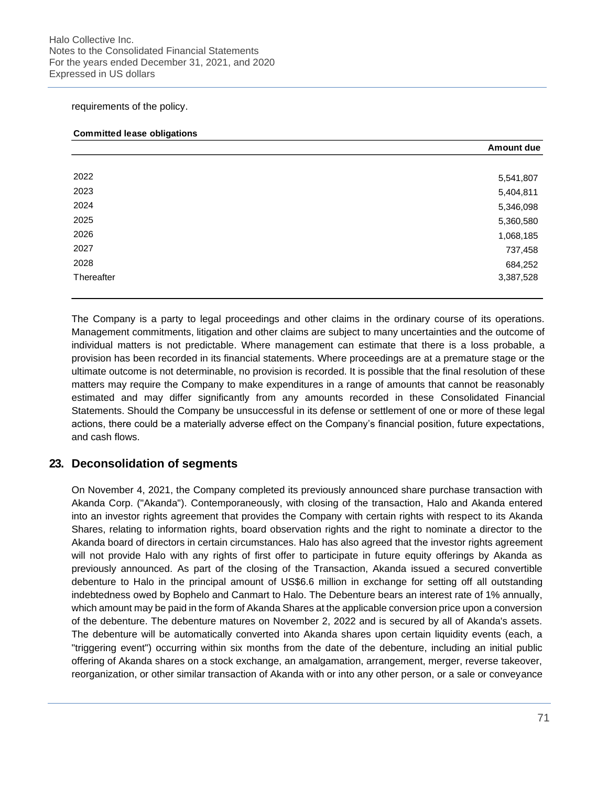requirements of the policy.

### **Committed lease obligations**

|            | <b>Amount due</b> |
|------------|-------------------|
|            |                   |
| 2022       | 5,541,807         |
| 2023       | 5,404,811         |
| 2024       | 5,346,098         |
| 2025       | 5,360,580         |
| 2026       | 1,068,185         |
| 2027       | 737,458           |
| 2028       | 684,252           |
| Thereafter | 3,387,528         |

The Company is a party to legal proceedings and other claims in the ordinary course of its operations. Management commitments, litigation and other claims are subject to many uncertainties and the outcome of individual matters is not predictable. Where management can estimate that there is a loss probable, a provision has been recorded in its financial statements. Where proceedings are at a premature stage or the ultimate outcome is not determinable, no provision is recorded. It is possible that the final resolution of these matters may require the Company to make expenditures in a range of amounts that cannot be reasonably estimated and may differ significantly from any amounts recorded in these Consolidated Financial Statements. Should the Company be unsuccessful in its defense or settlement of one or more of these legal actions, there could be a materially adverse effect on the Company's financial position, future expectations, and cash flows.

# **23. Deconsolidation of segments**

On November 4, 2021, the Company completed its previously announced share purchase transaction with Akanda Corp. ("Akanda"). Contemporaneously, with closing of the transaction, Halo and Akanda entered into an investor rights agreement that provides the Company with certain rights with respect to its Akanda Shares, relating to information rights, board observation rights and the right to nominate a director to the Akanda board of directors in certain circumstances. Halo has also agreed that the investor rights agreement will not provide Halo with any rights of first offer to participate in future equity offerings by Akanda as previously announced. As part of the closing of the Transaction, Akanda issued a secured convertible debenture to Halo in the principal amount of US\$6.6 million in exchange for setting off all outstanding indebtedness owed by Bophelo and Canmart to Halo. The Debenture bears an interest rate of 1% annually, which amount may be paid in the form of Akanda Shares at the applicable conversion price upon a conversion of the debenture. The debenture matures on November 2, 2022 and is secured by all of Akanda's assets. The debenture will be automatically converted into Akanda shares upon certain liquidity events (each, a "triggering event") occurring within six months from the date of the debenture, including an initial public offering of Akanda shares on a stock exchange, an amalgamation, arrangement, merger, reverse takeover, reorganization, or other similar transaction of Akanda with or into any other person, or a sale or conveyance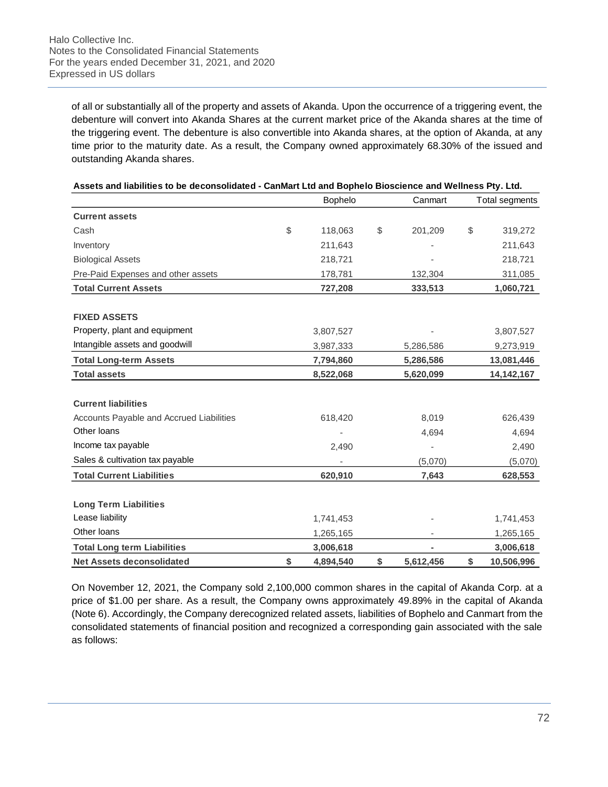of all or substantially all of the property and assets of Akanda. Upon the occurrence of a triggering event, the debenture will convert into Akanda Shares at the current market price of the Akanda shares at the time of the triggering event. The debenture is also convertible into Akanda shares, at the option of Akanda, at any time prior to the maturity date. As a result, the Company owned approximately 68.30% of the issued and outstanding Akanda shares.

|                                          | Bophelo |           | Canmart         | Total segments |              |
|------------------------------------------|---------|-----------|-----------------|----------------|--------------|
| <b>Current assets</b>                    |         |           |                 |                |              |
| Cash                                     | \$      | 118,063   | \$<br>201,209   | \$             | 319,272      |
| Inventory                                |         | 211,643   |                 |                | 211,643      |
| <b>Biological Assets</b>                 |         | 218,721   |                 |                | 218,721      |
| Pre-Paid Expenses and other assets       |         | 178,781   | 132,304         |                | 311,085      |
| <b>Total Current Assets</b>              |         | 727,208   | 333,513         |                | 1,060,721    |
| <b>FIXED ASSETS</b>                      |         |           |                 |                |              |
| Property, plant and equipment            |         | 3,807,527 |                 |                | 3,807,527    |
| Intangible assets and goodwill           |         | 3,987,333 | 5,286,586       |                | 9,273,919    |
| <b>Total Long-term Assets</b>            |         | 7,794,860 | 5,286,586       |                | 13,081,446   |
| <b>Total assets</b>                      |         | 8,522,068 | 5,620,099       |                | 14, 142, 167 |
|                                          |         |           |                 |                |              |
| <b>Current liabilities</b>               |         |           |                 |                |              |
| Accounts Payable and Accrued Liabilities |         | 618,420   | 8,019           |                | 626,439      |
| Other loans                              |         |           | 4,694           |                | 4,694        |
| Income tax payable                       |         | 2,490     |                 |                | 2,490        |
| Sales & cultivation tax payable          |         |           | (5,070)         |                | (5,070)      |
| <b>Total Current Liabilities</b>         |         | 620,910   | 7,643           |                | 628,553      |
| <b>Long Term Liabilities</b>             |         |           |                 |                |              |
| Lease liability                          |         | 1,741,453 |                 |                | 1,741,453    |
| Other loans                              |         | 1,265,165 |                 |                | 1,265,165    |
| <b>Total Long term Liabilities</b>       |         | 3,006,618 |                 |                | 3,006,618    |
| <b>Net Assets deconsolidated</b>         | \$      | 4.894.540 | \$<br>5,612,456 | \$             | 10,506,996   |

### **Assets and liabilities to be deconsolidated - CanMart Ltd and Bophelo Bioscience and Wellness Pty. Ltd.**

On November 12, 2021, the Company sold 2,100,000 common shares in the capital of Akanda Corp. at a price of \$1.00 per share. As a result, the Company owns approximately 49.89% in the capital of Akanda (Note 6). Accordingly, the Company derecognized related assets, liabilities of Bophelo and Canmart from the consolidated statements of financial position and recognized a corresponding gain associated with the sale as follows: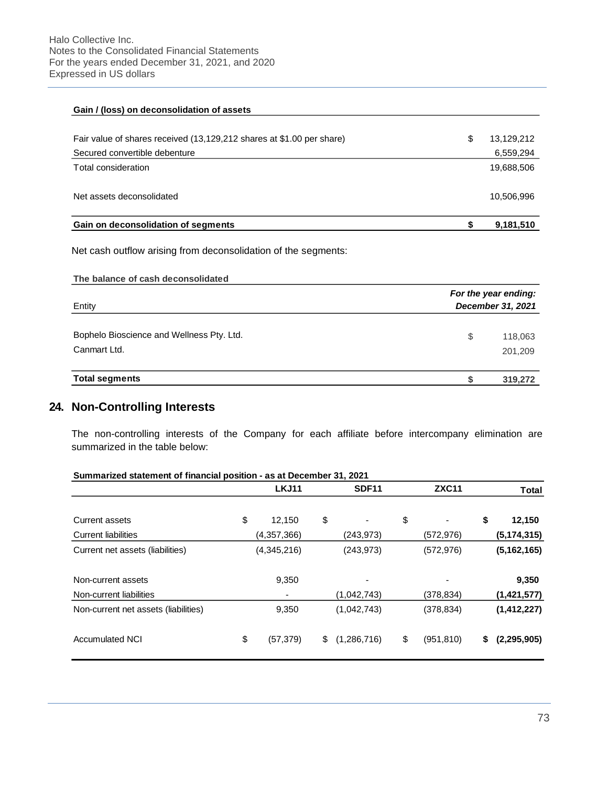| Gain / (loss) on deconsolidation of assets                            |   |            |
|-----------------------------------------------------------------------|---|------------|
| Fair value of shares received (13,129,212 shares at \$1.00 per share) | S | 13,129,212 |
| Secured convertible debenture                                         |   | 6,559,294  |
| Total consideration                                                   |   | 19,688,506 |
| Net assets deconsolidated                                             |   | 10,506,996 |
| Gain on deconsolidation of segments                                   |   | 9,181,510  |

Net cash outflow arising from deconsolidation of the segments:

| Entity                                                    | For the year ending:<br>December 31, 2021 |  |  |  |  |
|-----------------------------------------------------------|-------------------------------------------|--|--|--|--|
| Bophelo Bioscience and Wellness Pty. Ltd.<br>Canmart Ltd. | \$<br>118,063<br>201,209                  |  |  |  |  |
| <b>Total segments</b>                                     | 319,272                                   |  |  |  |  |

# **24. Non-Controlling Interests**

The non-controlling interests of the Company for each affiliate before intercompany elimination are summarized in the table below:

|  |  | Summarized statement of financial position - as at December 31, 2021 |  |
|--|--|----------------------------------------------------------------------|--|
|  |  |                                                                      |  |

|                                      | <b>LKJ11</b>    | <b>SDF11</b>      | <b>ZXC11</b>                   | <b>Total</b>        |
|--------------------------------------|-----------------|-------------------|--------------------------------|---------------------|
|                                      |                 |                   |                                |                     |
| Current assets                       | \$<br>12,150    | \$                | \$<br>$\overline{\phantom{a}}$ | \$<br>12,150        |
| <b>Current liabilities</b>           | (4,357,366)     | (243, 973)        | (572, 976)                     | (5, 174, 315)       |
| Current net assets (liabilities)     | (4,345,216)     | (243, 973)        | (572, 976)                     | (5, 162, 165)       |
| Non-current assets                   | 9,350           |                   |                                | 9,350               |
| Non-current liabilities              | ٠               | (1,042,743)       | (378, 834)                     | (1,421,577)         |
| Non-current net assets (liabilities) | 9,350           | (1,042,743)       | (378, 834)                     | (1, 412, 227)       |
| <b>Accumulated NCI</b>               | \$<br>(57, 379) | \$<br>(1,286,716) | \$<br>(951, 810)               | \$<br>(2, 295, 905) |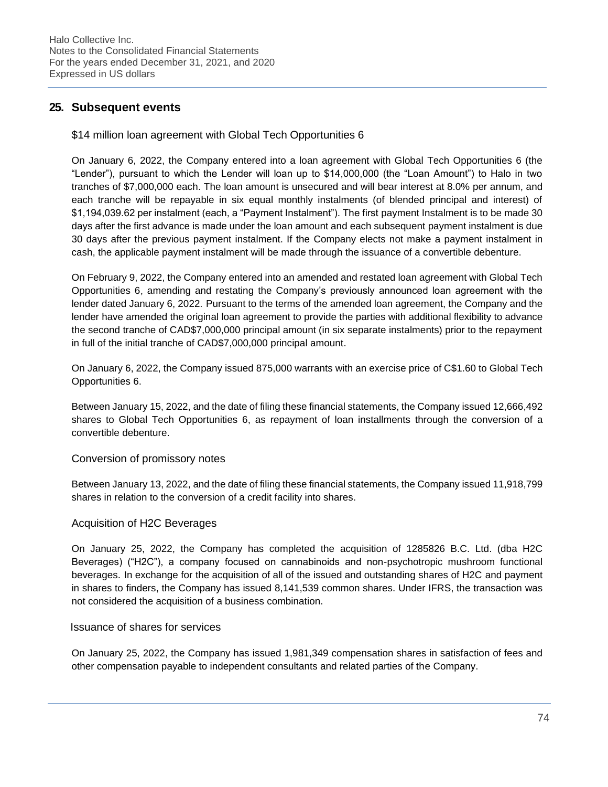## **25. Subsequent events**

## \$14 million loan agreement with Global Tech Opportunities 6

On January 6, 2022, the Company entered into a loan agreement with Global Tech Opportunities 6 (the "Lender"), pursuant to which the Lender will loan up to \$14,000,000 (the "Loan Amount") to Halo in two tranches of \$7,000,000 each. The loan amount is unsecured and will bear interest at 8.0% per annum, and each tranche will be repayable in six equal monthly instalments (of blended principal and interest) of \$1,194,039.62 per instalment (each, a "Payment Instalment"). The first payment Instalment is to be made 30 days after the first advance is made under the loan amount and each subsequent payment instalment is due 30 days after the previous payment instalment. If the Company elects not make a payment instalment in cash, the applicable payment instalment will be made through the issuance of a convertible debenture.

On February 9, 2022, the Company entered into an amended and restated loan agreement with Global Tech Opportunities 6, amending and restating the Company's previously announced loan agreement with the lender dated January 6, 2022. Pursuant to the terms of the amended loan agreement, the Company and the lender have amended the original loan agreement to provide the parties with additional flexibility to advance the second tranche of CAD\$7,000,000 principal amount (in six separate instalments) prior to the repayment in full of the initial tranche of CAD\$7,000,000 principal amount.

On January 6, 2022, the Company issued 875,000 warrants with an exercise price of C\$1.60 to Global Tech Opportunities 6.

Between January 15, 2022, and the date of filing these financial statements, the Company issued 12,666,492 shares to Global Tech Opportunities 6, as repayment of loan installments through the conversion of a convertible debenture.

### Conversion of promissory notes

Between January 13, 2022, and the date of filing these financial statements, the Company issued 11,918,799 shares in relation to the conversion of a credit facility into shares.

### Acquisition of H2C Beverages

On January 25, 2022, the Company has completed the acquisition of 1285826 B.C. Ltd. (dba H2C Beverages) ("H2C"), a company focused on cannabinoids and non-psychotropic mushroom functional beverages. In exchange for the acquisition of all of the issued and outstanding shares of H2C and payment in shares to finders, the Company has issued 8,141,539 common shares. Under IFRS, the transaction was not considered the acquisition of a business combination.

#### Issuance of shares for services

On January 25, 2022, the Company has issued 1,981,349 compensation shares in satisfaction of fees and other compensation payable to independent consultants and related parties of the Company.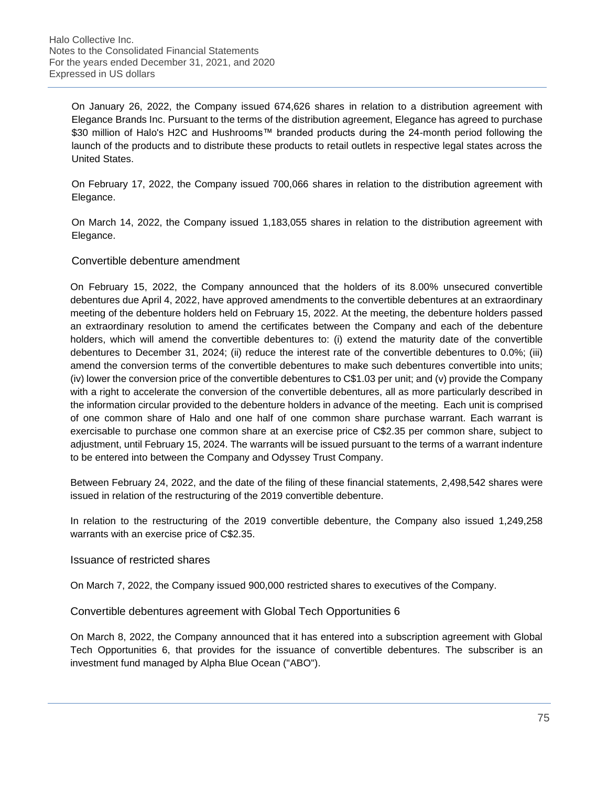On January 26, 2022, the Company issued 674,626 shares in relation to a distribution agreement with Elegance Brands Inc. Pursuant to the terms of the distribution agreement, Elegance has agreed to purchase \$30 million of Halo's H2C and Hushrooms™ branded products during the 24-month period following the launch of the products and to distribute these products to retail outlets in respective legal states across the United States.

On February 17, 2022, the Company issued 700,066 shares in relation to the distribution agreement with Elegance.

On March 14, 2022, the Company issued 1,183,055 shares in relation to the distribution agreement with Elegance.

#### Convertible debenture amendment

On February 15, 2022, the Company announced that the holders of its 8.00% unsecured convertible debentures due April 4, 2022, have approved amendments to the convertible debentures at an extraordinary meeting of the debenture holders held on February 15, 2022. At the meeting, the debenture holders passed an extraordinary resolution to amend the certificates between the Company and each of the debenture holders, which will amend the convertible debentures to: (i) extend the maturity date of the convertible debentures to December 31, 2024; (ii) reduce the interest rate of the convertible debentures to 0.0%; (iii) amend the conversion terms of the convertible debentures to make such debentures convertible into units; (iv) lower the conversion price of the convertible debentures to C\$1.03 per unit; and (v) provide the Company with a right to accelerate the conversion of the convertible debentures, all as more particularly described in the information circular provided to the debenture holders in advance of the meeting. Each unit is comprised of one common share of Halo and one half of one common share purchase warrant. Each warrant is exercisable to purchase one common share at an exercise price of C\$2.35 per common share, subject to adjustment, until February 15, 2024. The warrants will be issued pursuant to the terms of a warrant indenture to be entered into between the Company and Odyssey Trust Company.

Between February 24, 2022, and the date of the filing of these financial statements, 2,498,542 shares were issued in relation of the restructuring of the 2019 convertible debenture.

In relation to the restructuring of the 2019 convertible debenture, the Company also issued 1,249,258 warrants with an exercise price of C\$2.35.

#### Issuance of restricted shares

On March 7, 2022, the Company issued 900,000 restricted shares to executives of the Company.

### Convertible debentures agreement with Global Tech Opportunities 6

On March 8, 2022, the Company announced that it has entered into a subscription agreement with Global Tech Opportunities 6, that provides for the issuance of convertible debentures. The subscriber is an investment fund managed by Alpha Blue Ocean ("ABO").